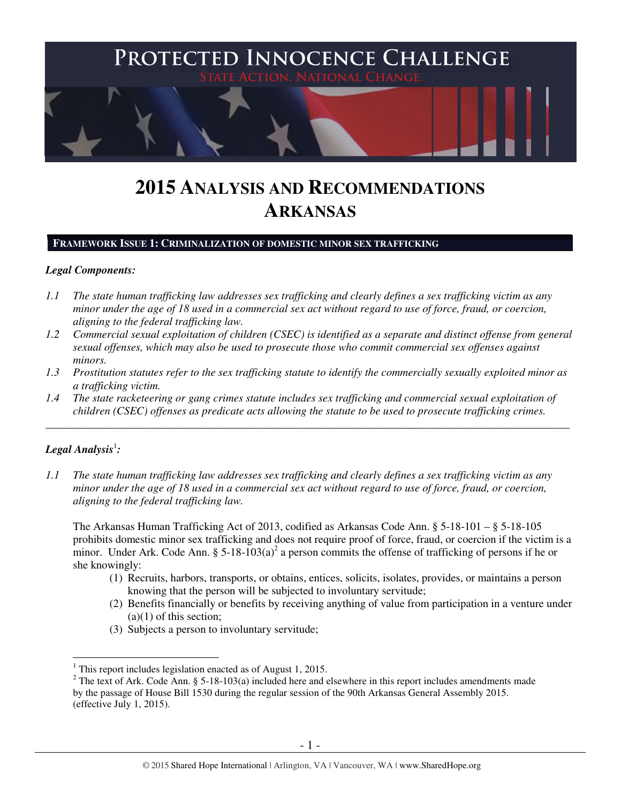

# **2015 ANALYSIS AND RECOMMENDATIONS ARKANSAS**

#### **FRAMEWORK ISSUE 1: CRIMINALIZATION OF DOMESTIC MINOR SEX TRAFFICKING**

## *Legal Components:*

- *1.1 The state human trafficking law addresses sex trafficking and clearly defines a sex trafficking victim as any minor under the age of 18 used in a commercial sex act without regard to use of force, fraud, or coercion, aligning to the federal trafficking law.*
- *1.2 Commercial sexual exploitation of children (CSEC) is identified as a separate and distinct offense from general sexual offenses, which may also be used to prosecute those who commit commercial sex offenses against minors.*
- *1.3 Prostitution statutes refer to the sex trafficking statute to identify the commercially sexually exploited minor as a trafficking victim.*
- *1.4 The state racketeering or gang crimes statute includes sex trafficking and commercial sexual exploitation of children (CSEC) offenses as predicate acts allowing the statute to be used to prosecute trafficking crimes.*

\_\_\_\_\_\_\_\_\_\_\_\_\_\_\_\_\_\_\_\_\_\_\_\_\_\_\_\_\_\_\_\_\_\_\_\_\_\_\_\_\_\_\_\_\_\_\_\_\_\_\_\_\_\_\_\_\_\_\_\_\_\_\_\_\_\_\_\_\_\_\_\_\_\_\_\_\_\_\_\_\_\_\_\_\_\_\_\_\_\_\_\_\_\_

# ${\it Legal Analysis^!}$  :

 $\overline{a}$ 

*1.1 The state human trafficking law addresses sex trafficking and clearly defines a sex trafficking victim as any minor under the age of 18 used in a commercial sex act without regard to use of force, fraud, or coercion, aligning to the federal trafficking law.* 

The Arkansas Human Trafficking Act of 2013, codified as Arkansas Code Ann. § 5-18-101 – § 5-18-105 prohibits domestic minor sex trafficking and does not require proof of force, fraud, or coercion if the victim is a minor. Under Ark. Code Ann. §  $5-18-103(a)^2$  a person commits the offense of trafficking of persons if he or she knowingly:

- (1) Recruits, harbors, transports, or obtains, entices, solicits, isolates, provides, or maintains a person knowing that the person will be subjected to involuntary servitude;
- (2) Benefits financially or benefits by receiving anything of value from participation in a venture under  $(a)(1)$  of this section;
- (3) Subjects a person to involuntary servitude;

<sup>&</sup>lt;sup>1</sup> This report includes legislation enacted as of August 1, 2015.

<sup>&</sup>lt;sup>2</sup> The text of Ark. Code Ann. § 5-18-103(a) included here and elsewhere in this report includes amendments made by the passage of House Bill 1530 during the regular session of the 90th Arkansas General Assembly 2015. (effective July 1, 2015).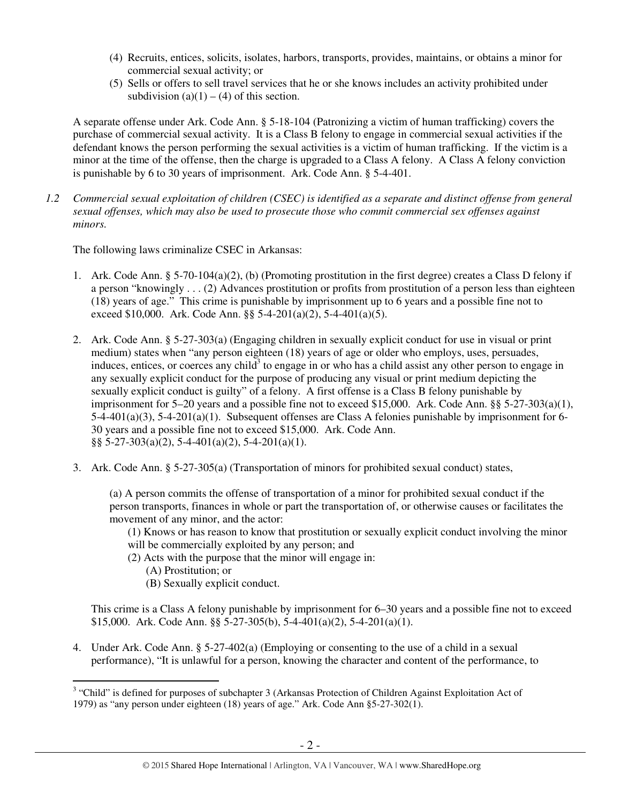- (4) Recruits, entices, solicits, isolates, harbors, transports, provides, maintains, or obtains a minor for commercial sexual activity; or
- (5) Sells or offers to sell travel services that he or she knows includes an activity prohibited under subdivision  $(a)(1) - (4)$  of this section.

A separate offense under Ark. Code Ann. § 5-18-104 (Patronizing a victim of human trafficking) covers the purchase of commercial sexual activity. It is a Class B felony to engage in commercial sexual activities if the defendant knows the person performing the sexual activities is a victim of human trafficking. If the victim is a minor at the time of the offense, then the charge is upgraded to a Class A felony. A Class A felony conviction is punishable by 6 to 30 years of imprisonment. Ark. Code Ann. § 5-4-401.

*1.2 Commercial sexual exploitation of children (CSEC) is identified as a separate and distinct offense from general sexual offenses, which may also be used to prosecute those who commit commercial sex offenses against minors.*

The following laws criminalize CSEC in Arkansas:

- 1. Ark. Code Ann. § 5-70-104(a)(2), (b) (Promoting prostitution in the first degree) creates a Class D felony if a person "knowingly . . . (2) Advances prostitution or profits from prostitution of a person less than eighteen (18) years of age." This crime is punishable by imprisonment up to 6 years and a possible fine not to exceed \$10,000. Ark. Code Ann.  $\S$ § 5-4-201(a)(2), 5-4-401(a)(5).
- 2. Ark. Code Ann. § 5-27-303(a) (Engaging children in sexually explicit conduct for use in visual or print medium) states when "any person eighteen (18) years of age or older who employs, uses, persuades, induces, entices, or coerces any child<sup>3</sup> to engage in or who has a child assist any other person to engage in any sexually explicit conduct for the purpose of producing any visual or print medium depicting the sexually explicit conduct is guilty" of a felony. A first offense is a Class B felony punishable by imprisonment for 5–20 years and a possible fine not to exceed \$15,000. Ark. Code Ann. §§ 5-27-303(a)(1), 5-4-401(a)(3), 5-4-201(a)(1). Subsequent offenses are Class A felonies punishable by imprisonment for 6- 30 years and a possible fine not to exceed \$15,000. Ark. Code Ann. §§ 5-27-303(a)(2), 5-4-401(a)(2), 5-4-201(a)(1).
- 3. Ark. Code Ann. § 5-27-305(a) (Transportation of minors for prohibited sexual conduct) states,

(a) A person commits the offense of transportation of a minor for prohibited sexual conduct if the person transports, finances in whole or part the transportation of, or otherwise causes or facilitates the movement of any minor, and the actor:

- (1) Knows or has reason to know that prostitution or sexually explicit conduct involving the minor will be commercially exploited by any person; and
- (2) Acts with the purpose that the minor will engage in:
	- (A) Prostitution; or
	- (B) Sexually explicit conduct.

This crime is a Class A felony punishable by imprisonment for 6–30 years and a possible fine not to exceed \$15,000. Ark. Code Ann. §§ 5-27-305(b), 5-4-401(a)(2), 5-4-201(a)(1).

4. Under Ark. Code Ann. § 5-27-402(a) (Employing or consenting to the use of a child in a sexual performance), "It is unlawful for a person, knowing the character and content of the performance, to

<sup>&</sup>lt;sup>3</sup> "Child" is defined for purposes of subchapter 3 (Arkansas Protection of Children Against Exploitation Act of 1979) as "any person under eighteen (18) years of age." Ark. Code Ann §5-27-302(1).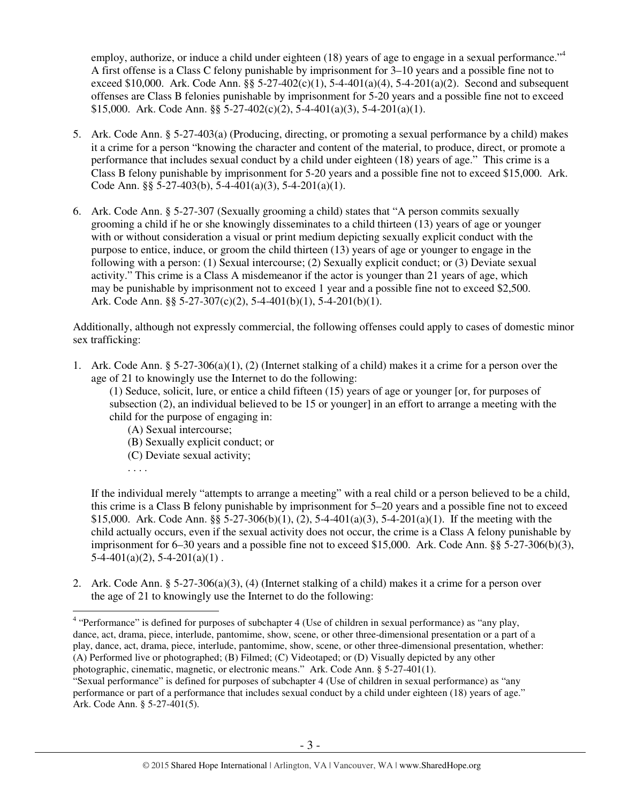employ, authorize, or induce a child under eighteen (18) years of age to engage in a sexual performance."<sup>4</sup> A first offense is a Class C felony punishable by imprisonment for 3–10 years and a possible fine not to exceed \$10,000. Ark. Code Ann. §§ 5-27-402(c)(1), 5-4-401(a)(4), 5-4-201(a)(2). Second and subsequent offenses are Class B felonies punishable by imprisonment for 5-20 years and a possible fine not to exceed \$15,000. Ark. Code Ann. §§ 5-27-402(c)(2), 5-4-401(a)(3), 5-4-201(a)(1).

- 5. Ark. Code Ann. § 5-27-403(a) (Producing, directing, or promoting a sexual performance by a child) makes it a crime for a person "knowing the character and content of the material, to produce, direct, or promote a performance that includes sexual conduct by a child under eighteen (18) years of age." This crime is a Class B felony punishable by imprisonment for 5-20 years and a possible fine not to exceed \$15,000. Ark. Code Ann. §§ 5-27-403(b), 5-4-401(a)(3), 5-4-201(a)(1).
- 6. Ark. Code Ann. § 5-27-307 (Sexually grooming a child) states that "A person commits sexually grooming a child if he or she knowingly disseminates to a child thirteen (13) years of age or younger with or without consideration a visual or print medium depicting sexually explicit conduct with the purpose to entice, induce, or groom the child thirteen (13) years of age or younger to engage in the following with a person: (1) Sexual intercourse; (2) Sexually explicit conduct; or (3) Deviate sexual activity." This crime is a Class A misdemeanor if the actor is younger than 21 years of age, which may be punishable by imprisonment not to exceed 1 year and a possible fine not to exceed \$2,500. Ark. Code Ann. §§  $5-27-307(c)(2)$ ,  $5-4-401(b)(1)$ ,  $5-4-201(b)(1)$ .

Additionally, although not expressly commercial, the following offenses could apply to cases of domestic minor sex trafficking:

1. Ark. Code Ann. § 5-27-306(a)(1), (2) (Internet stalking of a child) makes it a crime for a person over the age of 21 to knowingly use the Internet to do the following:

(1) Seduce, solicit, lure, or entice a child fifteen (15) years of age or younger [or, for purposes of subsection (2), an individual believed to be 15 or younger] in an effort to arrange a meeting with the child for the purpose of engaging in:

- (A) Sexual intercourse;
- (B) Sexually explicit conduct; or
- (C) Deviate sexual activity;
- . . . .

If the individual merely "attempts to arrange a meeting" with a real child or a person believed to be a child, this crime is a Class B felony punishable by imprisonment for 5–20 years and a possible fine not to exceed \$15,000. Ark. Code Ann. §§ 5-27-306(b)(1), (2), 5-4-401(a)(3), 5-4-201(a)(1). If the meeting with the child actually occurs, even if the sexual activity does not occur, the crime is a Class A felony punishable by imprisonment for 6–30 years and a possible fine not to exceed \$15,000. Ark. Code Ann. §§ 5-27-306(b)(3),  $5-4-401(a)(2)$ ,  $5-4-201(a)(1)$ .

2. Ark. Code Ann. § 5-27-306(a)(3), (4) (Internet stalking of a child) makes it a crime for a person over the age of 21 to knowingly use the Internet to do the following:

 4 "Performance" is defined for purposes of subchapter 4 (Use of children in sexual performance) as "any play, dance, act, drama, piece, interlude, pantomime, show, scene, or other three-dimensional presentation or a part of a play, dance, act, drama, piece, interlude, pantomime, show, scene, or other three-dimensional presentation, whether: (A) Performed live or photographed; (B) Filmed; (C) Videotaped; or (D) Visually depicted by any other photographic, cinematic, magnetic, or electronic means." Ark. Code Ann. § 5-27-401(1).

<sup>&</sup>quot;Sexual performance" is defined for purposes of subchapter 4 (Use of children in sexual performance) as "any performance or part of a performance that includes sexual conduct by a child under eighteen (18) years of age." Ark. Code Ann. § 5-27-401(5).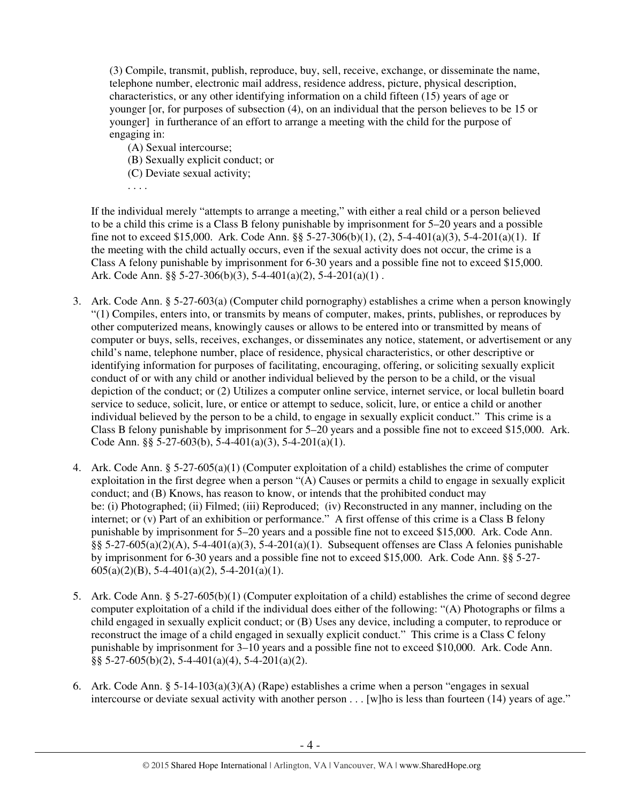(3) Compile, transmit, publish, reproduce, buy, sell, receive, exchange, or disseminate the name, telephone number, electronic mail address, residence address, picture, physical description, characteristics, or any other identifying information on a child fifteen (15) years of age or younger [or, for purposes of subsection (4), on an individual that the person believes to be 15 or younger] in furtherance of an effort to arrange a meeting with the child for the purpose of engaging in:

- (A) Sexual intercourse;
- (B) Sexually explicit conduct; or
- (C) Deviate sexual activity;

. . . .

If the individual merely "attempts to arrange a meeting," with either a real child or a person believed to be a child this crime is a Class B felony punishable by imprisonment for 5–20 years and a possible fine not to exceed \$15,000. Ark. Code Ann. §§ 5-27-306(b)(1), (2), 5-4-401(a)(3), 5-4-201(a)(1). If the meeting with the child actually occurs, even if the sexual activity does not occur, the crime is a Class A felony punishable by imprisonment for 6-30 years and a possible fine not to exceed \$15,000. Ark. Code Ann. §§ 5-27-306(b)(3), 5-4-401(a)(2), 5-4-201(a)(1).

- 3. Ark. Code Ann. § 5-27-603(a) (Computer child pornography) establishes a crime when a person knowingly "(1) Compiles, enters into, or transmits by means of computer, makes, prints, publishes, or reproduces by other computerized means, knowingly causes or allows to be entered into or transmitted by means of computer or buys, sells, receives, exchanges, or disseminates any notice, statement, or advertisement or any child's name, telephone number, place of residence, physical characteristics, or other descriptive or identifying information for purposes of facilitating, encouraging, offering, or soliciting sexually explicit conduct of or with any child or another individual believed by the person to be a child, or the visual depiction of the conduct; or (2) Utilizes a computer online service, internet service, or local bulletin board service to seduce, solicit, lure, or entice or attempt to seduce, solicit, lure, or entice a child or another individual believed by the person to be a child, to engage in sexually explicit conduct." This crime is a Class B felony punishable by imprisonment for 5–20 years and a possible fine not to exceed \$15,000. Ark. Code Ann. §§ 5-27-603(b), 5-4-401(a)(3), 5-4-201(a)(1).
- 4. Ark. Code Ann. § 5-27-605(a)(1) (Computer exploitation of a child) establishes the crime of computer exploitation in the first degree when a person "(A) Causes or permits a child to engage in sexually explicit conduct; and (B) Knows, has reason to know, or intends that the prohibited conduct may be: (i) Photographed; (ii) Filmed; (iii) Reproduced; (iv) Reconstructed in any manner, including on the internet; or (v) Part of an exhibition or performance." A first offense of this crime is a Class B felony punishable by imprisonment for 5–20 years and a possible fine not to exceed \$15,000. Ark. Code Ann. §§ 5-27-605(a)(2)(A), 5-4-401(a)(3), 5-4-201(a)(1). Subsequent offenses are Class A felonies punishable by imprisonment for 6-30 years and a possible fine not to exceed \$15,000. Ark. Code Ann. §§ 5-27-  $605(a)(2)(B)$ , 5-4-401(a)(2), 5-4-201(a)(1).
- 5. Ark. Code Ann. § 5-27-605(b)(1) (Computer exploitation of a child) establishes the crime of second degree computer exploitation of a child if the individual does either of the following: "(A) Photographs or films a child engaged in sexually explicit conduct; or (B) Uses any device, including a computer, to reproduce or reconstruct the image of a child engaged in sexually explicit conduct." This crime is a Class C felony punishable by imprisonment for 3–10 years and a possible fine not to exceed \$10,000. Ark. Code Ann. §§ 5-27-605(b)(2), 5-4-401(a)(4), 5-4-201(a)(2).
- 6. Ark. Code Ann. § 5-14-103(a)(3)(A) (Rape) establishes a crime when a person "engages in sexual intercourse or deviate sexual activity with another person . . . [w]ho is less than fourteen (14) years of age."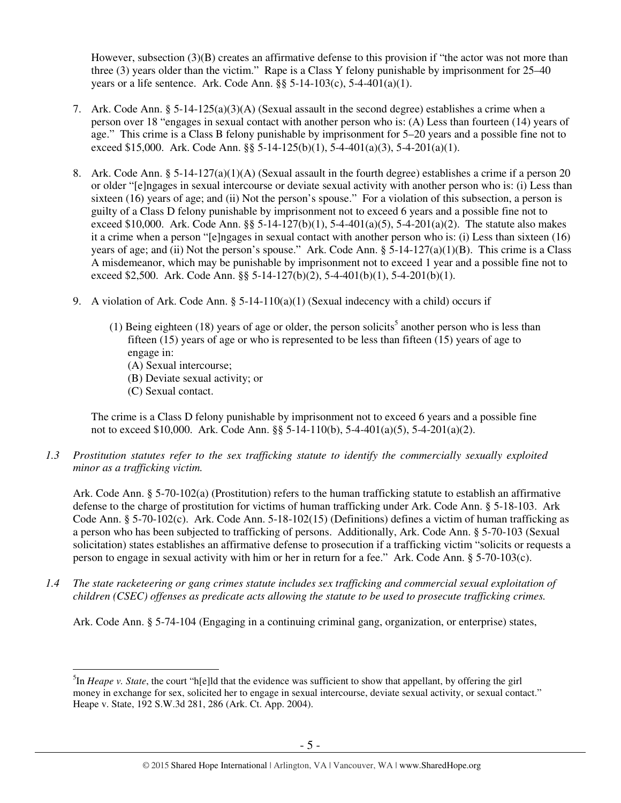However, subsection (3)(B) creates an affirmative defense to this provision if "the actor was not more than three (3) years older than the victim." Rape is a Class Y felony punishable by imprisonment for 25–40 years or a life sentence. Ark. Code Ann.  $\S$ § 5-14-103(c), 5-4-401(a)(1).

- 7. Ark. Code Ann. § 5-14-125(a)(3)(A) (Sexual assault in the second degree) establishes a crime when a person over 18 "engages in sexual contact with another person who is: (A) Less than fourteen (14) years of age." This crime is a Class B felony punishable by imprisonment for 5–20 years and a possible fine not to exceed \$15,000. Ark. Code Ann. §§ 5-14-125(b)(1), 5-4-401(a)(3), 5-4-201(a)(1).
- 8. Ark. Code Ann. § 5-14-127(a)(1)(A) (Sexual assault in the fourth degree) establishes a crime if a person 20 or older "[e]ngages in sexual intercourse or deviate sexual activity with another person who is: (i) Less than sixteen (16) years of age; and (ii) Not the person's spouse." For a violation of this subsection, a person is guilty of a Class D felony punishable by imprisonment not to exceed 6 years and a possible fine not to exceed \$10,000. Ark. Code Ann.  $\S$  5-14-127(b)(1), 5-4-401(a)(5), 5-4-201(a)(2). The statute also makes it a crime when a person "[e]ngages in sexual contact with another person who is: (i) Less than sixteen (16) years of age; and (ii) Not the person's spouse." Ark. Code Ann.  $\S$  5-14-127(a)(1)(B). This crime is a Class A misdemeanor, which may be punishable by imprisonment not to exceed 1 year and a possible fine not to exceed \$2,500. Ark. Code Ann. §§ 5-14-127(b)(2), 5-4-401(b)(1), 5-4-201(b)(1).
- 9. A violation of Ark. Code Ann. § 5-14-110(a)(1) (Sexual indecency with a child) occurs if
	- (1) Being eighteen (18) years of age or older, the person solicits<sup>5</sup> another person who is less than fifteen (15) years of age or who is represented to be less than fifteen (15) years of age to engage in:
		- (A) Sexual intercourse;
		- (B) Deviate sexual activity; or
		- (C) Sexual contact.

 $\overline{a}$ 

The crime is a Class D felony punishable by imprisonment not to exceed 6 years and a possible fine not to exceed \$10,000. Ark. Code Ann. §§ 5-14-110(b), 5-4-401(a)(5), 5-4-201(a)(2).

*1.3 Prostitution statutes refer to the sex trafficking statute to identify the commercially sexually exploited minor as a trafficking victim.* 

Ark. Code Ann. § 5-70-102(a) (Prostitution) refers to the human trafficking statute to establish an affirmative defense to the charge of prostitution for victims of human trafficking under Ark. Code Ann. § 5-18-103. Ark Code Ann. § 5-70-102(c). Ark. Code Ann. 5-18-102(15) (Definitions) defines a victim of human trafficking as a person who has been subjected to trafficking of persons. Additionally, Ark. Code Ann. § 5-70-103 (Sexual solicitation) states establishes an affirmative defense to prosecution if a trafficking victim "solicits or requests a person to engage in sexual activity with him or her in return for a fee." Ark. Code Ann. § 5-70-103(c).

*1.4 The state racketeering or gang crimes statute includes sex trafficking and commercial sexual exploitation of children (CSEC) offenses as predicate acts allowing the statute to be used to prosecute trafficking crimes.* 

Ark. Code Ann. § 5-74-104 (Engaging in a continuing criminal gang, organization, or enterprise) states,

<sup>5</sup> In *Heape v. State*, the court "h[e]ld that the evidence was sufficient to show that appellant, by offering the girl money in exchange for sex, solicited her to engage in sexual intercourse, deviate sexual activity, or sexual contact." Heape v. State, 192 S.W.3d 281, 286 (Ark. Ct. App. 2004).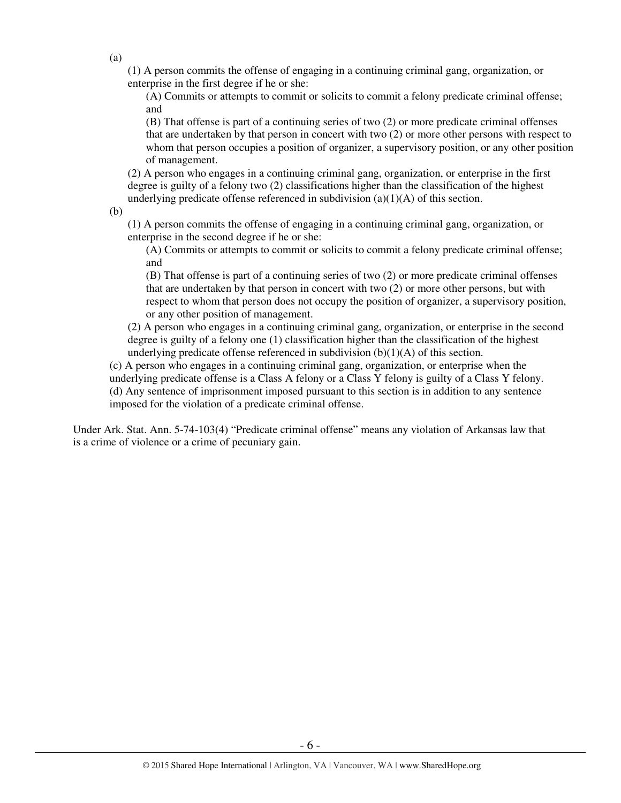(1) A person commits the offense of engaging in a continuing criminal gang, organization, or enterprise in the first degree if he or she:

(A) Commits or attempts to commit or solicits to commit a felony predicate criminal offense; and

(B) That offense is part of a continuing series of two (2) or more predicate criminal offenses that are undertaken by that person in concert with two (2) or more other persons with respect to whom that person occupies a position of organizer, a supervisory position, or any other position of management.

(2) A person who engages in a continuing criminal gang, organization, or enterprise in the first degree is guilty of a felony two (2) classifications higher than the classification of the highest underlying predicate offense referenced in subdivision  $(a)(1)(A)$  of this section.

(b)

(1) A person commits the offense of engaging in a continuing criminal gang, organization, or enterprise in the second degree if he or she:

(A) Commits or attempts to commit or solicits to commit a felony predicate criminal offense; and

(B) That offense is part of a continuing series of two (2) or more predicate criminal offenses that are undertaken by that person in concert with two (2) or more other persons, but with respect to whom that person does not occupy the position of organizer, a supervisory position, or any other position of management.

(2) A person who engages in a continuing criminal gang, organization, or enterprise in the second degree is guilty of a felony one (1) classification higher than the classification of the highest underlying predicate offense referenced in subdivision (b)(1)(A) of this section.

(c) A person who engages in a continuing criminal gang, organization, or enterprise when the underlying predicate offense is a Class A felony or a Class Y felony is guilty of a Class Y felony. (d) Any sentence of imprisonment imposed pursuant to this section is in addition to any sentence imposed for the violation of a predicate criminal offense.

Under Ark. Stat. Ann. 5-74-103(4) "Predicate criminal offense" means any violation of Arkansas law that is a crime of violence or a crime of pecuniary gain.

(a)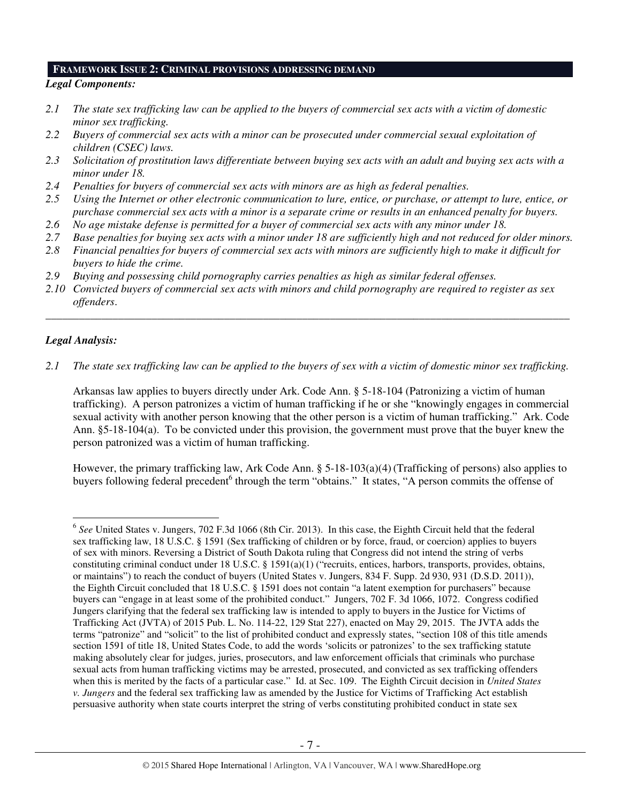#### **FRAMEWORK ISSUE 2: CRIMINAL PROVISIONS ADDRESSING DEMAND**

## *Legal Components:*

- *2.1 The state sex trafficking law can be applied to the buyers of commercial sex acts with a victim of domestic minor sex trafficking.*
- *2.2 Buyers of commercial sex acts with a minor can be prosecuted under commercial sexual exploitation of children (CSEC) laws.*
- *2.3 Solicitation of prostitution laws differentiate between buying sex acts with an adult and buying sex acts with a minor under 18.*
- *2.4 Penalties for buyers of commercial sex acts with minors are as high as federal penalties.*
- *2.5 Using the Internet or other electronic communication to lure, entice, or purchase, or attempt to lure, entice, or purchase commercial sex acts with a minor is a separate crime or results in an enhanced penalty for buyers.*
- *2.6 No age mistake defense is permitted for a buyer of commercial sex acts with any minor under 18.*
- *2.7 Base penalties for buying sex acts with a minor under 18 are sufficiently high and not reduced for older minors.*
- *2.8 Financial penalties for buyers of commercial sex acts with minors are sufficiently high to make it difficult for buyers to hide the crime.*
- *2.9 Buying and possessing child pornography carries penalties as high as similar federal offenses.*
- *2.10 Convicted buyers of commercial sex acts with minors and child pornography are required to register as sex offenders*.

\_\_\_\_\_\_\_\_\_\_\_\_\_\_\_\_\_\_\_\_\_\_\_\_\_\_\_\_\_\_\_\_\_\_\_\_\_\_\_\_\_\_\_\_\_\_\_\_\_\_\_\_\_\_\_\_\_\_\_\_\_\_\_\_\_\_\_\_\_\_\_\_\_\_\_\_\_\_\_\_\_\_\_\_\_\_\_\_\_\_\_\_\_\_

## *Legal Analysis:*

 $\overline{a}$ 

*2.1 The state sex trafficking law can be applied to the buyers of sex with a victim of domestic minor sex trafficking.*

Arkansas law applies to buyers directly under Ark. Code Ann. § 5-18-104 (Patronizing a victim of human trafficking). A person patronizes a victim of human trafficking if he or she "knowingly engages in commercial sexual activity with another person knowing that the other person is a victim of human trafficking." Ark. Code Ann. §5-18-104(a). To be convicted under this provision, the government must prove that the buyer knew the person patronized was a victim of human trafficking.

However, the primary trafficking law, Ark Code Ann. § 5-18-103(a)(4) (Trafficking of persons) also applies to buyers following federal precedent<sup>6</sup> through the term "obtains." It states, "A person commits the offense of

<sup>6</sup> *See* United States v. Jungers, 702 F.3d 1066 (8th Cir. 2013). In this case, the Eighth Circuit held that the federal sex trafficking law, 18 U.S.C. § 1591 (Sex trafficking of children or by force, fraud, or coercion) applies to buyers of sex with minors. Reversing a District of South Dakota ruling that Congress did not intend the string of verbs constituting criminal conduct under 18 U.S.C. § 1591(a)(1) ("recruits, entices, harbors, transports, provides, obtains, or maintains") to reach the conduct of buyers (United States v. Jungers, 834 F. Supp. 2d 930, 931 (D.S.D. 2011)), the Eighth Circuit concluded that 18 U.S.C. § 1591 does not contain "a latent exemption for purchasers" because buyers can "engage in at least some of the prohibited conduct." Jungers, 702 F. 3d 1066, 1072. Congress codified Jungers clarifying that the federal sex trafficking law is intended to apply to buyers in the Justice for Victims of Trafficking Act (JVTA) of 2015 Pub. L. No. 114-22, 129 Stat 227), enacted on May 29, 2015. The JVTA adds the terms "patronize" and "solicit" to the list of prohibited conduct and expressly states, "section 108 of this title amends section 1591 of title 18, United States Code, to add the words 'solicits or patronizes' to the sex trafficking statute making absolutely clear for judges, juries, prosecutors, and law enforcement officials that criminals who purchase sexual acts from human trafficking victims may be arrested, prosecuted, and convicted as sex trafficking offenders when this is merited by the facts of a particular case." Id. at Sec. 109. The Eighth Circuit decision in *United States v. Jungers* and the federal sex trafficking law as amended by the Justice for Victims of Trafficking Act establish persuasive authority when state courts interpret the string of verbs constituting prohibited conduct in state sex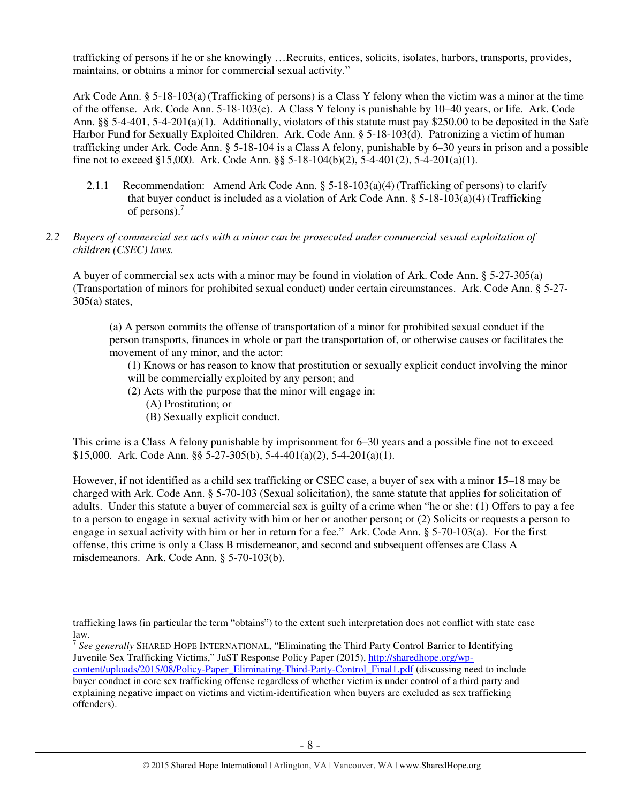trafficking of persons if he or she knowingly …Recruits, entices, solicits, isolates, harbors, transports, provides, maintains, or obtains a minor for commercial sexual activity."

Ark Code Ann. § 5-18-103(a)(Trafficking of persons) is a Class Y felony when the victim was a minor at the time of the offense. Ark. Code Ann. 5-18-103(c). A Class Y felony is punishable by 10–40 years, or life. Ark. Code Ann. §§ 5-4-401, 5-4-201(a)(1). Additionally, violators of this statute must pay \$250.00 to be deposited in the Safe Harbor Fund for Sexually Exploited Children. Ark. Code Ann. § 5-18-103(d). Patronizing a victim of human trafficking under Ark. Code Ann. § 5-18-104 is a Class A felony, punishable by 6–30 years in prison and a possible fine not to exceed §15,000. Ark. Code Ann. §§ 5-18-104(b)(2), 5-4-401(2), 5-4-201(a)(1).

2.1.1 Recommendation: Amend Ark Code Ann. § 5-18-103(a)(4)(Trafficking of persons) to clarify that buyer conduct is included as a violation of Ark Code Ann.  $\S$  5-18-103(a)(4)(Trafficking of persons). $<sup>7</sup>$ </sup>

#### *2.2 Buyers of commercial sex acts with a minor can be prosecuted under commercial sexual exploitation of children (CSEC) laws.*

A buyer of commercial sex acts with a minor may be found in violation of Ark. Code Ann. § 5-27-305(a) (Transportation of minors for prohibited sexual conduct) under certain circumstances. Ark. Code Ann. § 5-27- 305(a) states,

(a) A person commits the offense of transportation of a minor for prohibited sexual conduct if the person transports, finances in whole or part the transportation of, or otherwise causes or facilitates the movement of any minor, and the actor:

(1) Knows or has reason to know that prostitution or sexually explicit conduct involving the minor will be commercially exploited by any person; and

- (2) Acts with the purpose that the minor will engage in:
	- (A) Prostitution; or

 $\overline{a}$ 

(B) Sexually explicit conduct.

This crime is a Class A felony punishable by imprisonment for 6–30 years and a possible fine not to exceed \$15,000. Ark. Code Ann. §§ 5-27-305(b), 5-4-401(a)(2), 5-4-201(a)(1).

However, if not identified as a child sex trafficking or CSEC case, a buyer of sex with a minor 15–18 may be charged with Ark. Code Ann. § 5-70-103 (Sexual solicitation), the same statute that applies for solicitation of adults. Under this statute a buyer of commercial sex is guilty of a crime when "he or she: (1) Offers to pay a fee to a person to engage in sexual activity with him or her or another person; or (2) Solicits or requests a person to engage in sexual activity with him or her in return for a fee." Ark. Code Ann. § 5-70-103(a). For the first offense, this crime is only a Class B misdemeanor, and second and subsequent offenses are Class A misdemeanors. Ark. Code Ann. § 5-70-103(b).

trafficking laws (in particular the term "obtains") to the extent such interpretation does not conflict with state case law.

<sup>7</sup> *See generally* SHARED HOPE INTERNATIONAL, "Eliminating the Third Party Control Barrier to Identifying Juvenile Sex Trafficking Victims," JuST Response Policy Paper (2015), http://sharedhope.org/wpcontent/uploads/2015/08/Policy-Paper\_Eliminating-Third-Party-Control\_Final1.pdf (discussing need to include buyer conduct in core sex trafficking offense regardless of whether victim is under control of a third party and explaining negative impact on victims and victim-identification when buyers are excluded as sex trafficking offenders).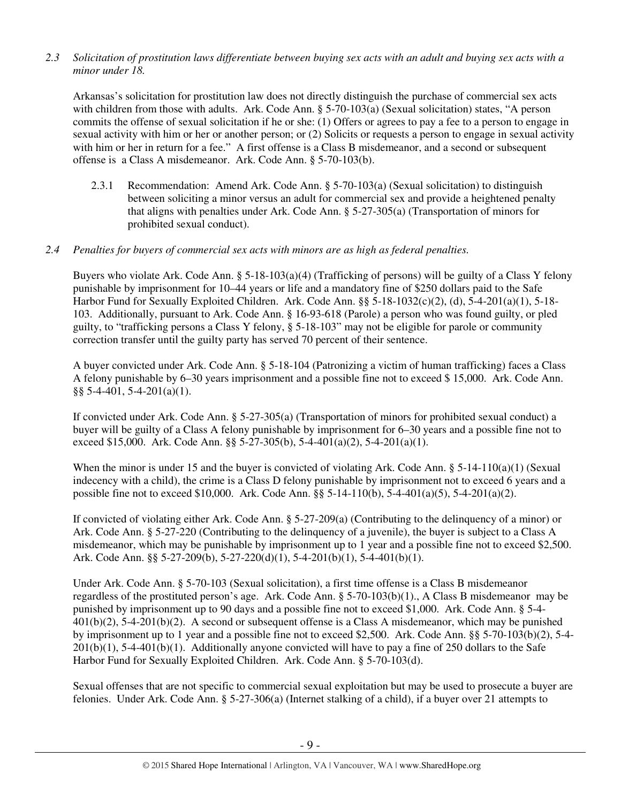*2.3 Solicitation of prostitution laws differentiate between buying sex acts with an adult and buying sex acts with a minor under 18.* 

Arkansas's solicitation for prostitution law does not directly distinguish the purchase of commercial sex acts with children from those with adults. Ark. Code Ann. § 5-70-103(a) (Sexual solicitation) states, "A person commits the offense of sexual solicitation if he or she: (1) Offers or agrees to pay a fee to a person to engage in sexual activity with him or her or another person; or (2) Solicits or requests a person to engage in sexual activity with him or her in return for a fee." A first offense is a Class B misdemeanor, and a second or subsequent offense is a Class A misdemeanor. Ark. Code Ann. § 5-70-103(b).

2.3.1 Recommendation: Amend Ark. Code Ann. § 5-70-103(a) (Sexual solicitation) to distinguish between soliciting a minor versus an adult for commercial sex and provide a heightened penalty that aligns with penalties under Ark. Code Ann. § 5-27-305(a) (Transportation of minors for prohibited sexual conduct).

## *2.4 Penalties for buyers of commercial sex acts with minors are as high as federal penalties.*

Buyers who violate Ark. Code Ann. § 5-18-103(a)(4) (Trafficking of persons) will be guilty of a Class Y felony punishable by imprisonment for 10–44 years or life and a mandatory fine of \$250 dollars paid to the Safe Harbor Fund for Sexually Exploited Children. Ark. Code Ann. §§ 5-18-1032(c)(2), (d), 5-4-201(a)(1), 5-18-103. Additionally, pursuant to Ark. Code Ann. § 16-93-618 (Parole) a person who was found guilty, or pled guilty, to "trafficking persons a Class Y felony, § 5-18-103" may not be eligible for parole or community correction transfer until the guilty party has served 70 percent of their sentence.

A buyer convicted under Ark. Code Ann. § 5-18-104 (Patronizing a victim of human trafficking) faces a Class A felony punishable by 6–30 years imprisonment and a possible fine not to exceed \$ 15,000. Ark. Code Ann.  $\S$ § 5-4-401, 5-4-201(a)(1).

If convicted under Ark. Code Ann. § 5-27-305(a) (Transportation of minors for prohibited sexual conduct) a buyer will be guilty of a Class A felony punishable by imprisonment for 6–30 years and a possible fine not to exceed \$15,000. Ark. Code Ann. §§ 5-27-305(b), 5-4-401(a)(2), 5-4-201(a)(1).

When the minor is under 15 and the buyer is convicted of violating Ark. Code Ann.  $\S$  5-14-110(a)(1) (Sexual indecency with a child), the crime is a Class D felony punishable by imprisonment not to exceed 6 years and a possible fine not to exceed \$10,000. Ark. Code Ann. §§ 5-14-110(b), 5-4-401(a)(5), 5-4-201(a)(2).

If convicted of violating either Ark. Code Ann. § 5-27-209(a) (Contributing to the delinquency of a minor) or Ark. Code Ann. § 5-27-220 (Contributing to the delinquency of a juvenile), the buyer is subject to a Class A misdemeanor, which may be punishable by imprisonment up to 1 year and a possible fine not to exceed \$2,500. Ark. Code Ann. §§ 5-27-209(b), 5-27-220(d)(1), 5-4-201(b)(1), 5-4-401(b)(1).

Under Ark. Code Ann. § 5-70-103 (Sexual solicitation), a first time offense is a Class B misdemeanor regardless of the prostituted person's age. Ark. Code Ann. § 5-70-103(b)(1)., A Class B misdemeanor may be punished by imprisonment up to 90 days and a possible fine not to exceed \$1,000. Ark. Code Ann. § 5-4- 401(b)(2), 5-4-201(b)(2). A second or subsequent offense is a Class A misdemeanor, which may be punished by imprisonment up to 1 year and a possible fine not to exceed \$2,500. Ark. Code Ann. §§ 5-70-103(b)(2), 5-4-  $201(b)(1)$ , 5-4-401(b)(1). Additionally anyone convicted will have to pay a fine of 250 dollars to the Safe Harbor Fund for Sexually Exploited Children. Ark. Code Ann. § 5-70-103(d).

Sexual offenses that are not specific to commercial sexual exploitation but may be used to prosecute a buyer are felonies. Under Ark. Code Ann. § 5-27-306(a) (Internet stalking of a child), if a buyer over 21 attempts to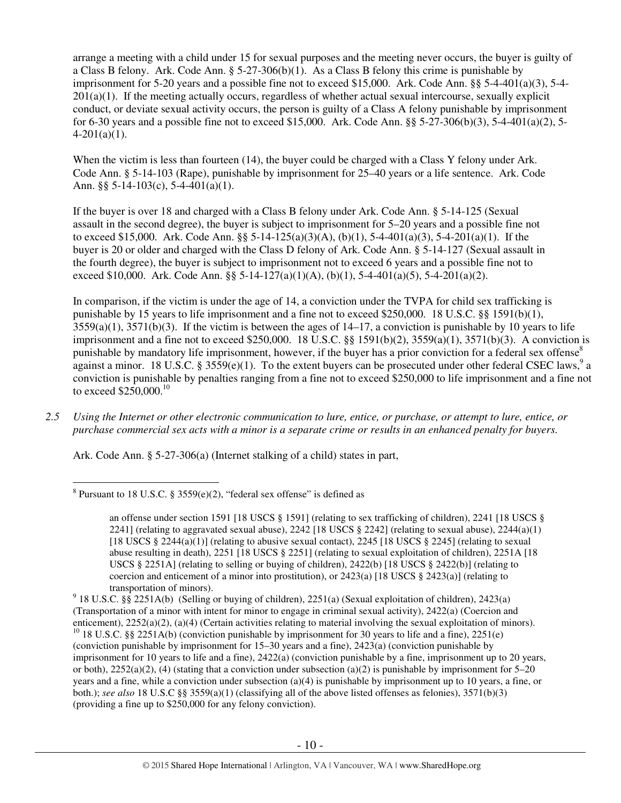arrange a meeting with a child under 15 for sexual purposes and the meeting never occurs, the buyer is guilty of a Class B felony. Ark. Code Ann. § 5-27-306(b)(1). As a Class B felony this crime is punishable by imprisonment for 5-20 years and a possible fine not to exceed \$15,000. Ark. Code Ann. §§ 5-4-401(a)(3), 5-4- 201(a)(1). If the meeting actually occurs, regardless of whether actual sexual intercourse, sexually explicit conduct, or deviate sexual activity occurs, the person is guilty of a Class A felony punishable by imprisonment for 6-30 years and a possible fine not to exceed \$15,000. Ark. Code Ann. §§ 5-27-306(b)(3), 5-4-401(a)(2), 5-  $4-201(a)(1)$ .

When the victim is less than fourteen (14), the buyer could be charged with a Class Y felony under Ark. Code Ann. § 5-14-103 (Rape), punishable by imprisonment for 25–40 years or a life sentence. Ark. Code Ann. §§ 5-14-103(c), 5-4-401(a)(1).

If the buyer is over 18 and charged with a Class B felony under Ark. Code Ann. § 5-14-125 (Sexual assault in the second degree), the buyer is subject to imprisonment for 5–20 years and a possible fine not to exceed \$15,000. Ark. Code Ann. §§ 5-14-125(a)(3)(A), (b)(1), 5-4-401(a)(3), 5-4-201(a)(1). If the buyer is 20 or older and charged with the Class D felony of Ark. Code Ann. § 5-14-127 (Sexual assault in the fourth degree), the buyer is subject to imprisonment not to exceed 6 years and a possible fine not to exceed \$10,000. Ark. Code Ann. §§ 5-14-127(a)(1)(A), (b)(1), 5-4-401(a)(5), 5-4-201(a)(2).

In comparison, if the victim is under the age of 14, a conviction under the TVPA for child sex trafficking is punishable by 15 years to life imprisonment and a fine not to exceed \$250,000. 18 U.S.C. §§ 1591(b)(1),  $3559(a)(1)$ ,  $3571(b)(3)$ . If the victim is between the ages of  $14-17$ , a conviction is punishable by 10 years to life imprisonment and a fine not to exceed \$250,000. 18 U.S.C. §§ 1591(b)(2), 3559(a)(1), 3571(b)(3). A conviction is punishable by mandatory life imprisonment, however, if the buyer has a prior conviction for a federal sex offense<sup>8</sup> against a minor. 18 U.S.C. § 3559 $(e)(1)$ . To the extent buyers can be prosecuted under other federal CSEC laws,<sup>9</sup> a conviction is punishable by penalties ranging from a fine not to exceed \$250,000 to life imprisonment and a fine not to exceed  $$250,000$ .<sup>10</sup>

*2.5 Using the Internet or other electronic communication to lure, entice, or purchase, or attempt to lure, entice, or purchase commercial sex acts with a minor is a separate crime or results in an enhanced penalty for buyers.* 

Ark. Code Ann. § 5-27-306(a) (Internet stalking of a child) states in part,

 $\overline{a}$ <sup>8</sup> Pursuant to 18 U.S.C. § 3559(e)(2), "federal sex offense" is defined as

an offense under section 1591 [18 USCS § 1591] (relating to sex trafficking of children), 2241 [18 USCS § 2241] (relating to aggravated sexual abuse), 2242 [18 USCS  $\S$  2242] (relating to sexual abuse), 2244(a)(1) [18 USCS § 2244(a)(1)] (relating to abusive sexual contact), 2245 [18 USCS § 2245] (relating to sexual abuse resulting in death), 2251 [18 USCS § 2251] (relating to sexual exploitation of children), 2251A [18 USCS § 2251A] (relating to selling or buying of children), 2422(b) [18 USCS § 2422(b)] (relating to coercion and enticement of a minor into prostitution), or  $2423(a)$  [18 USCS § 2423(a)] (relating to transportation of minors).

<sup>9</sup> 18 U.S.C. §§ 2251A(b) (Selling or buying of children), 2251(a) (Sexual exploitation of children), 2423(a) (Transportation of a minor with intent for minor to engage in criminal sexual activity), 2422(a) (Coercion and enticement), 2252(a)(2), (a)(4) (Certain activities relating to material involving the sexual exploitation of minors). <sup>10</sup> 18 U.S.C. §§ 2251A(b) (conviction punishable by imprisonment for 30 years to life and a fine), 2251(e) (conviction punishable by imprisonment for 15–30 years and a fine), 2423(a) (conviction punishable by imprisonment for 10 years to life and a fine), 2422(a) (conviction punishable by a fine, imprisonment up to 20 years, or both),  $2252(a)(2)$ , (4) (stating that a conviction under subsection (a)(2) is punishable by imprisonment for 5–20 years and a fine, while a conviction under subsection (a)(4) is punishable by imprisonment up to 10 years, a fine, or both.); *see also* 18 U.S.C §§ 3559(a)(1) (classifying all of the above listed offenses as felonies), 3571(b)(3) (providing a fine up to \$250,000 for any felony conviction).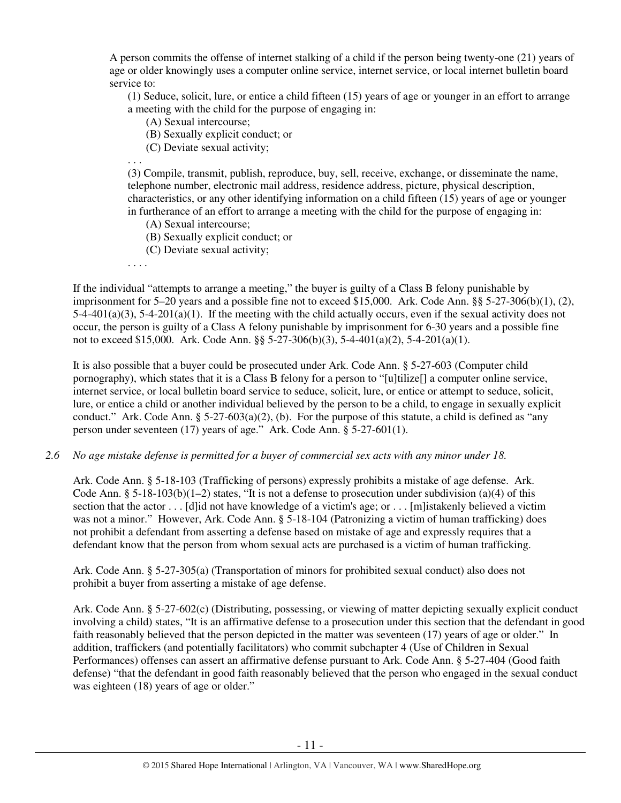A person commits the offense of internet stalking of a child if the person being twenty-one (21) years of age or older knowingly uses a computer online service, internet service, or local internet bulletin board service to:

(1) Seduce, solicit, lure, or entice a child fifteen (15) years of age or younger in an effort to arrange a meeting with the child for the purpose of engaging in:

- (A) Sexual intercourse;
- (B) Sexually explicit conduct; or
- (C) Deviate sexual activity;

. . .

(3) Compile, transmit, publish, reproduce, buy, sell, receive, exchange, or disseminate the name, telephone number, electronic mail address, residence address, picture, physical description, characteristics, or any other identifying information on a child fifteen (15) years of age or younger in furtherance of an effort to arrange a meeting with the child for the purpose of engaging in:

- (A) Sexual intercourse;
- (B) Sexually explicit conduct; or
- (C) Deviate sexual activity;
- . . . .

If the individual "attempts to arrange a meeting," the buyer is guilty of a Class B felony punishable by imprisonment for 5–20 years and a possible fine not to exceed \$15,000. Ark. Code Ann. §§ 5-27-306(b)(1), (2),  $5-4-401(a)(3)$ ,  $5-4-201(a)(1)$ . If the meeting with the child actually occurs, even if the sexual activity does not occur, the person is guilty of a Class A felony punishable by imprisonment for 6-30 years and a possible fine not to exceed \$15,000. Ark. Code Ann. §§ 5-27-306(b)(3), 5-4-401(a)(2), 5-4-201(a)(1).

It is also possible that a buyer could be prosecuted under Ark. Code Ann. § 5-27-603 (Computer child pornography), which states that it is a Class B felony for a person to "[u]tilize[] a computer online service, internet service, or local bulletin board service to seduce, solicit, lure, or entice or attempt to seduce, solicit, lure, or entice a child or another individual believed by the person to be a child, to engage in sexually explicit conduct." Ark. Code Ann.  $\S$  5-27-603(a)(2), (b). For the purpose of this statute, a child is defined as "any person under seventeen (17) years of age." Ark. Code Ann. § 5-27-601(1).

*2.6 No age mistake defense is permitted for a buyer of commercial sex acts with any minor under 18.*

Ark. Code Ann. § 5-18-103 (Trafficking of persons) expressly prohibits a mistake of age defense. Ark. Code Ann. § 5-18-103(b)(1-2) states, "It is not a defense to prosecution under subdivision (a)(4) of this section that the actor . . . [d]id not have knowledge of a victim's age; or . . . [m]istakenly believed a victim was not a minor." However, Ark. Code Ann. § 5-18-104 (Patronizing a victim of human trafficking) does not prohibit a defendant from asserting a defense based on mistake of age and expressly requires that a defendant know that the person from whom sexual acts are purchased is a victim of human trafficking.

Ark. Code Ann. § 5-27-305(a) (Transportation of minors for prohibited sexual conduct) also does not prohibit a buyer from asserting a mistake of age defense.

Ark. Code Ann. § 5-27-602(c) (Distributing, possessing, or viewing of matter depicting sexually explicit conduct involving a child) states, "It is an affirmative defense to a prosecution under this section that the defendant in good faith reasonably believed that the person depicted in the matter was seventeen (17) years of age or older." In addition, traffickers (and potentially facilitators) who commit subchapter 4 (Use of Children in Sexual Performances) offenses can assert an affirmative defense pursuant to Ark. Code Ann. § 5-27-404 (Good faith defense) "that the defendant in good faith reasonably believed that the person who engaged in the sexual conduct was eighteen (18) years of age or older."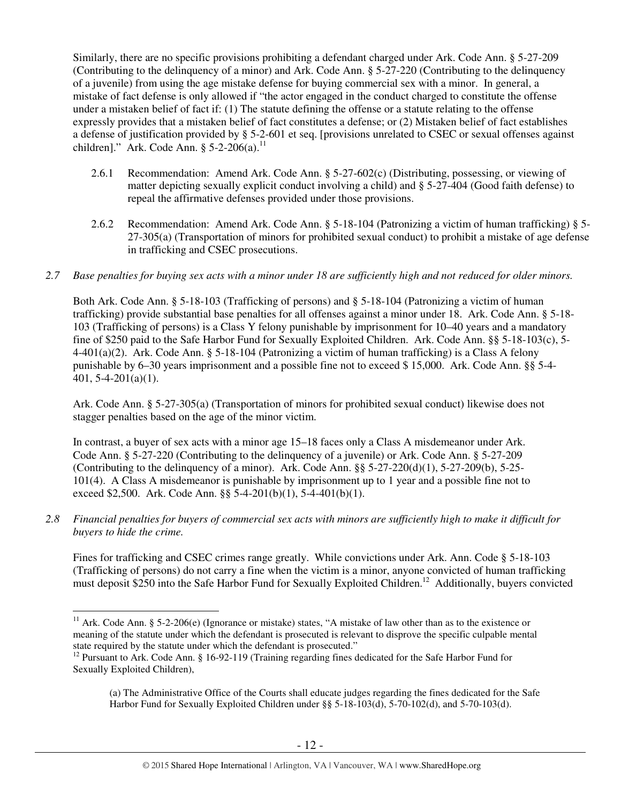Similarly, there are no specific provisions prohibiting a defendant charged under Ark. Code Ann. § 5-27-209 (Contributing to the delinquency of a minor) and Ark. Code Ann. § 5-27-220 (Contributing to the delinquency of a juvenile) from using the age mistake defense for buying commercial sex with a minor. In general, a mistake of fact defense is only allowed if "the actor engaged in the conduct charged to constitute the offense under a mistaken belief of fact if: (1) The statute defining the offense or a statute relating to the offense expressly provides that a mistaken belief of fact constitutes a defense; or (2) Mistaken belief of fact establishes a defense of justification provided by § 5-2-601 et seq. [provisions unrelated to CSEC or sexual offenses against children]." Ark. Code Ann.  $\S$  5-2-206(a).<sup>11</sup>

- 2.6.1 Recommendation: Amend Ark. Code Ann. § 5-27-602(c) (Distributing, possessing, or viewing of matter depicting sexually explicit conduct involving a child) and § 5-27-404 (Good faith defense) to repeal the affirmative defenses provided under those provisions.
- 2.6.2 Recommendation: Amend Ark. Code Ann. § 5-18-104 (Patronizing a victim of human trafficking) § 5- 27-305(a) (Transportation of minors for prohibited sexual conduct) to prohibit a mistake of age defense in trafficking and CSEC prosecutions.
- *2.7 Base penalties for buying sex acts with a minor under 18 are sufficiently high and not reduced for older minors.*

Both Ark. Code Ann. § 5-18-103 (Trafficking of persons) and § 5-18-104 (Patronizing a victim of human trafficking) provide substantial base penalties for all offenses against a minor under 18. Ark. Code Ann. § 5-18- 103 (Trafficking of persons) is a Class Y felony punishable by imprisonment for 10–40 years and a mandatory fine of \$250 paid to the Safe Harbor Fund for Sexually Exploited Children. Ark. Code Ann. §§ 5-18-103(c), 5- 4-401(a)(2). Ark. Code Ann. § 5-18-104 (Patronizing a victim of human trafficking) is a Class A felony punishable by 6–30 years imprisonment and a possible fine not to exceed \$ 15,000. Ark. Code Ann. §§ 5-4- 401, 5-4-201(a)(1).

Ark. Code Ann. § 5-27-305(a) (Transportation of minors for prohibited sexual conduct) likewise does not stagger penalties based on the age of the minor victim.

In contrast, a buyer of sex acts with a minor age 15–18 faces only a Class A misdemeanor under Ark. Code Ann. § 5-27-220 (Contributing to the delinquency of a juvenile) or Ark. Code Ann. § 5-27-209 (Contributing to the delinquency of a minor). Ark. Code Ann.  $\S$ § 5-27-220(d)(1), 5-27-209(b), 5-25-101(4). A Class A misdemeanor is punishable by imprisonment up to 1 year and a possible fine not to exceed \$2,500. Ark. Code Ann. §§ 5-4-201(b)(1), 5-4-401(b)(1).

*2.8 Financial penalties for buyers of commercial sex acts with minors are sufficiently high to make it difficult for buyers to hide the crime.*

Fines for trafficking and CSEC crimes range greatly. While convictions under Ark. Ann. Code § 5-18-103 (Trafficking of persons) do not carry a fine when the victim is a minor, anyone convicted of human trafficking must deposit \$250 into the Safe Harbor Fund for Sexually Exploited Children.<sup>12</sup> Additionally, buyers convicted

 $\overline{a}$ <sup>11</sup> Ark. Code Ann. § 5-2-206(e) (Ignorance or mistake) states, "A mistake of law other than as to the existence or meaning of the statute under which the defendant is prosecuted is relevant to disprove the specific culpable mental state required by the statute under which the defendant is prosecuted."

<sup>&</sup>lt;sup>12</sup> Pursuant to Ark. Code Ann. § 16-92-119 (Training regarding fines dedicated for the Safe Harbor Fund for Sexually Exploited Children),

<sup>(</sup>a) The Administrative Office of the Courts shall educate judges regarding the fines dedicated for the Safe Harbor Fund for Sexually Exploited Children under §§ 5-18-103(d), 5-70-102(d), and 5-70-103(d).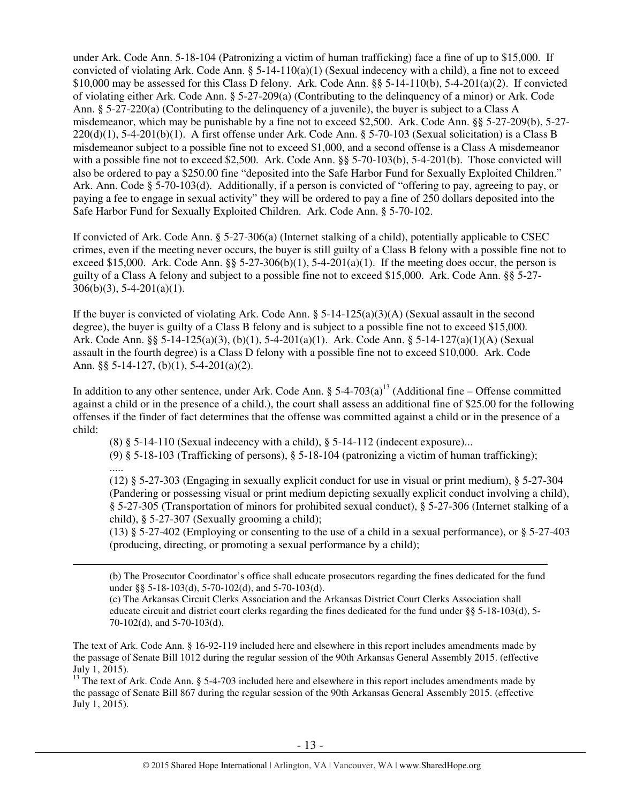under Ark. Code Ann. 5-18-104 (Patronizing a victim of human trafficking) face a fine of up to \$15,000. If convicted of violating Ark. Code Ann.  $\S 5$ -14-110(a)(1) (Sexual indecency with a child), a fine not to exceed \$10,000 may be assessed for this Class D felony. Ark. Code Ann. §§ 5-14-110(b), 5-4-201(a)(2). If convicted of violating either Ark. Code Ann. § 5-27-209(a) (Contributing to the delinquency of a minor) or Ark. Code Ann. § 5-27-220(a) (Contributing to the delinquency of a juvenile), the buyer is subject to a Class A misdemeanor, which may be punishable by a fine not to exceed \$2,500. Ark. Code Ann. §§ 5-27-209(b), 5-27-  $220(d)(1)$ , 5-4-201(b)(1). A first offense under Ark. Code Ann. § 5-70-103 (Sexual solicitation) is a Class B misdemeanor subject to a possible fine not to exceed \$1,000, and a second offense is a Class A misdemeanor with a possible fine not to exceed \$2,500. Ark. Code Ann. §§ 5-70-103(b), 5-4-201(b). Those convicted will also be ordered to pay a \$250.00 fine "deposited into the Safe Harbor Fund for Sexually Exploited Children." Ark. Ann. Code § 5-70-103(d). Additionally, if a person is convicted of "offering to pay, agreeing to pay, or paying a fee to engage in sexual activity" they will be ordered to pay a fine of 250 dollars deposited into the Safe Harbor Fund for Sexually Exploited Children. Ark. Code Ann. § 5-70-102.

If convicted of Ark. Code Ann. § 5-27-306(a) (Internet stalking of a child), potentially applicable to CSEC crimes, even if the meeting never occurs, the buyer is still guilty of a Class B felony with a possible fine not to exceed \$15,000. Ark. Code Ann.  $\S$ § 5-27-306(b)(1), 5-4-201(a)(1). If the meeting does occur, the person is guilty of a Class A felony and subject to a possible fine not to exceed \$15,000. Ark. Code Ann. §§ 5-27-  $306(b)(3)$ , 5-4-201(a)(1).

If the buyer is convicted of violating Ark. Code Ann.  $\S$  5-14-125(a)(3)(A) (Sexual assault in the second degree), the buyer is guilty of a Class B felony and is subject to a possible fine not to exceed \$15,000. Ark. Code Ann. §§ 5-14-125(a)(3), (b)(1), 5-4-201(a)(1). Ark. Code Ann. § 5-14-127(a)(1)(A) (Sexual assault in the fourth degree) is a Class D felony with a possible fine not to exceed \$10,000. Ark. Code Ann. §§ 5-14-127, (b)(1), 5-4-201(a)(2).

In addition to any other sentence, under Ark. Code Ann. §  $5-4-703(a)^{13}$  (Additional fine – Offense committed against a child or in the presence of a child.), the court shall assess an additional fine of \$25.00 for the following offenses if the finder of fact determines that the offense was committed against a child or in the presence of a child:

 $(8)$  § 5-14-110 (Sexual indecency with a child), § 5-14-112 (indecent exposure)...

(9) § 5-18-103 (Trafficking of persons), § 5-18-104 (patronizing a victim of human trafficking);

.....

 $\overline{a}$ 

(12) § 5-27-303 (Engaging in sexually explicit conduct for use in visual or print medium), § 5-27-304 (Pandering or possessing visual or print medium depicting sexually explicit conduct involving a child), § 5-27-305 (Transportation of minors for prohibited sexual conduct), § 5-27-306 (Internet stalking of a child), § 5-27-307 (Sexually grooming a child);

(13) § 5-27-402 (Employing or consenting to the use of a child in a sexual performance), or § 5-27-403 (producing, directing, or promoting a sexual performance by a child);

(b) The Prosecutor Coordinator's office shall educate prosecutors regarding the fines dedicated for the fund under §§ 5-18-103(d), 5-70-102(d), and 5-70-103(d).

(c) The Arkansas Circuit Clerks Association and the Arkansas District Court Clerks Association shall educate circuit and district court clerks regarding the fines dedicated for the fund under §§ 5-18-103(d), 5- 70-102(d), and 5-70-103(d).

The text of Ark. Code Ann. § 16-92-119 included here and elsewhere in this report includes amendments made by the passage of Senate Bill 1012 during the regular session of the 90th Arkansas General Assembly 2015. (effective July 1, 2015).

 $13$  The text of Ark. Code Ann. § 5-4-703 included here and elsewhere in this report includes amendments made by the passage of Senate Bill 867 during the regular session of the 90th Arkansas General Assembly 2015. (effective July 1, 2015).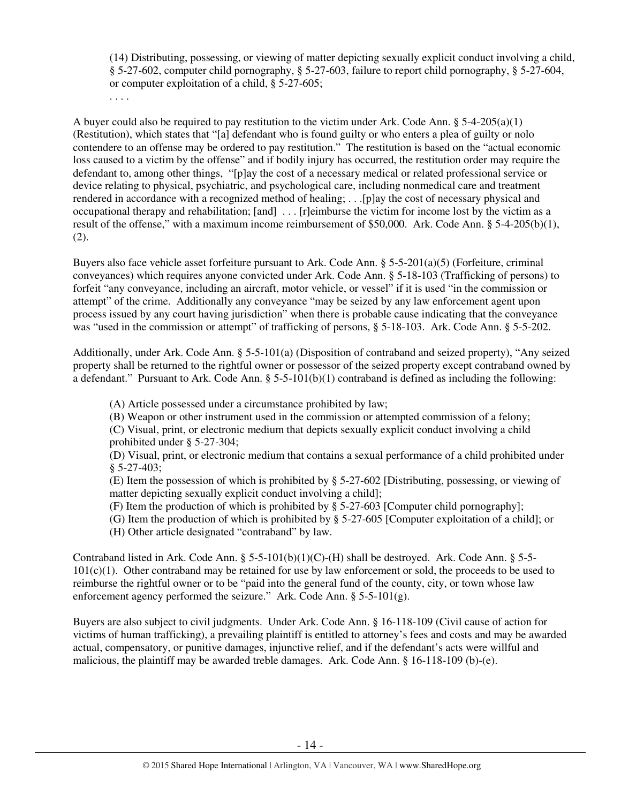(14) Distributing, possessing, or viewing of matter depicting sexually explicit conduct involving a child, § 5-27-602, computer child pornography, § 5-27-603, failure to report child pornography, § 5-27-604, or computer exploitation of a child, § 5-27-605;

A buyer could also be required to pay restitution to the victim under Ark. Code Ann.  $\S$  5-4-205(a)(1) (Restitution), which states that "[a] defendant who is found guilty or who enters a plea of guilty or nolo contendere to an offense may be ordered to pay restitution." The restitution is based on the "actual economic loss caused to a victim by the offense" and if bodily injury has occurred, the restitution order may require the defendant to, among other things, "[p]ay the cost of a necessary medical or related professional service or device relating to physical, psychiatric, and psychological care, including nonmedical care and treatment rendered in accordance with a recognized method of healing; . . .[p]ay the cost of necessary physical and occupational therapy and rehabilitation; [and] . . . [r]eimburse the victim for income lost by the victim as a result of the offense," with a maximum income reimbursement of \$50,000. Ark. Code Ann. § 5-4-205(b)(1), (2).

Buyers also face vehicle asset forfeiture pursuant to Ark. Code Ann. § 5-5-201(a)(5) (Forfeiture, criminal conveyances) which requires anyone convicted under Ark. Code Ann. § 5-18-103 (Trafficking of persons) to forfeit "any conveyance, including an aircraft, motor vehicle, or vessel" if it is used "in the commission or attempt" of the crime. Additionally any conveyance "may be seized by any law enforcement agent upon process issued by any court having jurisdiction" when there is probable cause indicating that the conveyance was "used in the commission or attempt" of trafficking of persons, § 5-18-103. Ark. Code Ann. § 5-5-202.

Additionally, under Ark. Code Ann. § 5-5-101(a) (Disposition of contraband and seized property), "Any seized property shall be returned to the rightful owner or possessor of the seized property except contraband owned by a defendant." Pursuant to Ark. Code Ann.  $\S 5-5-101(b)(1)$  contraband is defined as including the following:

(A) Article possessed under a circumstance prohibited by law;

(B) Weapon or other instrument used in the commission or attempted commission of a felony;

(C) Visual, print, or electronic medium that depicts sexually explicit conduct involving a child prohibited under § 5-27-304;

(D) Visual, print, or electronic medium that contains a sexual performance of a child prohibited under § 5-27-403;

(E) Item the possession of which is prohibited by § 5-27-602 [Distributing, possessing, or viewing of matter depicting sexually explicit conduct involving a child];

(F) Item the production of which is prohibited by § 5-27-603 [Computer child pornography];

(G) Item the production of which is prohibited by § 5-27-605 [Computer exploitation of a child]; or

(H) Other article designated "contraband" by law.

. . . .

Contraband listed in Ark. Code Ann. § 5-5-101(b)(1)(C)-(H) shall be destroyed. Ark. Code Ann. § 5-5-  $101(c)(1)$ . Other contraband may be retained for use by law enforcement or sold, the proceeds to be used to reimburse the rightful owner or to be "paid into the general fund of the county, city, or town whose law enforcement agency performed the seizure." Ark. Code Ann.  $\S$  5-5-101(g).

Buyers are also subject to civil judgments. Under Ark. Code Ann. § 16-118-109 (Civil cause of action for victims of human trafficking), a prevailing plaintiff is entitled to attorney's fees and costs and may be awarded actual, compensatory, or punitive damages, injunctive relief, and if the defendant's acts were willful and malicious, the plaintiff may be awarded treble damages. Ark. Code Ann. § 16-118-109 (b)-(e).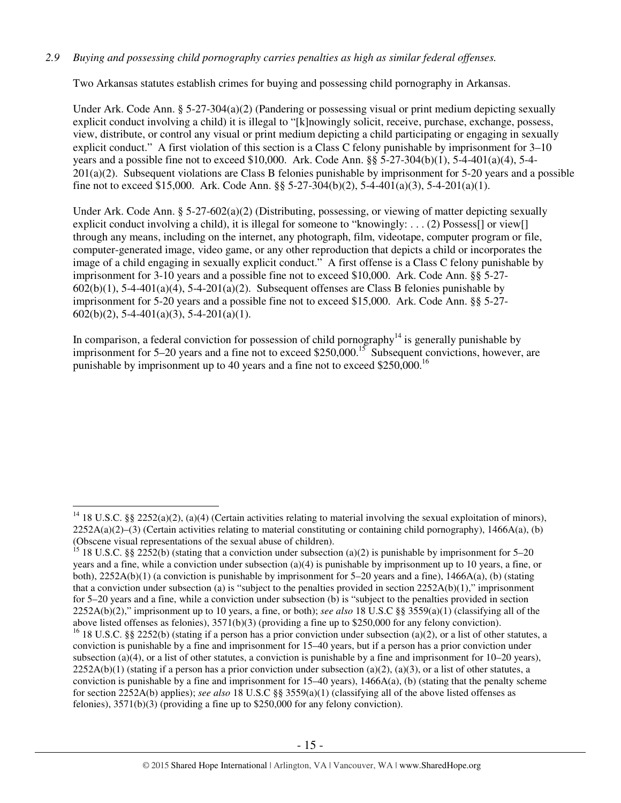## *2.9 Buying and possessing child pornography carries penalties as high as similar federal offenses.*

Two Arkansas statutes establish crimes for buying and possessing child pornography in Arkansas.

Under Ark. Code Ann. § 5-27-304(a)(2) (Pandering or possessing visual or print medium depicting sexually explicit conduct involving a child) it is illegal to "[k]nowingly solicit, receive, purchase, exchange, possess, view, distribute, or control any visual or print medium depicting a child participating or engaging in sexually explicit conduct." A first violation of this section is a Class C felony punishable by imprisonment for 3–10 years and a possible fine not to exceed \$10,000. Ark. Code Ann. §§ 5-27-304(b)(1), 5-4-401(a)(4), 5-4- 201(a)(2). Subsequent violations are Class B felonies punishable by imprisonment for 5-20 years and a possible fine not to exceed \$15,000. Ark. Code Ann. §§ 5-27-304(b)(2), 5-4-401(a)(3), 5-4-201(a)(1).

Under Ark. Code Ann. § 5-27-602(a)(2) (Distributing, possessing, or viewing of matter depicting sexually explicit conduct involving a child), it is illegal for someone to "knowingly: . . . (2) Possess[] or view[] through any means, including on the internet, any photograph, film, videotape, computer program or file, computer-generated image, video game, or any other reproduction that depicts a child or incorporates the image of a child engaging in sexually explicit conduct." A first offense is a Class C felony punishable by imprisonment for 3-10 years and a possible fine not to exceed \$10,000. Ark. Code Ann. §§ 5-27-  $602(b)(1)$ , 5-4-401(a)(4), 5-4-201(a)(2). Subsequent offenses are Class B felonies punishable by imprisonment for 5-20 years and a possible fine not to exceed \$15,000. Ark. Code Ann. §§ 5-27-  $602(b)(2)$ , 5-4-401(a)(3), 5-4-201(a)(1).

In comparison, a federal conviction for possession of child pornography<sup>14</sup> is generally punishable by imprisonment for  $5-20$  years and a fine not to exceed \$250,000.<sup>15</sup> Subsequent convictions, however, are punishable by imprisonment up to 40 years and a fine not to exceed \$250,000.<sup>16</sup>

 $\overline{a}$ <sup>14</sup> 18 U.S.C. §§ 2252(a)(2), (a)(4) (Certain activities relating to material involving the sexual exploitation of minors),  $2252A(a)(2)$ –(3) (Certain activities relating to material constituting or containing child pornography), 1466A(a), (b) (Obscene visual representations of the sexual abuse of children).

<sup>&</sup>lt;sup>15</sup> 18 U.S.C. §§ 2252(b) (stating that a conviction under subsection (a)(2) is punishable by imprisonment for 5–20 years and a fine, while a conviction under subsection (a)(4) is punishable by imprisonment up to 10 years, a fine, or both), 2252A(b)(1) (a conviction is punishable by imprisonment for 5–20 years and a fine), 1466A(a), (b) (stating that a conviction under subsection (a) is "subject to the penalties provided in section  $2252A(b)(1)$ ," imprisonment for 5–20 years and a fine, while a conviction under subsection (b) is "subject to the penalties provided in section 2252A(b)(2)," imprisonment up to 10 years, a fine, or both); *see also* 18 U.S.C §§ 3559(a)(1) (classifying all of the above listed offenses as felonies), 3571(b)(3) (providing a fine up to \$250,000 for any felony conviction).

<sup>&</sup>lt;sup>16</sup> 18 U.S.C. §§ 2252(b) (stating if a person has a prior conviction under subsection (a)(2), or a list of other statutes, a conviction is punishable by a fine and imprisonment for 15–40 years, but if a person has a prior conviction under subsection (a)(4), or a list of other statutes, a conviction is punishable by a fine and imprisonment for  $10-20$  years),  $2252A(b)(1)$  (stating if a person has a prior conviction under subsection (a)(2), (a)(3), or a list of other statutes, a conviction is punishable by a fine and imprisonment for 15–40 years), 1466A(a), (b) (stating that the penalty scheme for section 2252A(b) applies); *see also* 18 U.S.C §§ 3559(a)(1) (classifying all of the above listed offenses as felonies), 3571(b)(3) (providing a fine up to \$250,000 for any felony conviction).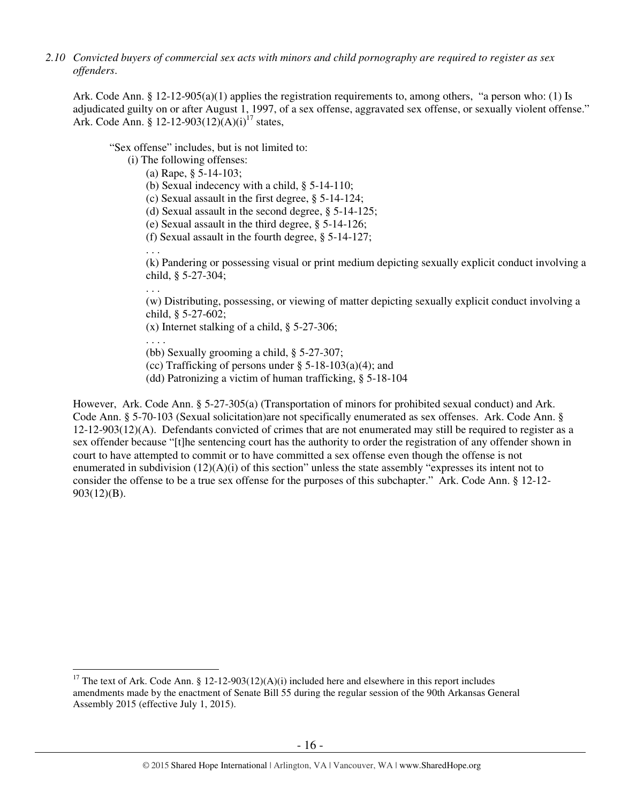*2.10 Convicted buyers of commercial sex acts with minors and child pornography are required to register as sex offenders*.

Ark. Code Ann. § 12-12-905(a)(1) applies the registration requirements to, among others, "a person who: (1) Is adjudicated guilty on or after August 1, 1997, of a sex offense, aggravated sex offense, or sexually violent offense." Ark. Code Ann. § 12-12-903(12)(A)(i)<sup>17</sup> states,

"Sex offense" includes, but is not limited to:

(i) The following offenses:

- (a) Rape, § 5-14-103;
- (b) Sexual indecency with a child, § 5-14-110;
- (c) Sexual assault in the first degree, § 5-14-124;
- (d) Sexual assault in the second degree, § 5-14-125;
- (e) Sexual assault in the third degree, § 5-14-126;
- (f) Sexual assault in the fourth degree, § 5-14-127;

(k) Pandering or possessing visual or print medium depicting sexually explicit conduct involving a child, § 5-27-304;

(w) Distributing, possessing, or viewing of matter depicting sexually explicit conduct involving a child, § 5-27-602;

(x) Internet stalking of a child, § 5-27-306;

. . . .

 $\overline{a}$ 

. . .

. . .

(bb) Sexually grooming a child, § 5-27-307;

(cc) Trafficking of persons under  $\S$  5-18-103(a)(4); and

(dd) Patronizing a victim of human trafficking, § 5-18-104

However, Ark. Code Ann. § 5-27-305(a) (Transportation of minors for prohibited sexual conduct) and Ark. Code Ann. § 5-70-103 (Sexual solicitation)are not specifically enumerated as sex offenses. Ark. Code Ann. § 12-12-903(12)(A). Defendants convicted of crimes that are not enumerated may still be required to register as a sex offender because "[t]he sentencing court has the authority to order the registration of any offender shown in court to have attempted to commit or to have committed a sex offense even though the offense is not enumerated in subdivision  $(12)(A)(i)$  of this section" unless the state assembly "expresses its intent not to consider the offense to be a true sex offense for the purposes of this subchapter." Ark. Code Ann. § 12-12- 903(12)(B).

<sup>&</sup>lt;sup>17</sup> The text of Ark. Code Ann. § 12-12-903(12)(A)(i) included here and elsewhere in this report includes amendments made by the enactment of Senate Bill 55 during the regular session of the 90th Arkansas General Assembly 2015 (effective July 1, 2015).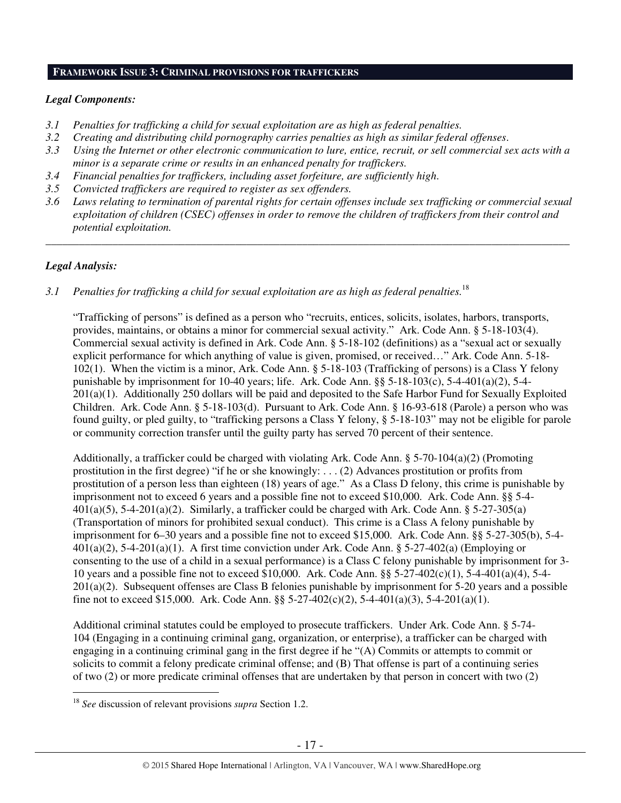#### **FRAMEWORK ISSUE 3: CRIMINAL PROVISIONS FOR TRAFFICKERS**

## *Legal Components:*

- *3.1 Penalties for trafficking a child for sexual exploitation are as high as federal penalties.*
- *3.2 Creating and distributing child pornography carries penalties as high as similar federal offenses*.
- *3.3 Using the Internet or other electronic communication to lure, entice, recruit, or sell commercial sex acts with a minor is a separate crime or results in an enhanced penalty for traffickers.*
- *3.4 Financial penalties for traffickers, including asset forfeiture, are sufficiently high*.
- *3.5 Convicted traffickers are required to register as sex offenders.*
- *3.6 Laws relating to termination of parental rights for certain offenses include sex trafficking or commercial sexual exploitation of children (CSEC) offenses in order to remove the children of traffickers from their control and potential exploitation.*

*\_\_\_\_\_\_\_\_\_\_\_\_\_\_\_\_\_\_\_\_\_\_\_\_\_\_\_\_\_\_\_\_\_\_\_\_\_\_\_\_\_\_\_\_\_\_\_\_\_\_\_\_\_\_\_\_\_\_\_\_\_\_\_\_\_\_\_\_\_\_\_\_\_\_\_\_\_\_\_\_\_\_\_\_\_\_\_\_\_\_\_\_\_\_* 

# *Legal Analysis:*

 $\overline{a}$ 

*3.1 Penalties for trafficking a child for sexual exploitation are as high as federal penalties.*<sup>18</sup> 

"Trafficking of persons" is defined as a person who "recruits, entices, solicits, isolates, harbors, transports, provides, maintains, or obtains a minor for commercial sexual activity." Ark. Code Ann. § 5-18-103(4). Commercial sexual activity is defined in Ark. Code Ann. § 5-18-102 (definitions) as a "sexual act or sexually explicit performance for which anything of value is given, promised, or received…" Ark. Code Ann. 5-18- 102(1). When the victim is a minor, Ark. Code Ann. § 5-18-103 (Trafficking of persons) is a Class Y felony punishable by imprisonment for 10-40 years; life. Ark. Code Ann.  $\S$ § 5-18-103(c), 5-4-401(a)(2), 5-4-201(a)(1). Additionally 250 dollars will be paid and deposited to the Safe Harbor Fund for Sexually Exploited Children. Ark. Code Ann. § 5-18-103(d). Pursuant to Ark. Code Ann. § 16-93-618 (Parole) a person who was found guilty, or pled guilty, to "trafficking persons a Class Y felony, § 5-18-103" may not be eligible for parole or community correction transfer until the guilty party has served 70 percent of their sentence.

Additionally, a trafficker could be charged with violating Ark. Code Ann. § 5-70-104(a)(2) (Promoting prostitution in the first degree) "if he or she knowingly: . . . (2) Advances prostitution or profits from prostitution of a person less than eighteen (18) years of age." As a Class D felony, this crime is punishable by imprisonment not to exceed 6 years and a possible fine not to exceed \$10,000. Ark. Code Ann. §§ 5-4-  $401(a)(5)$ , 5-4-201(a)(2). Similarly, a trafficker could be charged with Ark. Code Ann. § 5-27-305(a) (Transportation of minors for prohibited sexual conduct). This crime is a Class A felony punishable by imprisonment for 6–30 years and a possible fine not to exceed \$15,000. Ark. Code Ann. §§ 5-27-305(b), 5-4-  $401(a)(2)$ ,  $5-4-201(a)(1)$ . A first time conviction under Ark. Code Ann. §  $5-27-402(a)$  (Employing or consenting to the use of a child in a sexual performance) is a Class C felony punishable by imprisonment for 3- 10 years and a possible fine not to exceed \$10,000. Ark. Code Ann. §§ 5-27-402(c)(1), 5-4-401(a)(4), 5-4- 201(a)(2). Subsequent offenses are Class B felonies punishable by imprisonment for 5-20 years and a possible fine not to exceed \$15,000. Ark. Code Ann. §§  $5-27-402(c)(2)$ ,  $5-4-401(a)(3)$ ,  $5-4-201(a)(1)$ .

Additional criminal statutes could be employed to prosecute traffickers. Under Ark. Code Ann. § 5-74- 104 (Engaging in a continuing criminal gang, organization, or enterprise), a trafficker can be charged with engaging in a continuing criminal gang in the first degree if he "(A) Commits or attempts to commit or solicits to commit a felony predicate criminal offense; and (B) That offense is part of a continuing series of two (2) or more predicate criminal offenses that are undertaken by that person in concert with two (2)

<sup>18</sup> *See* discussion of relevant provisions *supra* Section 1.2.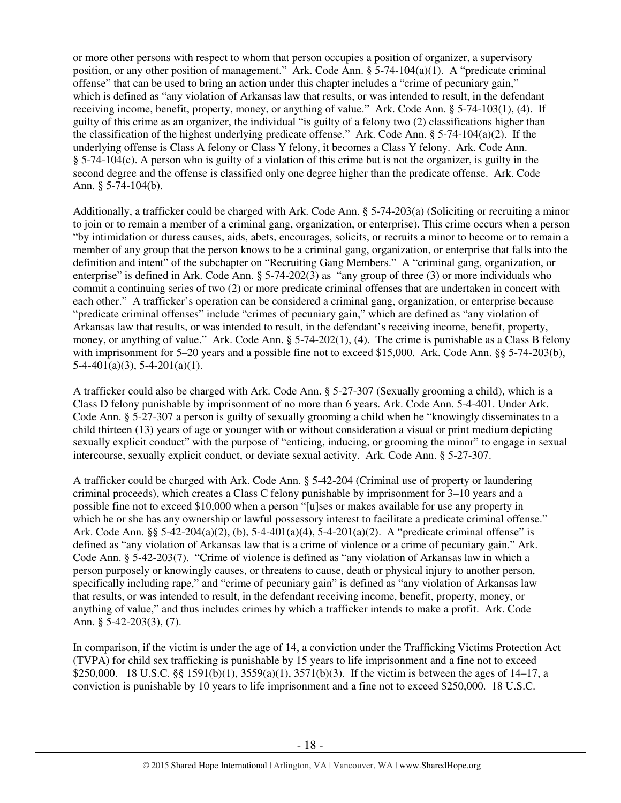or more other persons with respect to whom that person occupies a position of organizer, a supervisory position, or any other position of management." Ark. Code Ann. § 5-74-104(a)(1). A "predicate criminal offense" that can be used to bring an action under this chapter includes a "crime of pecuniary gain," which is defined as "any violation of Arkansas law that results, or was intended to result, in the defendant receiving income, benefit, property, money, or anything of value." Ark. Code Ann. § 5-74-103(1), (4). If guilty of this crime as an organizer, the individual "is guilty of a felony two (2) classifications higher than the classification of the highest underlying predicate offense." Ark. Code Ann. § 5-74-104(a)(2). If the underlying offense is Class A felony or Class Y felony, it becomes a Class Y felony. Ark. Code Ann. § 5-74-104(c). A person who is guilty of a violation of this crime but is not the organizer, is guilty in the second degree and the offense is classified only one degree higher than the predicate offense. Ark. Code Ann. § 5-74-104(b).

Additionally, a trafficker could be charged with Ark. Code Ann. § 5-74-203(a) (Soliciting or recruiting a minor to join or to remain a member of a criminal gang, organization, or enterprise). This crime occurs when a person "by intimidation or duress causes, aids, abets, encourages, solicits, or recruits a minor to become or to remain a member of any group that the person knows to be a criminal gang, organization, or enterprise that falls into the definition and intent" of the subchapter on "Recruiting Gang Members." A "criminal gang, organization, or enterprise" is defined in Ark. Code Ann. § 5-74-202(3) as "any group of three (3) or more individuals who commit a continuing series of two (2) or more predicate criminal offenses that are undertaken in concert with each other." A trafficker's operation can be considered a criminal gang, organization, or enterprise because "predicate criminal offenses" include "crimes of pecuniary gain," which are defined as "any violation of Arkansas law that results, or was intended to result, in the defendant's receiving income, benefit, property, money, or anything of value." Ark. Code Ann. § 5-74-202(1), (4). The crime is punishable as a Class B felony with imprisonment for 5–20 years and a possible fine not to exceed \$15,000. Ark. Code Ann. §§ 5-74-203(b),  $5-4-401(a)(3)$ ,  $5-4-201(a)(1)$ .

A trafficker could also be charged with Ark. Code Ann. § 5-27-307 (Sexually grooming a child), which is a Class D felony punishable by imprisonment of no more than 6 years. Ark. Code Ann. 5-4-401. Under Ark. Code Ann. § 5-27-307 a person is guilty of sexually grooming a child when he "knowingly disseminates to a child thirteen (13) years of age or younger with or without consideration a visual or print medium depicting sexually explicit conduct" with the purpose of "enticing, inducing, or grooming the minor" to engage in sexual intercourse, sexually explicit conduct, or deviate sexual activity. Ark. Code Ann. § 5-27-307.

A trafficker could be charged with Ark. Code Ann. § 5-42-204 (Criminal use of property or laundering criminal proceeds), which creates a Class C felony punishable by imprisonment for 3–10 years and a possible fine not to exceed \$10,000 when a person "[u]ses or makes available for use any property in which he or she has any ownership or lawful possessory interest to facilitate a predicate criminal offense." Ark. Code Ann. §§ 5-42-204(a)(2), (b), 5-4-401(a)(4), 5-4-201(a)(2). A "predicate criminal offense" is defined as "any violation of Arkansas law that is a crime of violence or a crime of pecuniary gain." Ark. Code Ann. § 5-42-203(7). "Crime of violence is defined as "any violation of Arkansas law in which a person purposely or knowingly causes, or threatens to cause, death or physical injury to another person, specifically including rape," and "crime of pecuniary gain" is defined as "any violation of Arkansas law that results, or was intended to result, in the defendant receiving income, benefit, property, money, or anything of value," and thus includes crimes by which a trafficker intends to make a profit. Ark. Code Ann. § 5-42-203(3), (7).

In comparison, if the victim is under the age of 14, a conviction under the Trafficking Victims Protection Act (TVPA) for child sex trafficking is punishable by 15 years to life imprisonment and a fine not to exceed \$250,000. 18 U.S.C. §§ 1591(b)(1), 3559(a)(1), 3571(b)(3). If the victim is between the ages of 14–17, a conviction is punishable by 10 years to life imprisonment and a fine not to exceed \$250,000. 18 U.S.C.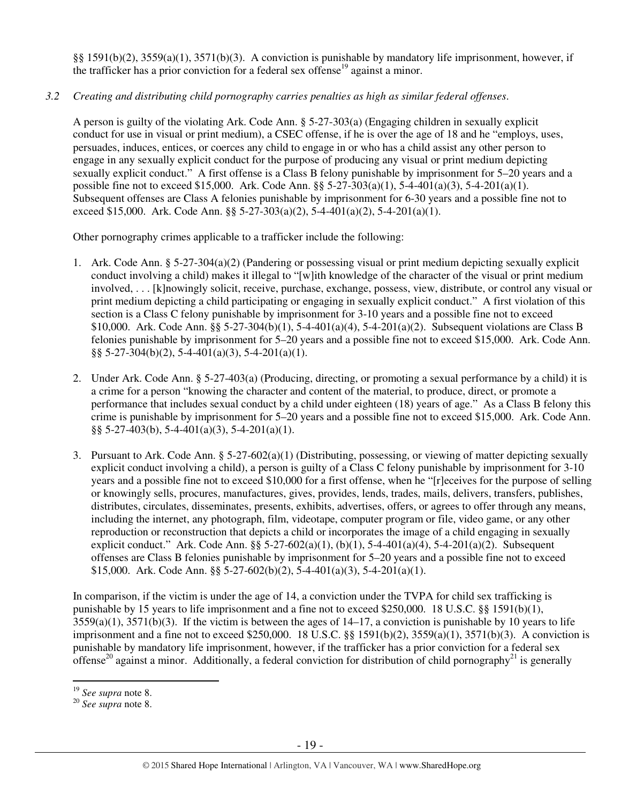§§ 1591(b)(2), 3559(a)(1), 3571(b)(3). A conviction is punishable by mandatory life imprisonment, however, if the trafficker has a prior conviction for a federal sex offense<sup>19</sup> against a minor.

# *3.2 Creating and distributing child pornography carries penalties as high as similar federal offenses*.

A person is guilty of the violating Ark. Code Ann. § 5-27-303(a) (Engaging children in sexually explicit conduct for use in visual or print medium), a CSEC offense, if he is over the age of 18 and he "employs, uses, persuades, induces, entices, or coerces any child to engage in or who has a child assist any other person to engage in any sexually explicit conduct for the purpose of producing any visual or print medium depicting sexually explicit conduct." A first offense is a Class B felony punishable by imprisonment for 5–20 years and a possible fine not to exceed \$15,000. Ark. Code Ann. §§ 5-27-303(a)(1), 5-4-401(a)(3), 5-4-201(a)(1). Subsequent offenses are Class A felonies punishable by imprisonment for 6-30 years and a possible fine not to exceed \$15,000. Ark. Code Ann. §§ 5-27-303(a)(2), 5-4-401(a)(2), 5-4-201(a)(1).

Other pornography crimes applicable to a trafficker include the following:

- 1. Ark. Code Ann. § 5-27-304(a)(2) (Pandering or possessing visual or print medium depicting sexually explicit conduct involving a child) makes it illegal to "[w]ith knowledge of the character of the visual or print medium involved, . . . [k]nowingly solicit, receive, purchase, exchange, possess, view, distribute, or control any visual or print medium depicting a child participating or engaging in sexually explicit conduct." A first violation of this section is a Class C felony punishable by imprisonment for 3-10 years and a possible fine not to exceed \$10,000. Ark. Code Ann. §§ 5-27-304(b)(1), 5-4-401(a)(4), 5-4-201(a)(2). Subsequent violations are Class B felonies punishable by imprisonment for 5–20 years and a possible fine not to exceed \$15,000. Ark. Code Ann. §§ 5-27-304(b)(2), 5-4-401(a)(3), 5-4-201(a)(1).
- 2. Under Ark. Code Ann. § 5-27-403(a) (Producing, directing, or promoting a sexual performance by a child) it is a crime for a person "knowing the character and content of the material, to produce, direct, or promote a performance that includes sexual conduct by a child under eighteen (18) years of age." As a Class B felony this crime is punishable by imprisonment for 5–20 years and a possible fine not to exceed \$15,000. Ark. Code Ann. §§ 5-27-403(b), 5-4-401(a)(3), 5-4-201(a)(1).
- 3. Pursuant to Ark. Code Ann. § 5-27-602(a)(1) (Distributing, possessing, or viewing of matter depicting sexually explicit conduct involving a child), a person is guilty of a Class C felony punishable by imprisonment for 3-10 years and a possible fine not to exceed \$10,000 for a first offense, when he "[r]eceives for the purpose of selling or knowingly sells, procures, manufactures, gives, provides, lends, trades, mails, delivers, transfers, publishes, distributes, circulates, disseminates, presents, exhibits, advertises, offers, or agrees to offer through any means, including the internet, any photograph, film, videotape, computer program or file, video game, or any other reproduction or reconstruction that depicts a child or incorporates the image of a child engaging in sexually explicit conduct." Ark. Code Ann. §§ 5-27-602(a)(1), (b)(1), 5-4-401(a)(4), 5-4-201(a)(2). Subsequent offenses are Class B felonies punishable by imprisonment for 5–20 years and a possible fine not to exceed \$15,000. Ark. Code Ann. §§ 5-27-602(b)(2), 5-4-401(a)(3), 5-4-201(a)(1).

In comparison, if the victim is under the age of 14, a conviction under the TVPA for child sex trafficking is punishable by 15 years to life imprisonment and a fine not to exceed \$250,000. 18 U.S.C. §§ 1591(b)(1),  $3559(a)(1)$ ,  $3571(b)(3)$ . If the victim is between the ages of  $14-17$ , a conviction is punishable by 10 years to life imprisonment and a fine not to exceed \$250,000. 18 U.S.C. §§ 1591(b)(2), 3559(a)(1), 3571(b)(3). A conviction is punishable by mandatory life imprisonment, however, if the trafficker has a prior conviction for a federal sex offense<sup>20</sup> against a minor. Additionally, a federal conviction for distribution of child pornography<sup>21</sup> is generally

<sup>19</sup> *See supra* note 8.

<sup>20</sup> *See supra* note 8.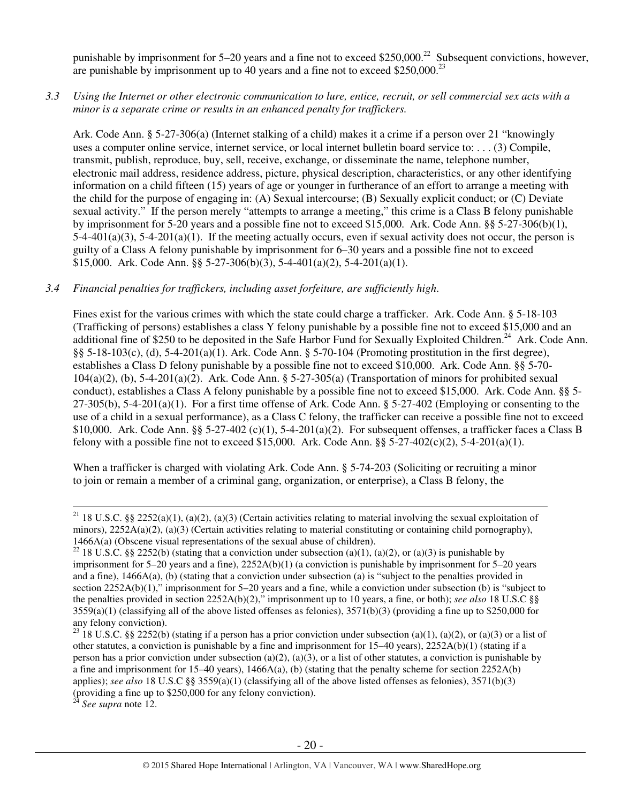punishable by imprisonment for  $5-20$  years and a fine not to exceed \$250,000.<sup>22</sup> Subsequent convictions, however, are punishable by imprisonment up to 40 years and a fine not to exceed \$250,000.<sup>23</sup>

*3.3 Using the Internet or other electronic communication to lure, entice, recruit, or sell commercial sex acts with a minor is a separate crime or results in an enhanced penalty for traffickers.* 

Ark. Code Ann. § 5-27-306(a) (Internet stalking of a child) makes it a crime if a person over 21 "knowingly uses a computer online service, internet service, or local internet bulletin board service to: . . . (3) Compile, transmit, publish, reproduce, buy, sell, receive, exchange, or disseminate the name, telephone number, electronic mail address, residence address, picture, physical description, characteristics, or any other identifying information on a child fifteen (15) years of age or younger in furtherance of an effort to arrange a meeting with the child for the purpose of engaging in: (A) Sexual intercourse; (B) Sexually explicit conduct; or (C) Deviate sexual activity." If the person merely "attempts to arrange a meeting," this crime is a Class B felony punishable by imprisonment for 5-20 years and a possible fine not to exceed \$15,000. Ark. Code Ann. §§ 5-27-306(b)(1),  $5-4-401(a)(3)$ ,  $5-4-201(a)(1)$ . If the meeting actually occurs, even if sexual activity does not occur, the person is guilty of a Class A felony punishable by imprisonment for 6–30 years and a possible fine not to exceed \$15,000. Ark. Code Ann. §§ 5-27-306(b)(3), 5-4-401(a)(2), 5-4-201(a)(1).

#### *3.4 Financial penalties for traffickers, including asset forfeiture, are sufficiently high*.

Fines exist for the various crimes with which the state could charge a trafficker. Ark. Code Ann. § 5-18-103 (Trafficking of persons) establishes a class Y felony punishable by a possible fine not to exceed \$15,000 and an additional fine of \$250 to be deposited in the Safe Harbor Fund for Sexually Exploited Children.<sup>24</sup> Ark. Code Ann. §§ 5-18-103(c), (d), 5-4-201(a)(1). Ark. Code Ann. § 5-70-104 (Promoting prostitution in the first degree), establishes a Class D felony punishable by a possible fine not to exceed \$10,000. Ark. Code Ann. §§ 5-70- 104(a)(2), (b), 5-4-201(a)(2). Ark. Code Ann. § 5-27-305(a) (Transportation of minors for prohibited sexual conduct), establishes a Class A felony punishable by a possible fine not to exceed \$15,000. Ark. Code Ann. §§ 5- 27-305(b), 5-4-201(a)(1). For a first time offense of Ark. Code Ann. § 5-27-402 (Employing or consenting to the use of a child in a sexual performance), as a Class C felony, the trafficker can receive a possible fine not to exceed \$10,000. Ark. Code Ann. §§ 5-27-402 (c)(1), 5-4-201(a)(2). For subsequent offenses, a trafficker faces a Class B felony with a possible fine not to exceed \$15,000. Ark. Code Ann.  $\S$ § 5-27-402(c)(2), 5-4-201(a)(1).

When a trafficker is charged with violating Ark. Code Ann. § 5-74-203 (Soliciting or recruiting a minor to join or remain a member of a criminal gang, organization, or enterprise), a Class B felony, the

See supra note 12.

<sup>&</sup>lt;sup>21</sup> 18 U.S.C. §§ 2252(a)(1), (a)(2), (a)(3) (Certain activities relating to material involving the sexual exploitation of minors),  $2252A(a)(2)$ , (a)(3) (Certain activities relating to material constituting or containing child pornography), 1466A(a) (Obscene visual representations of the sexual abuse of children).

<sup>22 18</sup> U.S.C. §§ 2252(b) (stating that a conviction under subsection (a)(1), (a)(2), or (a)(3) is punishable by imprisonment for 5–20 years and a fine), 2252A(b)(1) (a conviction is punishable by imprisonment for 5–20 years and a fine), 1466A(a), (b) (stating that a conviction under subsection (a) is "subject to the penalties provided in section 2252A(b)(1)," imprisonment for 5–20 years and a fine, while a conviction under subsection (b) is "subject to the penalties provided in section 2252A(b)(2)," imprisonment up to 10 years, a fine, or both); *see also* 18 U.S.C §§  $3559(a)(1)$  (classifying all of the above listed offenses as felonies),  $3571(b)(3)$  (providing a fine up to \$250,000 for any felony conviction).

<sup>&</sup>lt;sup>23</sup> 18 U.S.C. §§ 2252(b) (stating if a person has a prior conviction under subsection (a)(1), (a)(2), or (a)(3) or a list of other statutes, a conviction is punishable by a fine and imprisonment for 15–40 years), 2252A(b)(1) (stating if a person has a prior conviction under subsection (a)(2), (a)(3), or a list of other statutes, a conviction is punishable by a fine and imprisonment for  $15-40$  years),  $1466A(a)$ , (b) (stating that the penalty scheme for section  $2252A(b)$ applies); *see also* 18 U.S.C §§ 3559(a)(1) (classifying all of the above listed offenses as felonies), 3571(b)(3) (providing a fine up to  $$250,000$  for any felony conviction).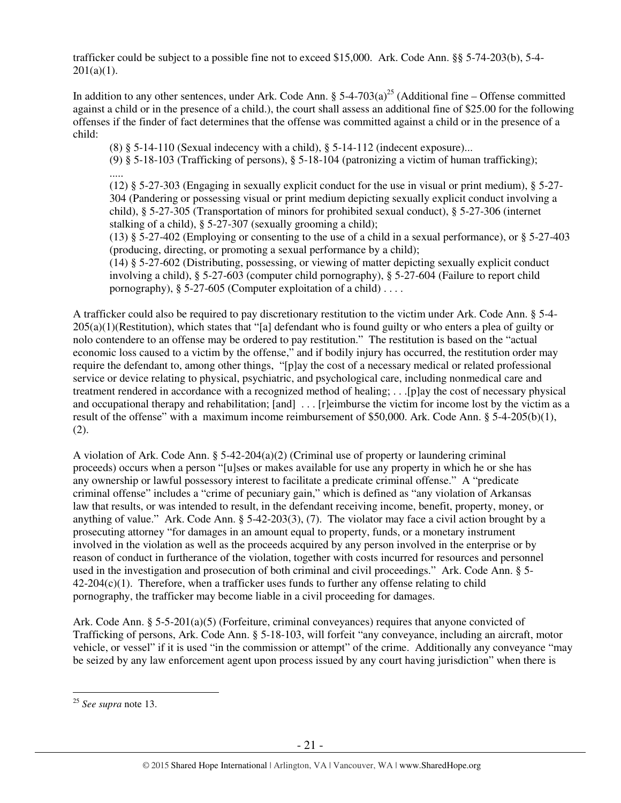trafficker could be subject to a possible fine not to exceed \$15,000. Ark. Code Ann. §§ 5-74-203(b), 5-4-  $201(a)(1)$ .

In addition to any other sentences, under Ark. Code Ann. §  $5-4-703(a)^{25}$  (Additional fine – Offense committed against a child or in the presence of a child.), the court shall assess an additional fine of \$25.00 for the following offenses if the finder of fact determines that the offense was committed against a child or in the presence of a child:

 $(8)$  § 5-14-110 (Sexual indecency with a child), § 5-14-112 (indecent exposure)...

 (9) § 5-18-103 (Trafficking of persons), § 5-18-104 (patronizing a victim of human trafficking); .....

(12) § 5-27-303 (Engaging in sexually explicit conduct for the use in visual or print medium), § 5-27- 304 (Pandering or possessing visual or print medium depicting sexually explicit conduct involving a child), § 5-27-305 (Transportation of minors for prohibited sexual conduct), § 5-27-306 (internet stalking of a child), § 5-27-307 (sexually grooming a child);

(13) § 5-27-402 (Employing or consenting to the use of a child in a sexual performance), or § 5-27-403 (producing, directing, or promoting a sexual performance by a child);

(14) § 5-27-602 (Distributing, possessing, or viewing of matter depicting sexually explicit conduct involving a child), § 5-27-603 (computer child pornography), § 5-27-604 (Failure to report child pornography),  $\S 5-27-605$  (Computer exploitation of a child)...

A trafficker could also be required to pay discretionary restitution to the victim under Ark. Code Ann. § 5-4- 205(a)(1)(Restitution), which states that "[a] defendant who is found guilty or who enters a plea of guilty or nolo contendere to an offense may be ordered to pay restitution." The restitution is based on the "actual economic loss caused to a victim by the offense," and if bodily injury has occurred, the restitution order may require the defendant to, among other things, "[p]ay the cost of a necessary medical or related professional service or device relating to physical, psychiatric, and psychological care, including nonmedical care and treatment rendered in accordance with a recognized method of healing; . . .[p]ay the cost of necessary physical and occupational therapy and rehabilitation; [and] ... [r]eimburse the victim for income lost by the victim as a result of the offense" with a maximum income reimbursement of \$50,000. Ark. Code Ann. § 5-4-205(b)(1), (2).

A violation of Ark. Code Ann.  $\S$  5-42-204(a)(2) (Criminal use of property or laundering criminal proceeds) occurs when a person "[u]ses or makes available for use any property in which he or she has any ownership or lawful possessory interest to facilitate a predicate criminal offense." A "predicate criminal offense" includes a "crime of pecuniary gain," which is defined as "any violation of Arkansas law that results, or was intended to result, in the defendant receiving income, benefit, property, money, or anything of value." Ark. Code Ann. § 5-42-203(3), (7). The violator may face a civil action brought by a prosecuting attorney "for damages in an amount equal to property, funds, or a monetary instrument involved in the violation as well as the proceeds acquired by any person involved in the enterprise or by reason of conduct in furtherance of the violation, together with costs incurred for resources and personnel used in the investigation and prosecution of both criminal and civil proceedings." Ark. Code Ann. § 5-  $42-204(c)(1)$ . Therefore, when a trafficker uses funds to further any offense relating to child pornography, the trafficker may become liable in a civil proceeding for damages.

Ark. Code Ann. § 5-5-201(a)(5) (Forfeiture, criminal conveyances) requires that anyone convicted of Trafficking of persons, Ark. Code Ann. § 5-18-103, will forfeit "any conveyance, including an aircraft, motor vehicle, or vessel" if it is used "in the commission or attempt" of the crime. Additionally any conveyance "may be seized by any law enforcement agent upon process issued by any court having jurisdiction" when there is

<sup>25</sup> *See supra* note 13.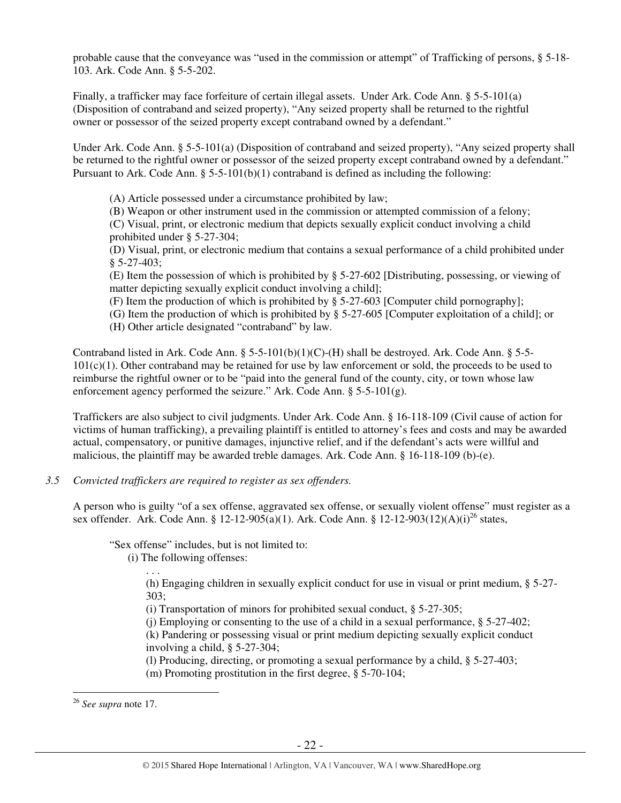probable cause that the conveyance was "used in the commission or attempt" of Trafficking of persons, § 5-18- 103. Ark. Code Ann. § 5-5-202.

Finally, a trafficker may face forfeiture of certain illegal assets. Under Ark. Code Ann. § 5-5-101(a) (Disposition of contraband and seized property), "Any seized property shall be returned to the rightful owner or possessor of the seized property except contraband owned by a defendant."

Under Ark. Code Ann. § 5-5-101(a) (Disposition of contraband and seized property), "Any seized property shall be returned to the rightful owner or possessor of the seized property except contraband owned by a defendant." Pursuant to Ark. Code Ann.  $\S 5-5-101(b)(1)$  contraband is defined as including the following:

(A) Article possessed under a circumstance prohibited by law;

(B) Weapon or other instrument used in the commission or attempted commission of a felony;

(C) Visual, print, or electronic medium that depicts sexually explicit conduct involving a child prohibited under § 5-27-304;

(D) Visual, print, or electronic medium that contains a sexual performance of a child prohibited under § 5-27-403;

(E) Item the possession of which is prohibited by § 5-27-602 [Distributing, possessing, or viewing of matter depicting sexually explicit conduct involving a child];

(F) Item the production of which is prohibited by § 5-27-603 [Computer child pornography];

(G) Item the production of which is prohibited by § 5-27-605 [Computer exploitation of a child]; or

(H) Other article designated "contraband" by law.

Contraband listed in Ark. Code Ann. § 5-5-101(b)(1)(C)-(H) shall be destroyed. Ark. Code Ann. § 5-5-  $101(c)(1)$ . Other contraband may be retained for use by law enforcement or sold, the proceeds to be used to reimburse the rightful owner or to be "paid into the general fund of the county, city, or town whose law enforcement agency performed the seizure." Ark. Code Ann. § 5-5-101(g).

Traffickers are also subject to civil judgments. Under Ark. Code Ann. § 16-118-109 (Civil cause of action for victims of human trafficking), a prevailing plaintiff is entitled to attorney's fees and costs and may be awarded actual, compensatory, or punitive damages, injunctive relief, and if the defendant's acts were willful and malicious, the plaintiff may be awarded treble damages. Ark. Code Ann. § 16-118-109 (b)-(e).

*3.5 Convicted traffickers are required to register as sex offenders.*

A person who is guilty "of a sex offense, aggravated sex offense, or sexually violent offense" must register as a sex offender. Ark. Code Ann. § 12-12-905(a)(1). Ark. Code Ann. § 12-12-903(12)(A)(i)<sup>26</sup> states,

"Sex offense" includes, but is not limited to:

(i) The following offenses:

. . .

(h) Engaging children in sexually explicit conduct for use in visual or print medium, § 5-27- 303;

(i) Transportation of minors for prohibited sexual conduct, § 5-27-305;

(j) Employing or consenting to the use of a child in a sexual performance, § 5-27-402;

(k) Pandering or possessing visual or print medium depicting sexually explicit conduct involving a child, § 5-27-304;

(l) Producing, directing, or promoting a sexual performance by a child, § 5-27-403;

(m) Promoting prostitution in the first degree, § 5-70-104;

<sup>26</sup> *See supra* note 17.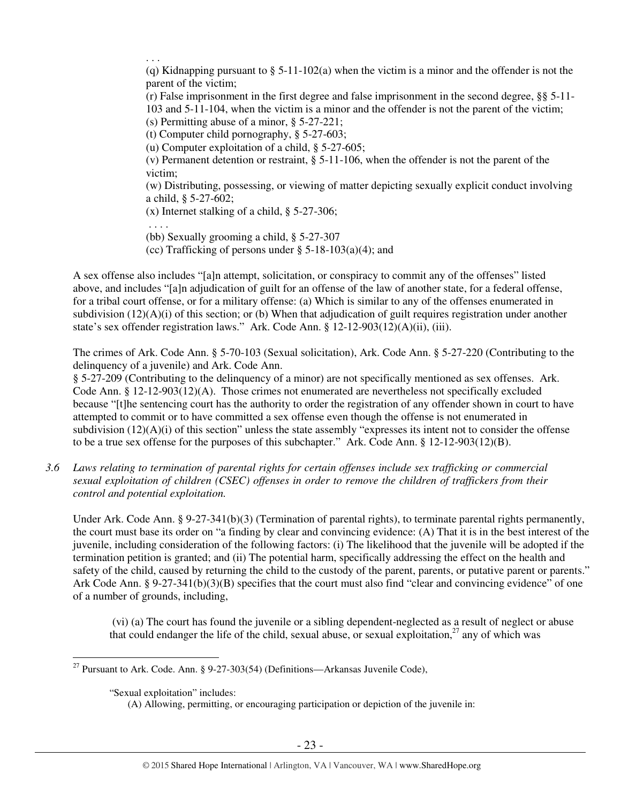. . . (q) Kidnapping pursuant to  $\S$  5-11-102(a) when the victim is a minor and the offender is not the parent of the victim; (r) False imprisonment in the first degree and false imprisonment in the second degree, §§ 5-11- 103 and 5-11-104, when the victim is a minor and the offender is not the parent of the victim; (s) Permitting abuse of a minor, § 5-27-221; (t) Computer child pornography, § 5-27-603; (u) Computer exploitation of a child, § 5-27-605; (v) Permanent detention or restraint, § 5-11-106, when the offender is not the parent of the victim; (w) Distributing, possessing, or viewing of matter depicting sexually explicit conduct involving a child, § 5-27-602; (x) Internet stalking of a child, § 5-27-306; . . . . (bb) Sexually grooming a child, § 5-27-307 (cc) Trafficking of persons under  $\S$  5-18-103(a)(4); and

A sex offense also includes "[a]n attempt, solicitation, or conspiracy to commit any of the offenses" listed above, and includes "[a]n adjudication of guilt for an offense of the law of another state, for a federal offense, for a tribal court offense, or for a military offense: (a) Which is similar to any of the offenses enumerated in subdivision  $(12)(A)(i)$  of this section; or (b) When that adjudication of guilt requires registration under another state's sex offender registration laws." Ark. Code Ann. § 12-12-903(12)(A)(ii), (iii).

The crimes of Ark. Code Ann. § 5-70-103 (Sexual solicitation), Ark. Code Ann. § 5-27-220 (Contributing to the delinquency of a juvenile) and Ark. Code Ann.

§ 5-27-209 (Contributing to the delinquency of a minor) are not specifically mentioned as sex offenses. Ark. Code Ann. § 12-12-903(12)(A). Those crimes not enumerated are nevertheless not specifically excluded because "[t]he sentencing court has the authority to order the registration of any offender shown in court to have attempted to commit or to have committed a sex offense even though the offense is not enumerated in subdivision (12)(A)(i) of this section" unless the state assembly "expresses its intent not to consider the offense to be a true sex offense for the purposes of this subchapter." Ark. Code Ann. § 12-12-903(12)(B).

*3.6 Laws relating to termination of parental rights for certain offenses include sex trafficking or commercial sexual exploitation of children (CSEC) offenses in order to remove the children of traffickers from their control and potential exploitation.* 

Under Ark. Code Ann. § 9-27-341(b)(3) (Termination of parental rights), to terminate parental rights permanently, the court must base its order on "a finding by clear and convincing evidence: (A) That it is in the best interest of the juvenile, including consideration of the following factors: (i) The likelihood that the juvenile will be adopted if the termination petition is granted; and (ii) The potential harm, specifically addressing the effect on the health and safety of the child, caused by returning the child to the custody of the parent, parents, or putative parent or parents." Ark Code Ann. § 9-27-341(b)(3)(B) specifies that the court must also find "clear and convincing evidence" of one of a number of grounds, including,

 (vi) (a) The court has found the juvenile or a sibling dependent-neglected as a result of neglect or abuse that could endanger the life of the child, sexual abuse, or sexual exploitation, $^{27}$  any of which was

<sup>&</sup>lt;sup>27</sup> Pursuant to Ark. Code. Ann. § 9-27-303(54) (Definitions—Arkansas Juvenile Code),

<sup>&</sup>quot;Sexual exploitation" includes:

<sup>(</sup>A) Allowing, permitting, or encouraging participation or depiction of the juvenile in: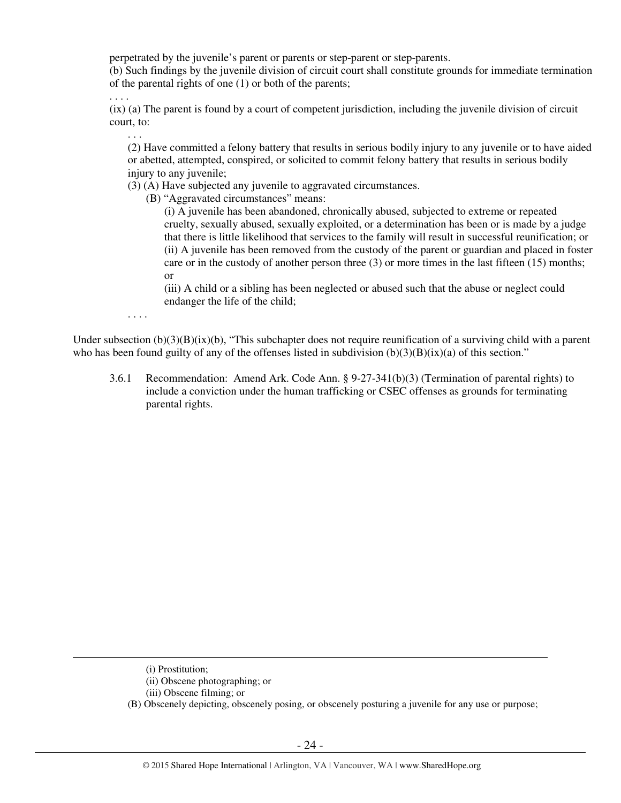perpetrated by the juvenile's parent or parents or step-parent or step-parents.

(b) Such findings by the juvenile division of circuit court shall constitute grounds for immediate termination of the parental rights of one (1) or both of the parents;

(ix) (a) The parent is found by a court of competent jurisdiction, including the juvenile division of circuit court, to:

(2) Have committed a felony battery that results in serious bodily injury to any juvenile or to have aided or abetted, attempted, conspired, or solicited to commit felony battery that results in serious bodily injury to any juvenile;

(3) (A) Have subjected any juvenile to aggravated circumstances.

(B) "Aggravated circumstances" means:

(i) A juvenile has been abandoned, chronically abused, subjected to extreme or repeated cruelty, sexually abused, sexually exploited, or a determination has been or is made by a judge that there is little likelihood that services to the family will result in successful reunification; or (ii) A juvenile has been removed from the custody of the parent or guardian and placed in foster care or in the custody of another person three (3) or more times in the last fifteen (15) months; or

(iii) A child or a sibling has been neglected or abused such that the abuse or neglect could endanger the life of the child;

. . . .

. . . .

. . .

Under subsection  $(b)(3)(B)(ix)(b)$ , "This subchapter does not require reunification of a surviving child with a parent who has been found guilty of any of the offenses listed in subdivision  $(b)(3)(B)(ix)(a)$  of this section."

3.6.1 Recommendation: Amend Ark. Code Ann. § 9-27-341(b)(3) (Termination of parental rights) to include a conviction under the human trafficking or CSEC offenses as grounds for terminating parental rights.

 $\overline{a}$ 

(B) Obscenely depicting, obscenely posing, or obscenely posturing a juvenile for any use or purpose;

<sup>(</sup>i) Prostitution;

<sup>(</sup>ii) Obscene photographing; or

<sup>(</sup>iii) Obscene filming; or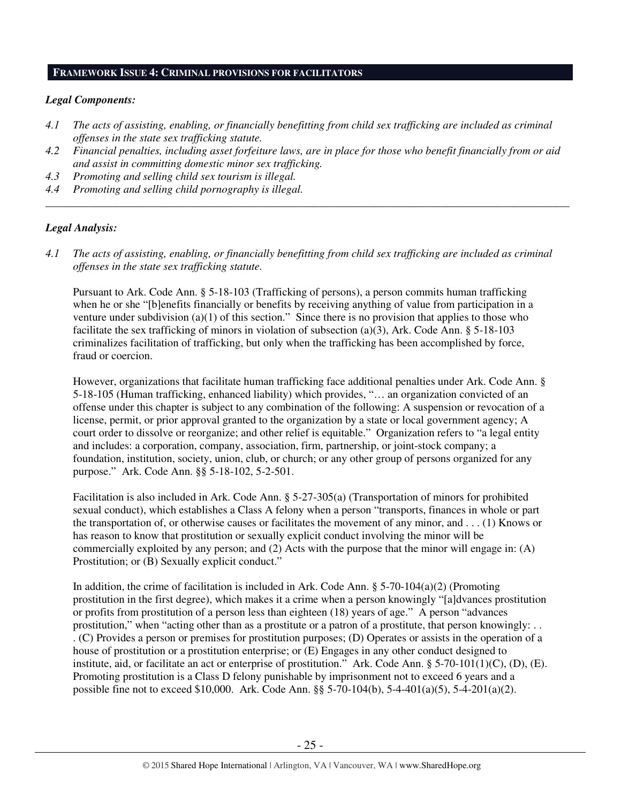# **FRAMEWORK ISSUE 4: CRIMINAL PROVISIONS FOR FACILITATORS**

## *Legal Components:*

- *4.1 The acts of assisting, enabling, or financially benefitting from child sex trafficking are included as criminal offenses in the state sex trafficking statute.*
- *4.2 Financial penalties, including asset forfeiture laws, are in place for those who benefit financially from or aid and assist in committing domestic minor sex trafficking.*

*\_\_\_\_\_\_\_\_\_\_\_\_\_\_\_\_\_\_\_\_\_\_\_\_\_\_\_\_\_\_\_\_\_\_\_\_\_\_\_\_\_\_\_\_\_\_\_\_\_\_\_\_\_\_\_\_\_\_\_\_\_\_\_\_\_\_\_\_\_\_\_\_\_\_\_\_\_\_\_\_\_\_\_\_\_\_\_\_\_\_\_\_\_\_* 

- *4.3 Promoting and selling child sex tourism is illegal.*
- *4.4 Promoting and selling child pornography is illegal.*

## *Legal Analysis:*

*4.1 The acts of assisting, enabling, or financially benefitting from child sex trafficking are included as criminal offenses in the state sex trafficking statute.* 

Pursuant to Ark. Code Ann. § 5-18-103 (Trafficking of persons), a person commits human trafficking when he or she "[b]enefits financially or benefits by receiving anything of value from participation in a venture under subdivision (a)(1) of this section." Since there is no provision that applies to those who facilitate the sex trafficking of minors in violation of subsection (a)(3), Ark. Code Ann. § 5-18-103 criminalizes facilitation of trafficking, but only when the trafficking has been accomplished by force, fraud or coercion.

However, organizations that facilitate human trafficking face additional penalties under Ark. Code Ann. § 5-18-105 (Human trafficking, enhanced liability) which provides, "… an organization convicted of an offense under this chapter is subject to any combination of the following: A suspension or revocation of a license, permit, or prior approval granted to the organization by a state or local government agency; A court order to dissolve or reorganize; and other relief is equitable." Organization refers to "a legal entity and includes: a corporation, company, association, firm, partnership, or joint-stock company; a foundation, institution, society, union, club, or church; or any other group of persons organized for any purpose." Ark. Code Ann. §§ 5-18-102, 5-2-501.

Facilitation is also included in Ark. Code Ann. § 5-27-305(a) (Transportation of minors for prohibited sexual conduct), which establishes a Class A felony when a person "transports, finances in whole or part the transportation of, or otherwise causes or facilitates the movement of any minor, and . . . (1) Knows or has reason to know that prostitution or sexually explicit conduct involving the minor will be commercially exploited by any person; and (2) Acts with the purpose that the minor will engage in: (A) Prostitution; or (B) Sexually explicit conduct."

In addition, the crime of facilitation is included in Ark. Code Ann.  $\S$  5-70-104(a)(2) (Promoting prostitution in the first degree), which makes it a crime when a person knowingly "[a]dvances prostitution or profits from prostitution of a person less than eighteen (18) years of age." A person "advances prostitution," when "acting other than as a prostitute or a patron of a prostitute, that person knowingly: . . . (C) Provides a person or premises for prostitution purposes; (D) Operates or assists in the operation of a house of prostitution or a prostitution enterprise; or (E) Engages in any other conduct designed to institute, aid, or facilitate an act or enterprise of prostitution." Ark. Code Ann. § 5-70-101(1)(C), (D), (E). Promoting prostitution is a Class D felony punishable by imprisonment not to exceed 6 years and a possible fine not to exceed \$10,000. Ark. Code Ann. §§ 5-70-104(b), 5-4-401(a)(5), 5-4-201(a)(2).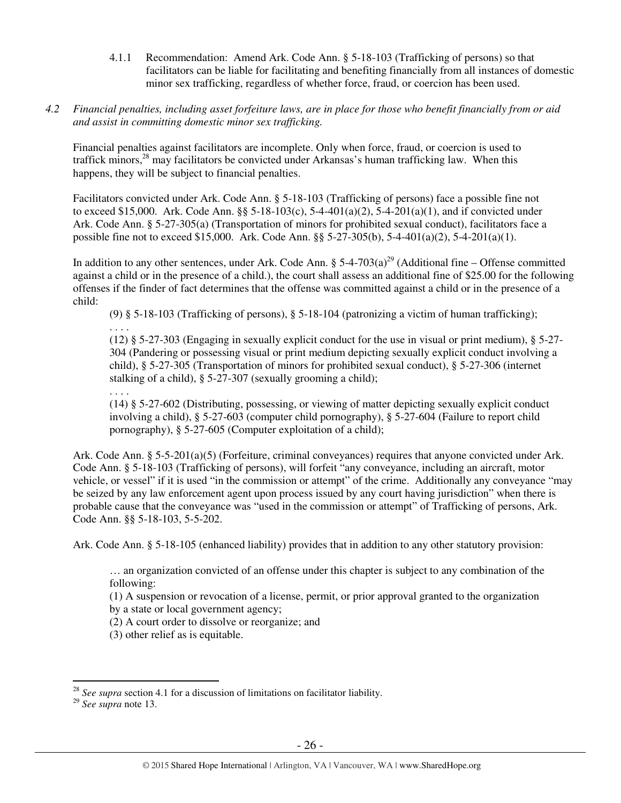4.1.1 Recommendation: Amend Ark. Code Ann. § 5-18-103 (Trafficking of persons) so that facilitators can be liable for facilitating and benefiting financially from all instances of domestic minor sex trafficking, regardless of whether force, fraud, or coercion has been used.

# *4.2 Financial penalties, including asset forfeiture laws, are in place for those who benefit financially from or aid and assist in committing domestic minor sex trafficking.*

Financial penalties against facilitators are incomplete. Only when force, fraud, or coercion is used to traffick minors,<sup>28</sup> may facilitators be convicted under Arkansas's human trafficking law. When this happens, they will be subject to financial penalties.

Facilitators convicted under Ark. Code Ann. § 5-18-103 (Trafficking of persons) face a possible fine not to exceed \$15,000. Ark. Code Ann. §§ 5-18-103(c), 5-4-401(a)(2), 5-4-201(a)(1), and if convicted under Ark. Code Ann. § 5-27-305(a) (Transportation of minors for prohibited sexual conduct), facilitators face a possible fine not to exceed \$15,000. Ark. Code Ann. §§ 5-27-305(b), 5-4-401(a)(2), 5-4-201(a)(1).

In addition to any other sentences, under Ark. Code Ann. §  $5-4-703(a)^{29}$  (Additional fine – Offense committed against a child or in the presence of a child.), the court shall assess an additional fine of \$25.00 for the following offenses if the finder of fact determines that the offense was committed against a child or in the presence of a child:

 (9) § 5-18-103 (Trafficking of persons), § 5-18-104 (patronizing a victim of human trafficking); . . . .

(12) § 5-27-303 (Engaging in sexually explicit conduct for the use in visual or print medium), § 5-27- 304 (Pandering or possessing visual or print medium depicting sexually explicit conduct involving a child), § 5-27-305 (Transportation of minors for prohibited sexual conduct), § 5-27-306 (internet stalking of a child), § 5-27-307 (sexually grooming a child);

. . . .

(14) § 5-27-602 (Distributing, possessing, or viewing of matter depicting sexually explicit conduct involving a child), § 5-27-603 (computer child pornography), § 5-27-604 (Failure to report child pornography), § 5-27-605 (Computer exploitation of a child);

Ark. Code Ann. § 5-5-201(a)(5) (Forfeiture, criminal conveyances) requires that anyone convicted under Ark. Code Ann. § 5-18-103 (Trafficking of persons), will forfeit "any conveyance, including an aircraft, motor vehicle, or vessel" if it is used "in the commission or attempt" of the crime. Additionally any conveyance "may be seized by any law enforcement agent upon process issued by any court having jurisdiction" when there is probable cause that the conveyance was "used in the commission or attempt" of Trafficking of persons, Ark. Code Ann. §§ 5-18-103, 5-5-202.

Ark. Code Ann. § 5-18-105 (enhanced liability) provides that in addition to any other statutory provision:

… an organization convicted of an offense under this chapter is subject to any combination of the following:

(1) A suspension or revocation of a license, permit, or prior approval granted to the organization

by a state or local government agency;

(2) A court order to dissolve or reorganize; and

(3) other relief as is equitable.

 $\overline{a}$ <sup>28</sup> *See supra* section 4.1 for a discussion of limitations on facilitator liability.

<sup>29</sup> *See supra* note 13.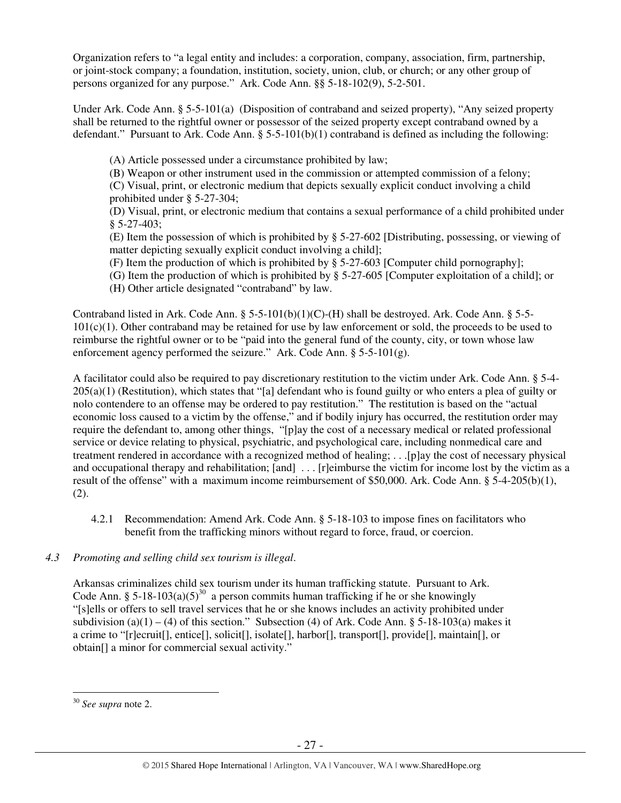Organization refers to "a legal entity and includes: a corporation, company, association, firm, partnership, or joint-stock company; a foundation, institution, society, union, club, or church; or any other group of persons organized for any purpose." Ark. Code Ann. §§ 5-18-102(9), 5-2-501.

Under Ark. Code Ann. § 5-5-101(a) (Disposition of contraband and seized property), "Any seized property shall be returned to the rightful owner or possessor of the seized property except contraband owned by a defendant." Pursuant to Ark. Code Ann.  $\S 5-5-101(b)(1)$  contraband is defined as including the following:

(A) Article possessed under a circumstance prohibited by law;

(B) Weapon or other instrument used in the commission or attempted commission of a felony; (C) Visual, print, or electronic medium that depicts sexually explicit conduct involving a child prohibited under § 5-27-304;

(D) Visual, print, or electronic medium that contains a sexual performance of a child prohibited under § 5-27-403;

(E) Item the possession of which is prohibited by § 5-27-602 [Distributing, possessing, or viewing of matter depicting sexually explicit conduct involving a child];

(F) Item the production of which is prohibited by § 5-27-603 [Computer child pornography];

- (G) Item the production of which is prohibited by § 5-27-605 [Computer exploitation of a child]; or
- (H) Other article designated "contraband" by law.

Contraband listed in Ark. Code Ann.  $\S$  5-5-101(b)(1)(C)-(H) shall be destroyed. Ark. Code Ann.  $\S$  5-5-101(c)(1). Other contraband may be retained for use by law enforcement or sold, the proceeds to be used to reimburse the rightful owner or to be "paid into the general fund of the county, city, or town whose law enforcement agency performed the seizure." Ark. Code Ann.  $\S$  5-5-101(g).

A facilitator could also be required to pay discretionary restitution to the victim under Ark. Code Ann. § 5-4-  $205(a)(1)$  (Restitution), which states that "[a] defendant who is found guilty or who enters a plea of guilty or nolo contendere to an offense may be ordered to pay restitution." The restitution is based on the "actual economic loss caused to a victim by the offense," and if bodily injury has occurred, the restitution order may require the defendant to, among other things, "[p]ay the cost of a necessary medical or related professional service or device relating to physical, psychiatric, and psychological care, including nonmedical care and treatment rendered in accordance with a recognized method of healing; . . .[p]ay the cost of necessary physical and occupational therapy and rehabilitation; [and] ... [r]eimburse the victim for income lost by the victim as a result of the offense" with a maximum income reimbursement of \$50,000. Ark. Code Ann. § 5-4-205(b)(1), (2).

4.2.1 Recommendation: Amend Ark. Code Ann. § 5-18-103 to impose fines on facilitators who benefit from the trafficking minors without regard to force, fraud, or coercion.

# *4.3 Promoting and selling child sex tourism is illegal*.

Arkansas criminalizes child sex tourism under its human trafficking statute. Pursuant to Ark. Code Ann. § 5-18-103(a)(5)<sup>30</sup> a person commits human trafficking if he or she knowingly "[s]ells or offers to sell travel services that he or she knows includes an activity prohibited under subdivision (a)(1) – (4) of this section." Subsection (4) of Ark. Code Ann. § 5-18-103(a) makes it a crime to "[r]ecruit[], entice[], solicit[], isolate[], harbor[], transport[], provide[], maintain[], or obtain[] a minor for commercial sexual activity."

 $\overline{a}$ <sup>30</sup> *See supra* note 2.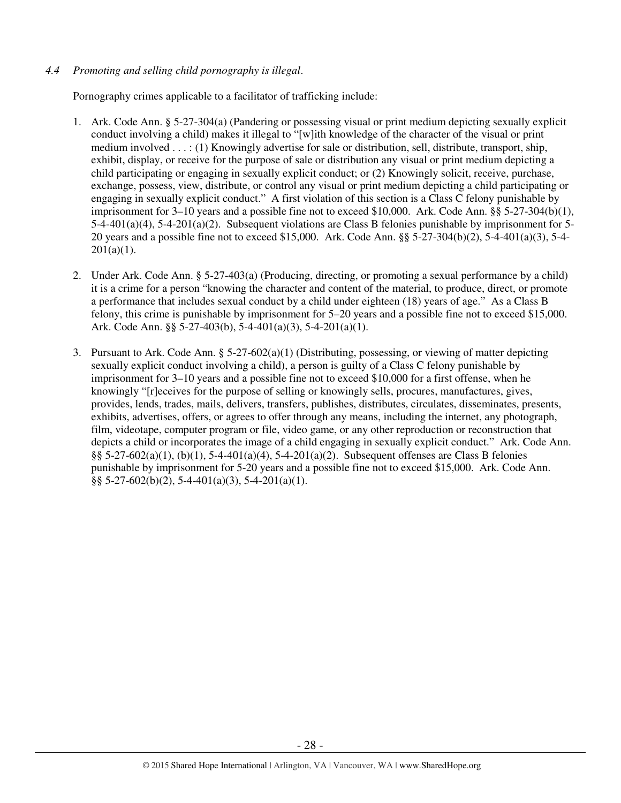# *4.4 Promoting and selling child pornography is illegal*.

Pornography crimes applicable to a facilitator of trafficking include:

- 1. Ark. Code Ann. § 5-27-304(a) (Pandering or possessing visual or print medium depicting sexually explicit conduct involving a child) makes it illegal to "[w]ith knowledge of the character of the visual or print medium involved . . . : (1) Knowingly advertise for sale or distribution, sell, distribute, transport, ship, exhibit, display, or receive for the purpose of sale or distribution any visual or print medium depicting a child participating or engaging in sexually explicit conduct; or (2) Knowingly solicit, receive, purchase, exchange, possess, view, distribute, or control any visual or print medium depicting a child participating or engaging in sexually explicit conduct." A first violation of this section is a Class C felony punishable by imprisonment for 3–10 years and a possible fine not to exceed \$10,000. Ark. Code Ann. §§ 5-27-304(b)(1), 5-4-401(a)(4), 5-4-201(a)(2). Subsequent violations are Class B felonies punishable by imprisonment for 5- 20 years and a possible fine not to exceed \$15,000. Ark. Code Ann. §§ 5-27-304(b)(2), 5-4-401(a)(3), 5-4-  $201(a)(1)$ .
- 2. Under Ark. Code Ann. § 5-27-403(a) (Producing, directing, or promoting a sexual performance by a child) it is a crime for a person "knowing the character and content of the material, to produce, direct, or promote a performance that includes sexual conduct by a child under eighteen (18) years of age." As a Class B felony, this crime is punishable by imprisonment for 5–20 years and a possible fine not to exceed \$15,000. Ark. Code Ann. §§ 5-27-403(b), 5-4-401(a)(3), 5-4-201(a)(1).
- 3. Pursuant to Ark. Code Ann. § 5-27-602(a)(1) (Distributing, possessing, or viewing of matter depicting sexually explicit conduct involving a child), a person is guilty of a Class C felony punishable by imprisonment for 3–10 years and a possible fine not to exceed \$10,000 for a first offense, when he knowingly "[r]eceives for the purpose of selling or knowingly sells, procures, manufactures, gives, provides, lends, trades, mails, delivers, transfers, publishes, distributes, circulates, disseminates, presents, exhibits, advertises, offers, or agrees to offer through any means, including the internet, any photograph, film, videotape, computer program or file, video game, or any other reproduction or reconstruction that depicts a child or incorporates the image of a child engaging in sexually explicit conduct." Ark. Code Ann. §§ 5-27-602(a)(1), (b)(1), 5-4-401(a)(4), 5-4-201(a)(2). Subsequent offenses are Class B felonies punishable by imprisonment for 5-20 years and a possible fine not to exceed \$15,000. Ark. Code Ann.  $\S$ § 5-27-602(b)(2), 5-4-401(a)(3), 5-4-201(a)(1).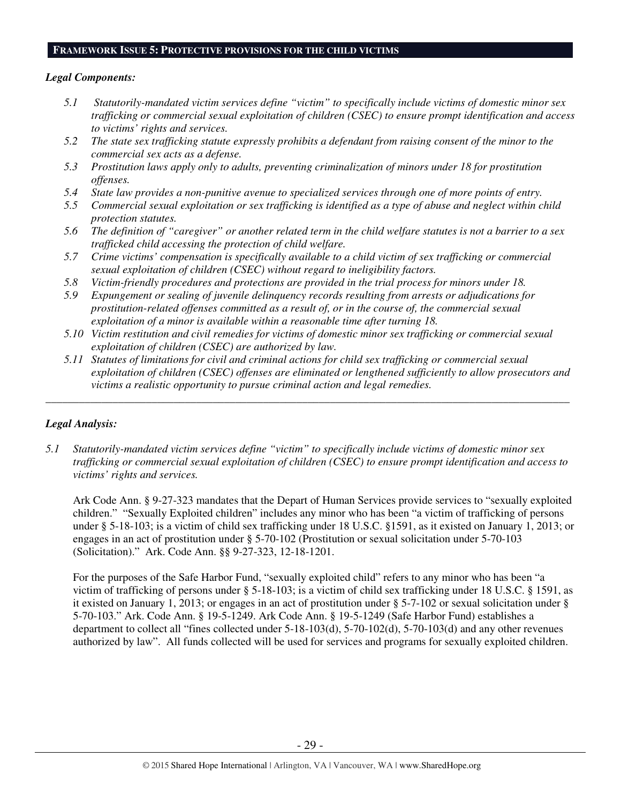#### **FRAMEWORK ISSUE 5: PROTECTIVE PROVISIONS FOR THE CHILD VICTIMS**

## *Legal Components:*

- *5.1 Statutorily-mandated victim services define "victim" to specifically include victims of domestic minor sex trafficking or commercial sexual exploitation of children (CSEC) to ensure prompt identification and access to victims' rights and services.*
- *5.2 The state sex trafficking statute expressly prohibits a defendant from raising consent of the minor to the commercial sex acts as a defense.*
- *5.3 Prostitution laws apply only to adults, preventing criminalization of minors under 18 for prostitution offenses.*
- *5.4 State law provides a non-punitive avenue to specialized services through one of more points of entry.*
- *5.5 Commercial sexual exploitation or sex trafficking is identified as a type of abuse and neglect within child protection statutes.*
- *5.6 The definition of "caregiver" or another related term in the child welfare statutes is not a barrier to a sex trafficked child accessing the protection of child welfare.*
- *5.7 Crime victims' compensation is specifically available to a child victim of sex trafficking or commercial sexual exploitation of children (CSEC) without regard to ineligibility factors.*
- *5.8 Victim-friendly procedures and protections are provided in the trial process for minors under 18.*
- *5.9 Expungement or sealing of juvenile delinquency records resulting from arrests or adjudications for prostitution-related offenses committed as a result of, or in the course of, the commercial sexual exploitation of a minor is available within a reasonable time after turning 18.*
- *5.10 Victim restitution and civil remedies for victims of domestic minor sex trafficking or commercial sexual exploitation of children (CSEC) are authorized by law.*

*\_\_\_\_\_\_\_\_\_\_\_\_\_\_\_\_\_\_\_\_\_\_\_\_\_\_\_\_\_\_\_\_\_\_\_\_\_\_\_\_\_\_\_\_\_\_\_\_\_\_\_\_\_\_\_\_\_\_\_\_\_\_\_\_\_\_\_\_\_\_\_\_\_\_\_\_\_\_\_\_\_\_\_\_\_\_\_\_\_\_\_\_\_\_* 

*5.11 Statutes of limitations for civil and criminal actions for child sex trafficking or commercial sexual exploitation of children (CSEC) offenses are eliminated or lengthened sufficiently to allow prosecutors and victims a realistic opportunity to pursue criminal action and legal remedies.* 

# *Legal Analysis:*

*5.1 Statutorily-mandated victim services define "victim" to specifically include victims of domestic minor sex trafficking or commercial sexual exploitation of children (CSEC) to ensure prompt identification and access to victims' rights and services.* 

Ark Code Ann. § 9-27-323 mandates that the Depart of Human Services provide services to "sexually exploited children." "Sexually Exploited children" includes any minor who has been "a victim of trafficking of persons under § 5-18-103; is a victim of child sex trafficking under 18 U.S.C. §1591, as it existed on January 1, 2013; or engages in an act of prostitution under § 5-70-102 (Prostitution or sexual solicitation under 5-70-103 (Solicitation)." Ark. Code Ann. §§ 9-27-323, 12-18-1201.

For the purposes of the Safe Harbor Fund, "sexually exploited child" refers to any minor who has been "a victim of trafficking of persons under § 5-18-103; is a victim of child sex trafficking under 18 U.S.C. § 1591, as it existed on January 1, 2013; or engages in an act of prostitution under § 5-7-102 or sexual solicitation under § 5-70-103." Ark. Code Ann. § 19-5-1249. Ark Code Ann. § 19-5-1249 (Safe Harbor Fund) establishes a department to collect all "fines collected under 5-18-103(d), 5-70-102(d), 5-70-103(d) and any other revenues authorized by law". All funds collected will be used for services and programs for sexually exploited children.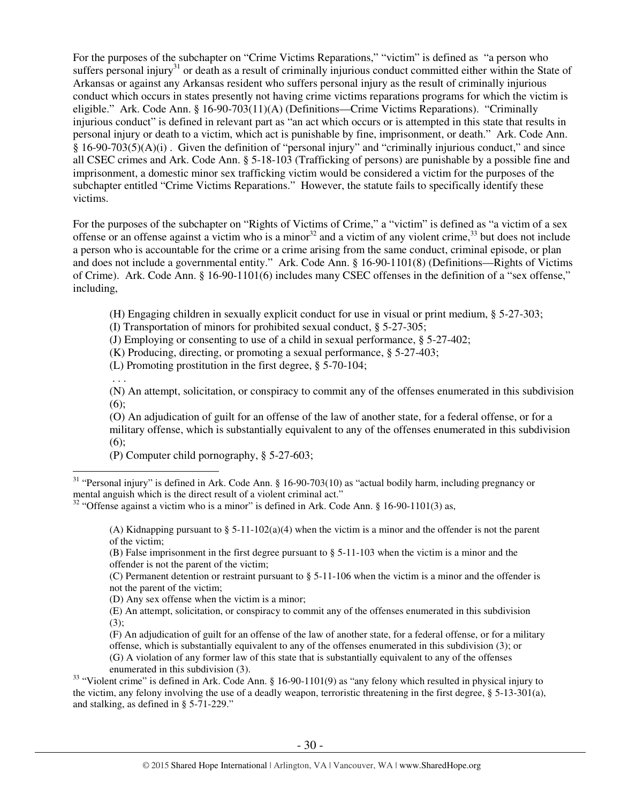For the purposes of the subchapter on "Crime Victims Reparations," "victim" is defined as "a person who suffers personal injury<sup>31</sup> or death as a result of criminally injurious conduct committed either within the State of Arkansas or against any Arkansas resident who suffers personal injury as the result of criminally injurious conduct which occurs in states presently not having crime victims reparations programs for which the victim is eligible." Ark. Code Ann. § 16-90-703(11)(A) (Definitions—Crime Victims Reparations). "Criminally injurious conduct" is defined in relevant part as "an act which occurs or is attempted in this state that results in personal injury or death to a victim, which act is punishable by fine, imprisonment, or death." Ark. Code Ann. § 16-90-703(5)(A)(i) . Given the definition of "personal injury" and "criminally injurious conduct," and since all CSEC crimes and Ark. Code Ann. § 5-18-103 (Trafficking of persons) are punishable by a possible fine and imprisonment, a domestic minor sex trafficking victim would be considered a victim for the purposes of the subchapter entitled "Crime Victims Reparations." However, the statute fails to specifically identify these victims.

For the purposes of the subchapter on "Rights of Victims of Crime," a "victim" is defined as "a victim of a sex offense or an offense against a victim who is a minor  $32$  and a victim of any violent crime,  $33$  but does not include a person who is accountable for the crime or a crime arising from the same conduct, criminal episode, or plan and does not include a governmental entity." Ark. Code Ann. § 16-90-1101(8) (Definitions—Rights of Victims of Crime). Ark. Code Ann. § 16-90-1101(6) includes many CSEC offenses in the definition of a "sex offense," including,

(H) Engaging children in sexually explicit conduct for use in visual or print medium, § 5-27-303;

(I) Transportation of minors for prohibited sexual conduct, § 5-27-305;

(J) Employing or consenting to use of a child in sexual performance, § 5-27-402;

(K) Producing, directing, or promoting a sexual performance, § 5-27-403;

(L) Promoting prostitution in the first degree, § 5-70-104;

. . .

 $\overline{a}$ 

(N) An attempt, solicitation, or conspiracy to commit any of the offenses enumerated in this subdivision  $(6)$ :

(O) An adjudication of guilt for an offense of the law of another state, for a federal offense, or for a military offense, which is substantially equivalent to any of the offenses enumerated in this subdivision (6);

(P) Computer child pornography, § 5-27-603;

(B) False imprisonment in the first degree pursuant to § 5-11-103 when the victim is a minor and the offender is not the parent of the victim;

(C) Permanent detention or restraint pursuant to § 5-11-106 when the victim is a minor and the offender is not the parent of the victim;

(D) Any sex offense when the victim is a minor;

(E) An attempt, solicitation, or conspiracy to commit any of the offenses enumerated in this subdivision  $(3)$ ;

(F) An adjudication of guilt for an offense of the law of another state, for a federal offense, or for a military offense, which is substantially equivalent to any of the offenses enumerated in this subdivision (3); or

(G) A violation of any former law of this state that is substantially equivalent to any of the offenses enumerated in this subdivision (3).

<sup>33</sup> "Violent crime" is defined in Ark. Code Ann. § 16-90-1101(9) as "any felony which resulted in physical injury to the victim, any felony involving the use of a deadly weapon, terroristic threatening in the first degree, § 5-13-301(a), and stalking, as defined in § 5-71-229."

<sup>&</sup>lt;sup>31</sup> "Personal injury" is defined in Ark. Code Ann. § 16-90-703(10) as "actual bodily harm, including pregnancy or mental anguish which is the direct result of a violent criminal act."

 $32$  "Offense against a victim who is a minor" is defined in Ark. Code Ann. § 16-90-1101(3) as,

<sup>(</sup>A) Kidnapping pursuant to  $\S 5-11-102(a)(4)$  when the victim is a minor and the offender is not the parent of the victim;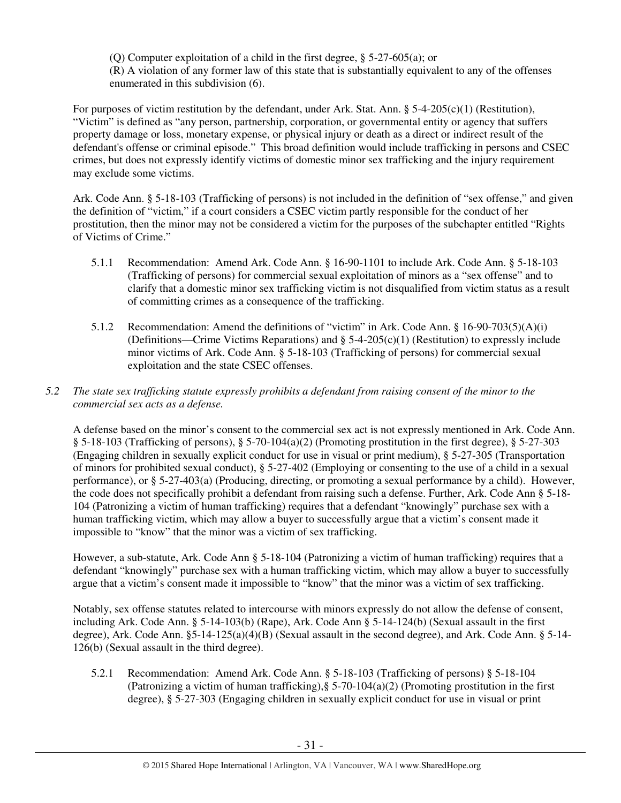(Q) Computer exploitation of a child in the first degree, § 5-27-605(a); or (R) A violation of any former law of this state that is substantially equivalent to any of the offenses enumerated in this subdivision (6).

For purposes of victim restitution by the defendant, under Ark. Stat. Ann.  $\S$  5-4-205(c)(1) (Restitution), "Victim" is defined as "any person, partnership, corporation, or governmental entity or agency that suffers property damage or loss, monetary expense, or physical injury or death as a direct or indirect result of the defendant's offense or criminal episode." This broad definition would include trafficking in persons and CSEC crimes, but does not expressly identify victims of domestic minor sex trafficking and the injury requirement may exclude some victims.

Ark. Code Ann. § 5-18-103 (Trafficking of persons) is not included in the definition of "sex offense," and given the definition of "victim," if a court considers a CSEC victim partly responsible for the conduct of her prostitution, then the minor may not be considered a victim for the purposes of the subchapter entitled "Rights of Victims of Crime."

- 5.1.1 Recommendation: Amend Ark. Code Ann. § 16-90-1101 to include Ark. Code Ann. § 5-18-103 (Trafficking of persons) for commercial sexual exploitation of minors as a "sex offense" and to clarify that a domestic minor sex trafficking victim is not disqualified from victim status as a result of committing crimes as a consequence of the trafficking.
- 5.1.2 Recommendation: Amend the definitions of "victim" in Ark. Code Ann. § 16-90-703(5)(A)(i) (Definitions—Crime Victims Reparations) and  $\S$  5-4-205(c)(1) (Restitution) to expressly include minor victims of Ark. Code Ann. § 5-18-103 (Trafficking of persons) for commercial sexual exploitation and the state CSEC offenses.

# *5.2 The state sex trafficking statute expressly prohibits a defendant from raising consent of the minor to the commercial sex acts as a defense.*

A defense based on the minor's consent to the commercial sex act is not expressly mentioned in Ark. Code Ann.  $\S$  5-18-103 (Trafficking of persons),  $\S$  5-70-104(a)(2) (Promoting prostitution in the first degree),  $\S$  5-27-303 (Engaging children in sexually explicit conduct for use in visual or print medium), § 5-27-305 (Transportation of minors for prohibited sexual conduct), § 5-27-402 (Employing or consenting to the use of a child in a sexual performance), or § 5-27-403(a) (Producing, directing, or promoting a sexual performance by a child). However, the code does not specifically prohibit a defendant from raising such a defense. Further, Ark. Code Ann § 5-18- 104 (Patronizing a victim of human trafficking) requires that a defendant "knowingly" purchase sex with a human trafficking victim, which may allow a buyer to successfully argue that a victim's consent made it impossible to "know" that the minor was a victim of sex trafficking.

However, a sub-statute, Ark. Code Ann § 5-18-104 (Patronizing a victim of human trafficking) requires that a defendant "knowingly" purchase sex with a human trafficking victim, which may allow a buyer to successfully argue that a victim's consent made it impossible to "know" that the minor was a victim of sex trafficking.

Notably, sex offense statutes related to intercourse with minors expressly do not allow the defense of consent, including Ark. Code Ann. § 5-14-103(b) (Rape), Ark. Code Ann § 5-14-124(b) (Sexual assault in the first degree), Ark. Code Ann. §5-14-125(a)(4)(B) (Sexual assault in the second degree), and Ark. Code Ann. § 5-14- 126(b) (Sexual assault in the third degree).

5.2.1 Recommendation: Amend Ark. Code Ann. § 5-18-103 (Trafficking of persons) § 5-18-104 (Patronizing a victim of human trafficking),§ 5-70-104(a)(2) (Promoting prostitution in the first degree), § 5-27-303 (Engaging children in sexually explicit conduct for use in visual or print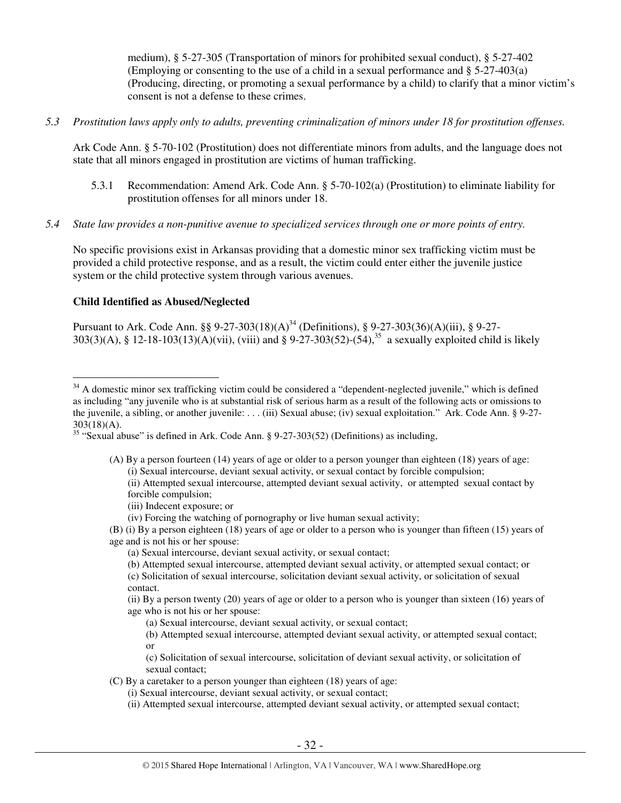medium), § 5-27-305 (Transportation of minors for prohibited sexual conduct), § 5-27-402 (Employing or consenting to the use of a child in a sexual performance and § 5-27-403(a) (Producing, directing, or promoting a sexual performance by a child) to clarify that a minor victim's consent is not a defense to these crimes.

*5.3 Prostitution laws apply only to adults, preventing criminalization of minors under 18 for prostitution offenses.* 

Ark Code Ann. § 5-70-102 (Prostitution) does not differentiate minors from adults, and the language does not state that all minors engaged in prostitution are victims of human trafficking.

- 5.3.1 Recommendation: Amend Ark. Code Ann. § 5-70-102(a) (Prostitution) to eliminate liability for prostitution offenses for all minors under 18.
- *5.4 State law provides a non-punitive avenue to specialized services through one or more points of entry.*

No specific provisions exist in Arkansas providing that a domestic minor sex trafficking victim must be provided a child protective response, and as a result, the victim could enter either the juvenile justice system or the child protective system through various avenues.

# **Child Identified as Abused/Neglected**

Pursuant to Ark. Code Ann. §§ 9-27-303(18)(A)<sup>34</sup> (Definitions), § 9-27-303(36)(A)(iii), § 9-27-303(3)(A), § 12-18-103(13)(A)(vii), (viii) and § 9-27-303(52)-(54),<sup>35</sup> a sexually exploited child is likely

- (A) By a person fourteen (14) years of age or older to a person younger than eighteen (18) years of age: (i) Sexual intercourse, deviant sexual activity, or sexual contact by forcible compulsion; (ii) Attempted sexual intercourse, attempted deviant sexual activity, or attempted sexual contact by forcible compulsion;
	- (iii) Indecent exposure; or
	- (iv) Forcing the watching of pornography or live human sexual activity;
- (B) (i) By a person eighteen (18) years of age or older to a person who is younger than fifteen (15) years of age and is not his or her spouse:
	- (a) Sexual intercourse, deviant sexual activity, or sexual contact;
	- (b) Attempted sexual intercourse, attempted deviant sexual activity, or attempted sexual contact; or
	- (c) Solicitation of sexual intercourse, solicitation deviant sexual activity, or solicitation of sexual contact.
	- (ii) By a person twenty (20) years of age or older to a person who is younger than sixteen (16) years of age who is not his or her spouse:
		- (a) Sexual intercourse, deviant sexual activity, or sexual contact;
		- (b) Attempted sexual intercourse, attempted deviant sexual activity, or attempted sexual contact; or

(c) Solicitation of sexual intercourse, solicitation of deviant sexual activity, or solicitation of sexual contact;

(C) By a caretaker to a person younger than eighteen (18) years of age:

- (i) Sexual intercourse, deviant sexual activity, or sexual contact;
- (ii) Attempted sexual intercourse, attempted deviant sexual activity, or attempted sexual contact;

 $\overline{a}$ <sup>34</sup> A domestic minor sex trafficking victim could be considered a "dependent-neglected juvenile," which is defined as including "any juvenile who is at substantial risk of serious harm as a result of the following acts or omissions to the juvenile, a sibling, or another juvenile: . . . (iii) Sexual abuse; (iv) sexual exploitation." Ark. Code Ann. § 9-27- 303(18)(A).

<sup>35</sup> "Sexual abuse" is defined in Ark. Code Ann. § 9-27-303(52) (Definitions) as including,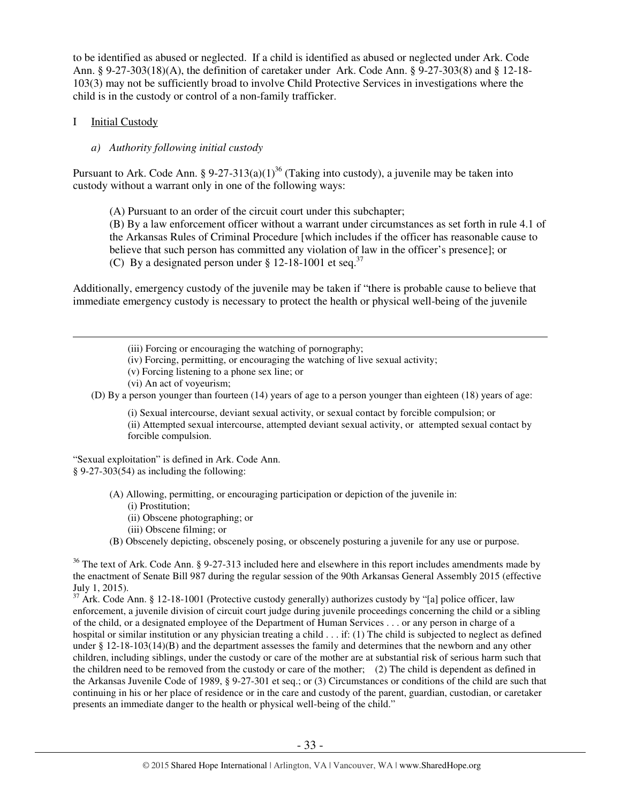to be identified as abused or neglected. If a child is identified as abused or neglected under Ark. Code Ann. § 9-27-303(18)(A), the definition of caretaker under Ark. Code Ann. § 9-27-303(8) and § 12-18- 103(3) may not be sufficiently broad to involve Child Protective Services in investigations where the child is in the custody or control of a non-family trafficker.

#### I Initial Custody

 $\overline{a}$ 

#### *a) Authority following initial custody*

Pursuant to Ark. Code Ann. § 9-27-313(a)(1)<sup>36</sup> (Taking into custody), a juvenile may be taken into custody without a warrant only in one of the following ways:

(A) Pursuant to an order of the circuit court under this subchapter;

(B) By a law enforcement officer without a warrant under circumstances as set forth in rule 4.1 of the Arkansas Rules of Criminal Procedure [which includes if the officer has reasonable cause to believe that such person has committed any violation of law in the officer's presence]; or (C) By a designated person under  $\S 12-18-1001$  et seq.<sup>37</sup>

Additionally, emergency custody of the juvenile may be taken if "there is probable cause to believe that immediate emergency custody is necessary to protect the health or physical well-being of the juvenile

(iii) Forcing or encouraging the watching of pornography;

- (iv) Forcing, permitting, or encouraging the watching of live sexual activity;
- (v) Forcing listening to a phone sex line; or
- (vi) An act of voyeurism;

(D) By a person younger than fourteen (14) years of age to a person younger than eighteen (18) years of age:

(i) Sexual intercourse, deviant sexual activity, or sexual contact by forcible compulsion; or (ii) Attempted sexual intercourse, attempted deviant sexual activity, or attempted sexual contact by forcible compulsion.

"Sexual exploitation" is defined in Ark. Code Ann. § 9-27-303(54) as including the following:

- (A) Allowing, permitting, or encouraging participation or depiction of the juvenile in:
	- (i) Prostitution;
	- (ii) Obscene photographing; or
	- (iii) Obscene filming; or
- (B) Obscenely depicting, obscenely posing, or obscenely posturing a juvenile for any use or purpose.

<sup>36</sup> The text of Ark. Code Ann. § 9-27-313 included here and elsewhere in this report includes amendments made by the enactment of Senate Bill 987 during the regular session of the 90th Arkansas General Assembly 2015 (effective July 1, 2015).

<sup>37</sup> Ark. Code Ann. § 12-18-1001 (Protective custody generally) authorizes custody by "[a] police officer, law enforcement, a juvenile division of circuit court judge during juvenile proceedings concerning the child or a sibling of the child, or a designated employee of the Department of Human Services . . . or any person in charge of a hospital or similar institution or any physician treating a child . . . if: (1) The child is subjected to neglect as defined under § 12-18-103(14)(B) and the department assesses the family and determines that the newborn and any other children, including siblings, under the custody or care of the mother are at substantial risk of serious harm such that the children need to be removed from the custody or care of the mother; (2) The child is dependent as defined in the Arkansas Juvenile Code of 1989, § 9-27-301 et seq.; or (3) Circumstances or conditions of the child are such that continuing in his or her place of residence or in the care and custody of the parent, guardian, custodian, or caretaker presents an immediate danger to the health or physical well-being of the child."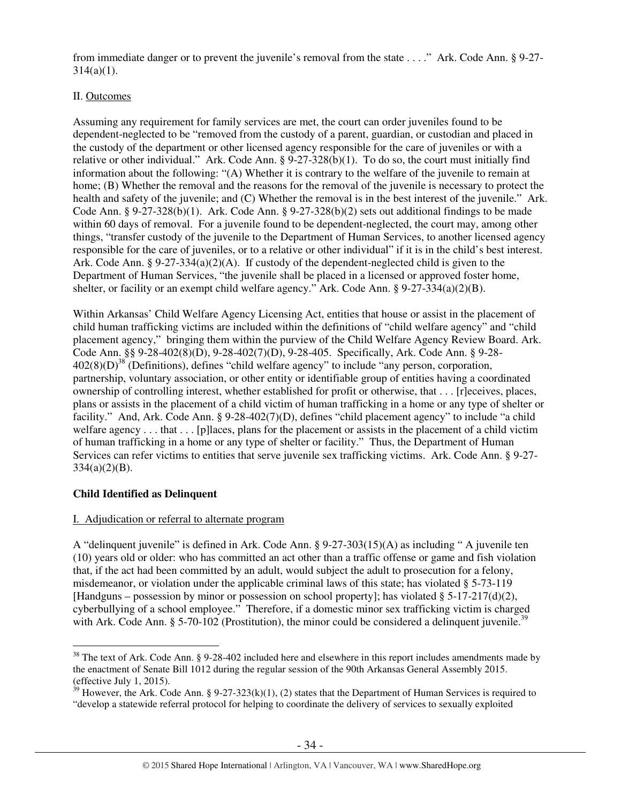from immediate danger or to prevent the juvenile's removal from the state . . . ." Ark. Code Ann. § 9-27-  $314(a)(1)$ .

# II. Outcomes

Assuming any requirement for family services are met, the court can order juveniles found to be dependent-neglected to be "removed from the custody of a parent, guardian, or custodian and placed in the custody of the department or other licensed agency responsible for the care of juveniles or with a relative or other individual." Ark. Code Ann. § 9-27-328(b)(1). To do so, the court must initially find information about the following: "(A) Whether it is contrary to the welfare of the juvenile to remain at home; (B) Whether the removal and the reasons for the removal of the juvenile is necessary to protect the health and safety of the juvenile; and (C) Whether the removal is in the best interest of the juvenile." Ark. Code Ann.  $\S 9-27-328(b)(1)$ . Ark. Code Ann.  $\S 9-27-328(b)(2)$  sets out additional findings to be made within 60 days of removal. For a juvenile found to be dependent-neglected, the court may, among other things, "transfer custody of the juvenile to the Department of Human Services, to another licensed agency responsible for the care of juveniles, or to a relative or other individual" if it is in the child's best interest. Ark. Code Ann. § 9-27-334(a)(2)(A). If custody of the dependent-neglected child is given to the Department of Human Services, "the juvenile shall be placed in a licensed or approved foster home, shelter, or facility or an exempt child welfare agency." Ark. Code Ann. § 9-27-334(a)(2)(B).

Within Arkansas' Child Welfare Agency Licensing Act, entities that house or assist in the placement of child human trafficking victims are included within the definitions of "child welfare agency" and "child placement agency," bringing them within the purview of the Child Welfare Agency Review Board. Ark. Code Ann. §§ 9-28-402(8)(D), 9-28-402(7)(D), 9-28-405. Specifically, Ark. Code Ann. § 9-28-  $402(8)(D)^{38}$  (Definitions), defines "child welfare agency" to include "any person, corporation, partnership, voluntary association, or other entity or identifiable group of entities having a coordinated ownership of controlling interest, whether established for profit or otherwise, that . . . [r]eceives, places, plans or assists in the placement of a child victim of human trafficking in a home or any type of shelter or facility." And, Ark. Code Ann. § 9-28-402(7)(D), defines "child placement agency" to include "a child welfare agency . . . that . . . [p] laces, plans for the placement or assists in the placement of a child victim of human trafficking in a home or any type of shelter or facility." Thus, the Department of Human Services can refer victims to entities that serve juvenile sex trafficking victims. Ark. Code Ann. § 9-27-  $334(a)(2)(B)$ .

# **Child Identified as Delinquent**

# I. Adjudication or referral to alternate program

A "delinquent juvenile" is defined in Ark. Code Ann. § 9-27-303(15)(A) as including " A juvenile ten (10) years old or older: who has committed an act other than a traffic offense or game and fish violation that, if the act had been committed by an adult, would subject the adult to prosecution for a felony, misdemeanor, or violation under the applicable criminal laws of this state; has violated § 5-73-119 [Handguns – possession by minor or possession on school property]; has violated §  $5-17-217(d)(2)$ , cyberbullying of a school employee." Therefore, if a domestic minor sex trafficking victim is charged with Ark. Code Ann. § 5-70-102 (Prostitution), the minor could be considered a delinquent juvenile.<sup>39</sup>

 $\overline{a}$  $38$  The text of Ark. Code Ann. § 9-28-402 included here and elsewhere in this report includes amendments made by the enactment of Senate Bill 1012 during the regular session of the 90th Arkansas General Assembly 2015. (effective July 1, 2015).

<sup>&</sup>lt;sup>39</sup> However, the Ark. Code Ann. § 9-27-323(k)(1), (2) states that the Department of Human Services is required to "develop a statewide referral protocol for helping to coordinate the delivery of services to sexually exploited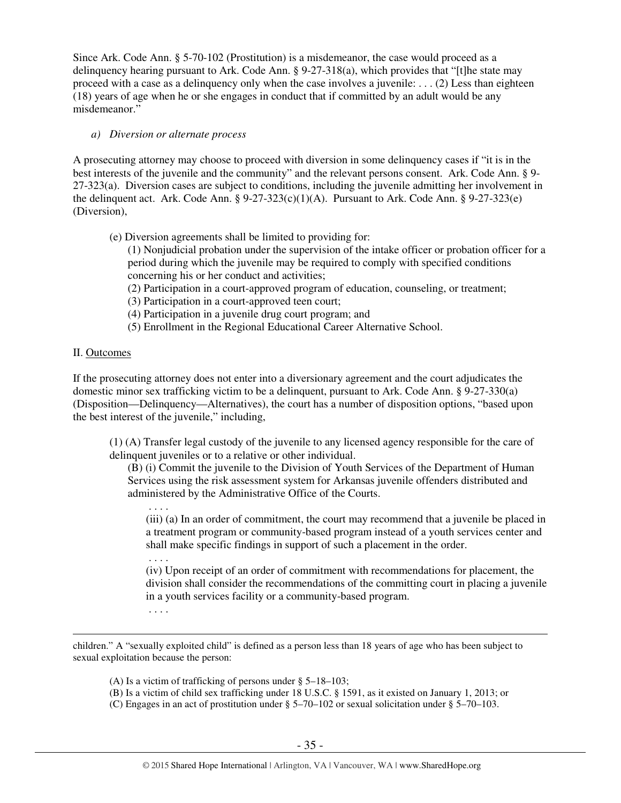Since Ark. Code Ann. § 5-70-102 (Prostitution) is a misdemeanor, the case would proceed as a delinquency hearing pursuant to Ark. Code Ann. § 9-27-318(a), which provides that "[t]he state may proceed with a case as a delinquency only when the case involves a juvenile: . . . (2) Less than eighteen (18) years of age when he or she engages in conduct that if committed by an adult would be any misdemeanor."

## *a) Diversion or alternate process*

A prosecuting attorney may choose to proceed with diversion in some delinquency cases if "it is in the best interests of the juvenile and the community" and the relevant persons consent. Ark. Code Ann. § 9- 27-323(a). Diversion cases are subject to conditions, including the juvenile admitting her involvement in the delinquent act. Ark. Code Ann.  $\S 9-27-323(c)(1)(A)$ . Pursuant to Ark. Code Ann.  $\S 9-27-323(e)$ (Diversion),

(e) Diversion agreements shall be limited to providing for:

(1) Nonjudicial probation under the supervision of the intake officer or probation officer for a period during which the juvenile may be required to comply with specified conditions concerning his or her conduct and activities;

- (2) Participation in a court-approved program of education, counseling, or treatment;
- (3) Participation in a court-approved teen court;
- (4) Participation in a juvenile drug court program; and
- (5) Enrollment in the Regional Educational Career Alternative School.

# II. Outcomes

 $\overline{a}$ 

If the prosecuting attorney does not enter into a diversionary agreement and the court adjudicates the domestic minor sex trafficking victim to be a delinquent, pursuant to Ark. Code Ann. § 9-27-330(a) (Disposition—Delinquency—Alternatives), the court has a number of disposition options, "based upon the best interest of the juvenile," including,

(1) (A) Transfer legal custody of the juvenile to any licensed agency responsible for the care of delinquent juveniles or to a relative or other individual.

(B) (i) Commit the juvenile to the Division of Youth Services of the Department of Human Services using the risk assessment system for Arkansas juvenile offenders distributed and administered by the Administrative Office of the Courts.

(iii) (a) In an order of commitment, the court may recommend that a juvenile be placed in a treatment program or community-based program instead of a youth services center and shall make specific findings in support of such a placement in the order.

 . . . . (iv) Upon receipt of an order of commitment with recommendations for placement, the division shall consider the recommendations of the committing court in placing a juvenile in a youth services facility or a community-based program.

. . . .

children." A "sexually exploited child" is defined as a person less than 18 years of age who has been subject to sexual exploitation because the person:

(A) Is a victim of trafficking of persons under § 5–18–103;

- (B) Is a victim of child sex trafficking under 18 U.S.C. § 1591, as it existed on January 1, 2013; or
- (C) Engages in an act of prostitution under § 5–70–102 or sexual solicitation under § 5–70–103.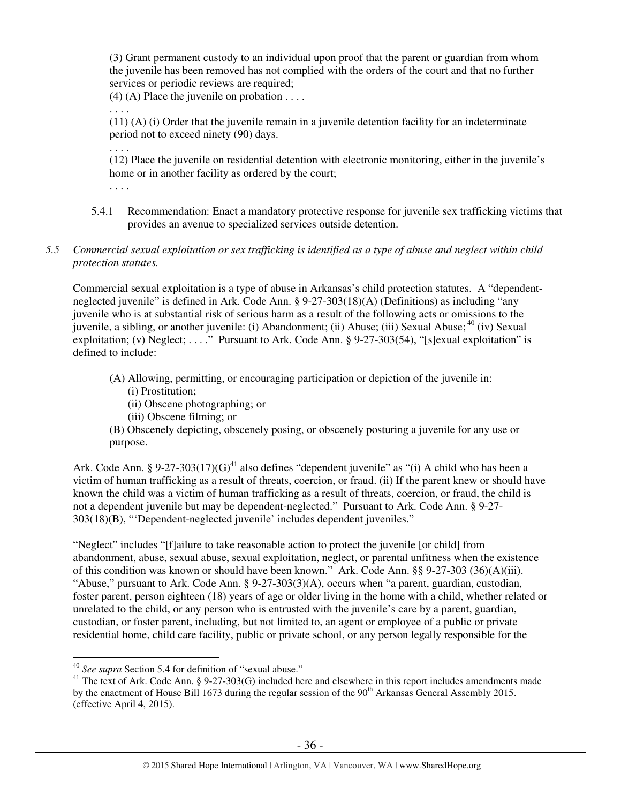(3) Grant permanent custody to an individual upon proof that the parent or guardian from whom the juvenile has been removed has not complied with the orders of the court and that no further services or periodic reviews are required;

 $(4)$  (A) Place the juvenile on probation . . . .

. . . .

(11) (A) (i) Order that the juvenile remain in a juvenile detention facility for an indeterminate period not to exceed ninety (90) days.

. . . . (12) Place the juvenile on residential detention with electronic monitoring, either in the juvenile's home or in another facility as ordered by the court;

. . . .

- 5.4.1 Recommendation: Enact a mandatory protective response for juvenile sex trafficking victims that provides an avenue to specialized services outside detention.
- *5.5 Commercial sexual exploitation or sex trafficking is identified as a type of abuse and neglect within child protection statutes.*

Commercial sexual exploitation is a type of abuse in Arkansas's child protection statutes. A "dependentneglected juvenile" is defined in Ark. Code Ann. § 9-27-303(18)(A) (Definitions) as including "any juvenile who is at substantial risk of serious harm as a result of the following acts or omissions to the juvenile, a sibling, or another juvenile: (i) Abandonment; (ii) Abuse; (iii) Sexual Abuse; <sup>40</sup> (iv) Sexual exploitation; (v) Neglect; . . . ." Pursuant to Ark. Code Ann.  $\S$  9-27-303(54), "[s]exual exploitation" is defined to include:

- (A) Allowing, permitting, or encouraging participation or depiction of the juvenile in:
	- (i) Prostitution;
	- (ii) Obscene photographing; or
	- (iii) Obscene filming; or
- (B) Obscenely depicting, obscenely posing, or obscenely posturing a juvenile for any use or purpose.

Ark. Code Ann. § 9-27-303(17)(G)<sup>41</sup> also defines "dependent juvenile" as "(i) A child who has been a victim of human trafficking as a result of threats, coercion, or fraud. (ii) If the parent knew or should have known the child was a victim of human trafficking as a result of threats, coercion, or fraud, the child is not a dependent juvenile but may be dependent-neglected." Pursuant to Ark. Code Ann. § 9-27- 303(18)(B), "'Dependent-neglected juvenile' includes dependent juveniles."

"Neglect" includes "[f]ailure to take reasonable action to protect the juvenile [or child] from abandonment, abuse, sexual abuse, sexual exploitation, neglect, or parental unfitness when the existence of this condition was known or should have been known." Ark. Code Ann. §§ 9-27-303 (36)(A)(iii). "Abuse," pursuant to Ark. Code Ann. § 9-27-303(3)(A), occurs when "a parent, guardian, custodian, foster parent, person eighteen (18) years of age or older living in the home with a child, whether related or unrelated to the child, or any person who is entrusted with the juvenile's care by a parent, guardian, custodian, or foster parent, including, but not limited to, an agent or employee of a public or private residential home, child care facility, public or private school, or any person legally responsible for the

<sup>40</sup> *See supra* Section 5.4 for definition of "sexual abuse."

<sup>&</sup>lt;sup>41</sup> The text of Ark. Code Ann. § 9-27-303(G) included here and elsewhere in this report includes amendments made by the enactment of House Bill 1673 during the regular session of the 90<sup>th</sup> Arkansas General Assembly 2015. (effective April 4, 2015).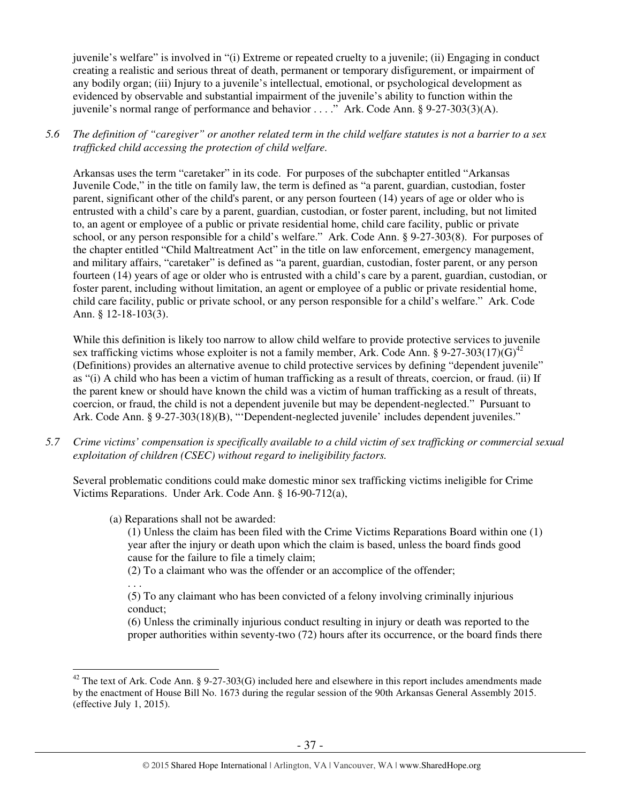juvenile's welfare" is involved in "(i) Extreme or repeated cruelty to a juvenile; (ii) Engaging in conduct creating a realistic and serious threat of death, permanent or temporary disfigurement, or impairment of any bodily organ; (iii) Injury to a juvenile's intellectual, emotional, or psychological development as evidenced by observable and substantial impairment of the juvenile's ability to function within the juvenile's normal range of performance and behavior . . . ." Ark. Code Ann. § 9-27-303(3)(A).

*5.6 The definition of "caregiver" or another related term in the child welfare statutes is not a barrier to a sex trafficked child accessing the protection of child welfare.* 

Arkansas uses the term "caretaker" in its code. For purposes of the subchapter entitled "Arkansas Juvenile Code," in the title on family law, the term is defined as "a parent, guardian, custodian, foster parent, significant other of the child's parent, or any person fourteen (14) years of age or older who is entrusted with a child's care by a parent, guardian, custodian, or foster parent, including, but not limited to, an agent or employee of a public or private residential home, child care facility, public or private school, or any person responsible for a child's welfare." Ark. Code Ann. § 9-27-303(8). For purposes of the chapter entitled "Child Maltreatment Act" in the title on law enforcement, emergency management, and military affairs, "caretaker" is defined as "a parent, guardian, custodian, foster parent, or any person fourteen (14) years of age or older who is entrusted with a child's care by a parent, guardian, custodian, or foster parent, including without limitation, an agent or employee of a public or private residential home, child care facility, public or private school, or any person responsible for a child's welfare." Ark. Code Ann. § 12-18-103(3).

While this definition is likely too narrow to allow child welfare to provide protective services to juvenile sex trafficking victims whose exploiter is not a family member, Ark. Code Ann. § 9-27-303(17)(G)<sup>42</sup> (Definitions) provides an alternative avenue to child protective services by defining "dependent juvenile" as "(i) A child who has been a victim of human trafficking as a result of threats, coercion, or fraud. (ii) If the parent knew or should have known the child was a victim of human trafficking as a result of threats, coercion, or fraud, the child is not a dependent juvenile but may be dependent-neglected." Pursuant to Ark. Code Ann. § 9-27-303(18)(B), "'Dependent-neglected juvenile' includes dependent juveniles."

*5.7 Crime victims' compensation is specifically available to a child victim of sex trafficking or commercial sexual exploitation of children (CSEC) without regard to ineligibility factors.* 

Several problematic conditions could make domestic minor sex trafficking victims ineligible for Crime Victims Reparations. Under Ark. Code Ann. § 16-90-712(a),

## (a) Reparations shall not be awarded:

(1) Unless the claim has been filed with the Crime Victims Reparations Board within one (1) year after the injury or death upon which the claim is based, unless the board finds good cause for the failure to file a timely claim;

(2) To a claimant who was the offender or an accomplice of the offender;

. . .

(5) To any claimant who has been convicted of a felony involving criminally injurious conduct;

(6) Unless the criminally injurious conduct resulting in injury or death was reported to the proper authorities within seventy-two (72) hours after its occurrence, or the board finds there

 $\overline{a}$  $42$  The text of Ark. Code Ann. § 9-27-303(G) included here and elsewhere in this report includes amendments made by the enactment of House Bill No. 1673 during the regular session of the 90th Arkansas General Assembly 2015. (effective July 1, 2015).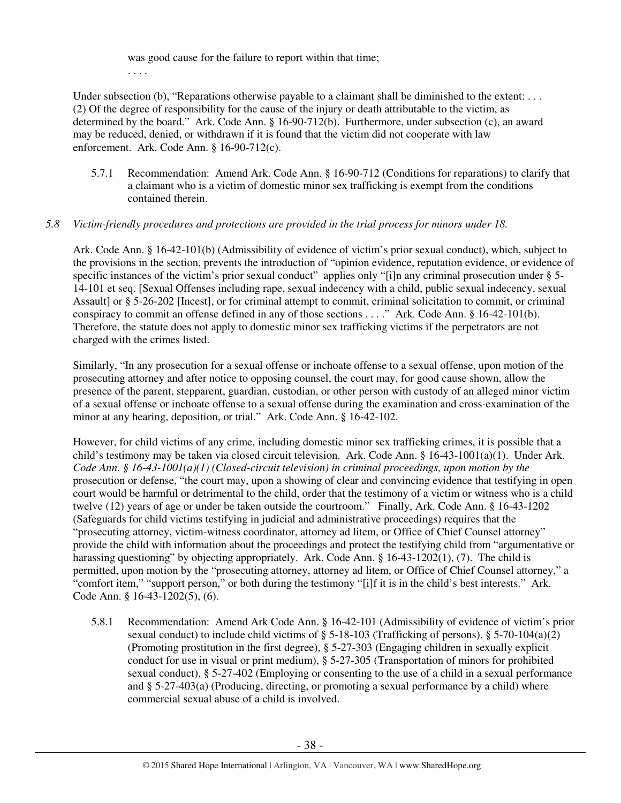was good cause for the failure to report within that time;

. . . .

Under subsection (b), "Reparations otherwise payable to a claimant shall be diminished to the extent: ... (2) Of the degree of responsibility for the cause of the injury or death attributable to the victim, as determined by the board." Ark. Code Ann. § 16-90-712(b). Furthermore, under subsection (c), an award may be reduced, denied, or withdrawn if it is found that the victim did not cooperate with law enforcement. Ark. Code Ann. § 16-90-712(c).

5.7.1 Recommendation: Amend Ark. Code Ann. § 16-90-712 (Conditions for reparations) to clarify that a claimant who is a victim of domestic minor sex trafficking is exempt from the conditions contained therein.

# *5.8 Victim-friendly procedures and protections are provided in the trial process for minors under 18.*

Ark. Code Ann. § 16-42-101(b) (Admissibility of evidence of victim's prior sexual conduct), which, subject to the provisions in the section, prevents the introduction of "opinion evidence, reputation evidence, or evidence of specific instances of the victim's prior sexual conduct" applies only "[i]n any criminal prosecution under § 5-14-101 et seq. [Sexual Offenses including rape, sexual indecency with a child, public sexual indecency, sexual Assault] or § 5-26-202 [Incest], or for criminal attempt to commit, criminal solicitation to commit, or criminal conspiracy to commit an offense defined in any of those sections . . . ." Ark. Code Ann. § 16-42-101(b). Therefore, the statute does not apply to domestic minor sex trafficking victims if the perpetrators are not charged with the crimes listed.

Similarly, "In any prosecution for a sexual offense or inchoate offense to a sexual offense, upon motion of the prosecuting attorney and after notice to opposing counsel, the court may, for good cause shown, allow the presence of the parent, stepparent, guardian, custodian, or other person with custody of an alleged minor victim of a sexual offense or inchoate offense to a sexual offense during the examination and cross-examination of the minor at any hearing, deposition, or trial." Ark. Code Ann. § 16-42-102.

However, for child victims of any crime, including domestic minor sex trafficking crimes, it is possible that a child's testimony may be taken via closed circuit television. Ark. Code Ann. § 16-43-1001(a)(1). Under Ark. *Code Ann. § 16-43-1001(a)(1) (Closed-circuit television) in criminal proceedings, upon motion by the* prosecution or defense, "the court may, upon a showing of clear and convincing evidence that testifying in open court would be harmful or detrimental to the child, order that the testimony of a victim or witness who is a child twelve (12) years of age or under be taken outside the courtroom." Finally, Ark. Code Ann. § 16-43-1202 (Safeguards for child victims testifying in judicial and administrative proceedings) requires that the "prosecuting attorney, victim-witness coordinator, attorney ad litem, or Office of Chief Counsel attorney" provide the child with information about the proceedings and protect the testifying child from "argumentative or harassing questioning" by objecting appropriately. Ark. Code Ann. § 16-43-1202(1), (7). The child is permitted, upon motion by the "prosecuting attorney, attorney ad litem, or Office of Chief Counsel attorney," a "comfort item," "support person," or both during the testimony "[i]f it is in the child's best interests." Ark. Code Ann. § 16-43-1202(5), (6).

5.8.1 Recommendation: Amend Ark Code Ann. § 16-42-101 (Admissibility of evidence of victim's prior sexual conduct) to include child victims of § 5-18-103 (Trafficking of persons), § 5-70-104(a)(2) (Promoting prostitution in the first degree), § 5-27-303 (Engaging children in sexually explicit conduct for use in visual or print medium), § 5-27-305 (Transportation of minors for prohibited sexual conduct), § 5-27-402 (Employing or consenting to the use of a child in a sexual performance and § 5-27-403(a) (Producing, directing, or promoting a sexual performance by a child) where commercial sexual abuse of a child is involved.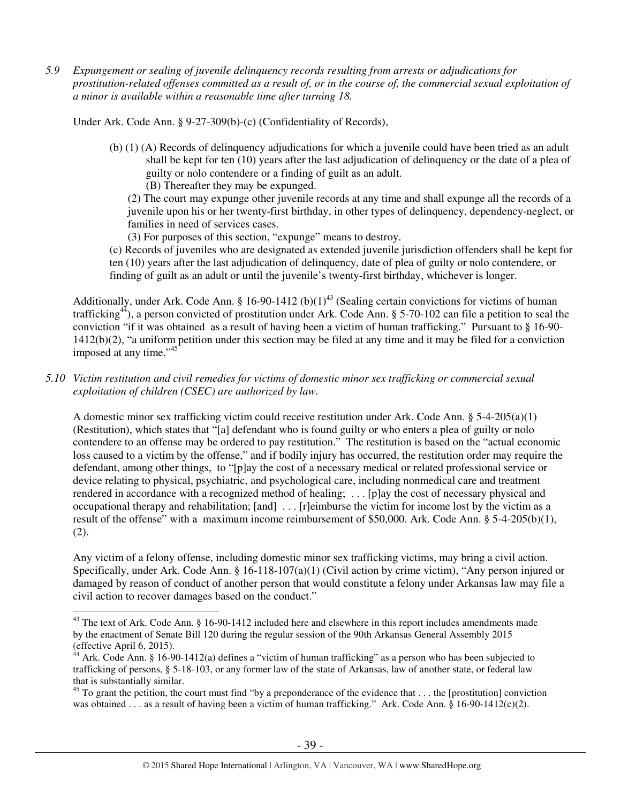*5.9 Expungement or sealing of juvenile delinquency records resulting from arrests or adjudications for prostitution-related offenses committed as a result of, or in the course of, the commercial sexual exploitation of a minor is available within a reasonable time after turning 18.* 

Under Ark. Code Ann. § 9-27-309(b)-(c) (Confidentiality of Records),

- (b) (1) (A) Records of delinquency adjudications for which a juvenile could have been tried as an adult shall be kept for ten (10) years after the last adjudication of delinquency or the date of a plea of guilty or nolo contendere or a finding of guilt as an adult. (B) Thereafter they may be expunged.
	- (2) The court may expunge other juvenile records at any time and shall expunge all the records of a juvenile upon his or her twenty-first birthday, in other types of delinquency, dependency-neglect, or families in need of services cases.
	- (3) For purposes of this section, "expunge" means to destroy.

(c) Records of juveniles who are designated as extended juvenile jurisdiction offenders shall be kept for ten (10) years after the last adjudication of delinquency, date of plea of guilty or nolo contendere, or finding of guilt as an adult or until the juvenile's twenty-first birthday, whichever is longer.

Additionally, under Ark. Code Ann. § 16-90-1412 (b)(1)<sup>43</sup> (Sealing certain convictions for victims of human trafficking<sup>44</sup>), a person convicted of prostitution under Ark. Code Ann. § 5-70-102 can file a petition to seal the conviction "if it was obtained as a result of having been a victim of human trafficking." Pursuant to § 16-90- 1412(b)(2), "a uniform petition under this section may be filed at any time and it may be filed for a conviction imposed at any time."<sup>45</sup>

*5.10 Victim restitution and civil remedies for victims of domestic minor sex trafficking or commercial sexual exploitation of children (CSEC) are authorized by law.* 

A domestic minor sex trafficking victim could receive restitution under Ark. Code Ann. §  $5-4-205(a)(1)$ (Restitution), which states that "[a] defendant who is found guilty or who enters a plea of guilty or nolo contendere to an offense may be ordered to pay restitution." The restitution is based on the "actual economic loss caused to a victim by the offense," and if bodily injury has occurred, the restitution order may require the defendant, among other things, to "[p]ay the cost of a necessary medical or related professional service or device relating to physical, psychiatric, and psychological care, including nonmedical care and treatment rendered in accordance with a recognized method of healing; . . . [p]ay the cost of necessary physical and occupational therapy and rehabilitation; [and] . . . [r]eimburse the victim for income lost by the victim as a result of the offense" with a maximum income reimbursement of \$50,000. Ark. Code Ann. § 5-4-205(b)(1), (2).

Any victim of a felony offense, including domestic minor sex trafficking victims, may bring a civil action. Specifically, under Ark. Code Ann. § 16-118-107(a)(1) (Civil action by crime victim), "Any person injured or damaged by reason of conduct of another person that would constitute a felony under Arkansas law may file a civil action to recover damages based on the conduct."

<sup>&</sup>lt;sup>43</sup> The text of Ark. Code Ann. § 16-90-1412 included here and elsewhere in this report includes amendments made by the enactment of Senate Bill 120 during the regular session of the 90th Arkansas General Assembly 2015 (effective April 6, 2015).

<sup>&</sup>lt;sup>44</sup> Ark. Code Ann. § 16-90-1412(a) defines a "victim of human trafficking" as a person who has been subjected to trafficking of persons, § 5-18-103, or any former law of the state of Arkansas, law of another state, or federal law that is substantially similar.

 $^{45}$  To grant the petition, the court must find "by a preponderance of the evidence that  $\dots$  the [prostitution] conviction was obtained . . . as a result of having been a victim of human trafficking." Ark. Code Ann. § 16-90-1412(c)(2).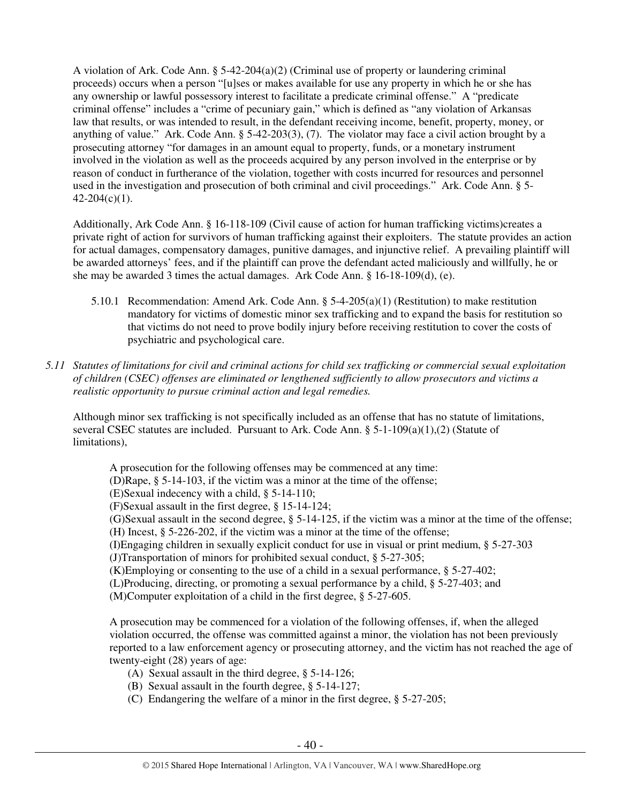A violation of Ark. Code Ann.  $\S$  5-42-204(a)(2) (Criminal use of property or laundering criminal proceeds) occurs when a person "[u]ses or makes available for use any property in which he or she has any ownership or lawful possessory interest to facilitate a predicate criminal offense." A "predicate criminal offense" includes a "crime of pecuniary gain," which is defined as "any violation of Arkansas law that results, or was intended to result, in the defendant receiving income, benefit, property, money, or anything of value." Ark. Code Ann. § 5-42-203(3), (7). The violator may face a civil action brought by a prosecuting attorney "for damages in an amount equal to property, funds, or a monetary instrument involved in the violation as well as the proceeds acquired by any person involved in the enterprise or by reason of conduct in furtherance of the violation, together with costs incurred for resources and personnel used in the investigation and prosecution of both criminal and civil proceedings." Ark. Code Ann. § 5-  $42-204(c)(1)$ .

Additionally, Ark Code Ann. § 16-118-109 (Civil cause of action for human trafficking victims)creates a private right of action for survivors of human trafficking against their exploiters. The statute provides an action for actual damages, compensatory damages, punitive damages, and injunctive relief. A prevailing plaintiff will be awarded attorneys' fees, and if the plaintiff can prove the defendant acted maliciously and willfully, he or she may be awarded 3 times the actual damages. Ark Code Ann. § 16-18-109(d), (e).

- 5.10.1 Recommendation: Amend Ark. Code Ann. § 5-4-205(a)(1) (Restitution) to make restitution mandatory for victims of domestic minor sex trafficking and to expand the basis for restitution so that victims do not need to prove bodily injury before receiving restitution to cover the costs of psychiatric and psychological care.
- *5.11 Statutes of limitations for civil and criminal actions for child sex trafficking or commercial sexual exploitation of children (CSEC) offenses are eliminated or lengthened sufficiently to allow prosecutors and victims a realistic opportunity to pursue criminal action and legal remedies.*

Although minor sex trafficking is not specifically included as an offense that has no statute of limitations, several CSEC statutes are included. Pursuant to Ark. Code Ann. § 5-1-109(a)(1),(2) (Statute of limitations),

A prosecution for the following offenses may be commenced at any time:

(D)Rape, § 5-14-103, if the victim was a minor at the time of the offense;

(E)Sexual indecency with a child, § 5-14-110;

(F)Sexual assault in the first degree, § 15-14-124;

(G)Sexual assault in the second degree, § 5-14-125, if the victim was a minor at the time of the offense; (H) Incest, § 5-226-202, if the victim was a minor at the time of the offense;

(I)Engaging children in sexually explicit conduct for use in visual or print medium, § 5-27-303 (J)Transportation of minors for prohibited sexual conduct, § 5-27-305;

(K)Employing or consenting to the use of a child in a sexual performance, § 5-27-402;

(L)Producing, directing, or promoting a sexual performance by a child, § 5-27-403; and

(M)Computer exploitation of a child in the first degree, § 5-27-605.

A prosecution may be commenced for a violation of the following offenses, if, when the alleged violation occurred, the offense was committed against a minor, the violation has not been previously reported to a law enforcement agency or prosecuting attorney, and the victim has not reached the age of twenty-eight (28) years of age:

- (A) Sexual assault in the third degree, § 5-14-126;
- (B) Sexual assault in the fourth degree, § 5-14-127;
- (C) Endangering the welfare of a minor in the first degree, § 5-27-205;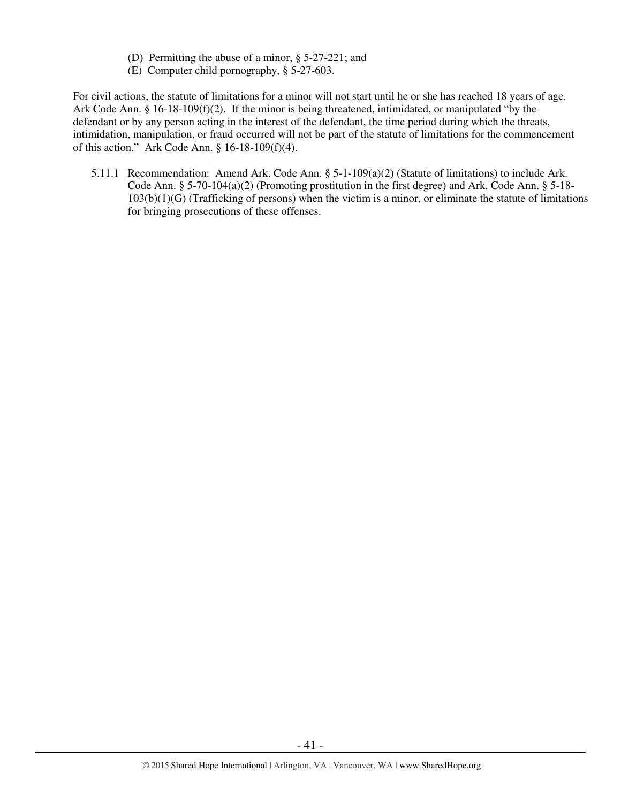- (D) Permitting the abuse of a minor, § 5-27-221; and
- (E) Computer child pornography, § 5-27-603.

For civil actions, the statute of limitations for a minor will not start until he or she has reached 18 years of age. Ark Code Ann. § 16-18-109(f)(2). If the minor is being threatened, intimidated, or manipulated "by the defendant or by any person acting in the interest of the defendant, the time period during which the threats, intimidation, manipulation, or fraud occurred will not be part of the statute of limitations for the commencement of this action." Ark Code Ann. § 16-18-109(f)(4).

5.11.1 Recommendation: Amend Ark. Code Ann. § 5-1-109(a)(2) (Statute of limitations) to include Ark. Code Ann. § 5-70-104(a)(2) (Promoting prostitution in the first degree) and Ark. Code Ann. § 5-18- 103(b)(1)(G) (Trafficking of persons) when the victim is a minor, or eliminate the statute of limitations for bringing prosecutions of these offenses.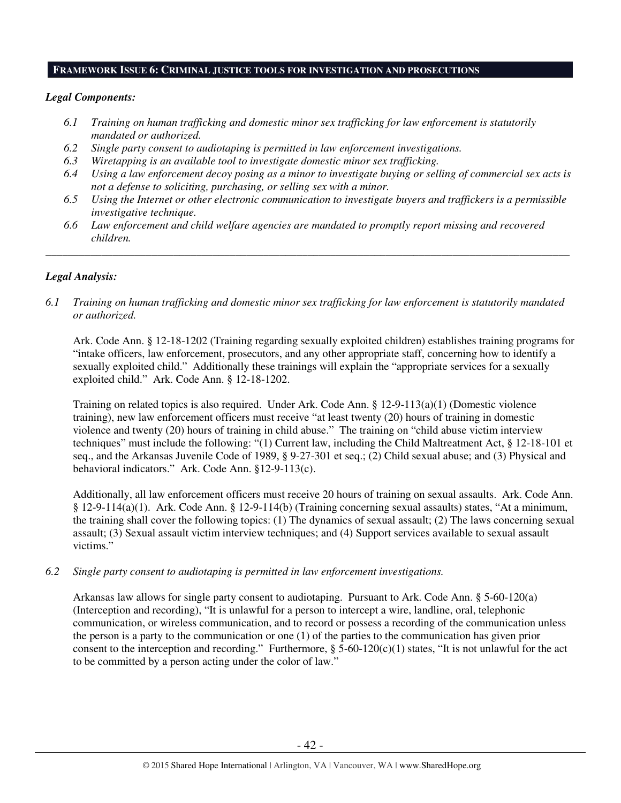## **FRAMEWORK ISSUE 6: CRIMINAL JUSTICE TOOLS FOR INVESTIGATION AND PROSECUTIONS**

#### *Legal Components:*

- *6.1 Training on human trafficking and domestic minor sex trafficking for law enforcement is statutorily mandated or authorized.*
- *6.2 Single party consent to audiotaping is permitted in law enforcement investigations.*
- *6.3 Wiretapping is an available tool to investigate domestic minor sex trafficking.*
- *6.4 Using a law enforcement decoy posing as a minor to investigate buying or selling of commercial sex acts is not a defense to soliciting, purchasing, or selling sex with a minor.*
- *6.5 Using the Internet or other electronic communication to investigate buyers and traffickers is a permissible investigative technique.*
- *6.6 Law enforcement and child welfare agencies are mandated to promptly report missing and recovered children.*

*\_\_\_\_\_\_\_\_\_\_\_\_\_\_\_\_\_\_\_\_\_\_\_\_\_\_\_\_\_\_\_\_\_\_\_\_\_\_\_\_\_\_\_\_\_\_\_\_\_\_\_\_\_\_\_\_\_\_\_\_\_\_\_\_\_\_\_\_\_\_\_\_\_\_\_\_\_\_\_\_\_\_\_\_\_\_\_\_\_\_\_\_\_\_* 

## *Legal Analysis:*

*6.1 Training on human trafficking and domestic minor sex trafficking for law enforcement is statutorily mandated or authorized.*

Ark. Code Ann. § 12-18-1202 (Training regarding sexually exploited children) establishes training programs for "intake officers, law enforcement, prosecutors, and any other appropriate staff, concerning how to identify a sexually exploited child." Additionally these trainings will explain the "appropriate services for a sexually exploited child." Ark. Code Ann. § 12-18-1202.

Training on related topics is also required. Under Ark. Code Ann. § 12-9-113(a)(1) (Domestic violence training), new law enforcement officers must receive "at least twenty (20) hours of training in domestic violence and twenty (20) hours of training in child abuse." The training on "child abuse victim interview techniques" must include the following: "(1) Current law, including the Child Maltreatment Act, § 12-18-101 et seq., and the Arkansas Juvenile Code of 1989, § 9-27-301 et seq.; (2) Child sexual abuse; and (3) Physical and behavioral indicators." Ark. Code Ann. §12-9-113(c).

Additionally, all law enforcement officers must receive 20 hours of training on sexual assaults. Ark. Code Ann. § 12-9-114(a)(1). Ark. Code Ann. § 12-9-114(b) (Training concerning sexual assaults) states, "At a minimum, the training shall cover the following topics: (1) The dynamics of sexual assault; (2) The laws concerning sexual assault; (3) Sexual assault victim interview techniques; and (4) Support services available to sexual assault victims."

*6.2 Single party consent to audiotaping is permitted in law enforcement investigations.* 

Arkansas law allows for single party consent to audiotaping. Pursuant to Ark. Code Ann. § 5-60-120(a) (Interception and recording), "It is unlawful for a person to intercept a wire, landline, oral, telephonic communication, or wireless communication, and to record or possess a recording of the communication unless the person is a party to the communication or one (1) of the parties to the communication has given prior consent to the interception and recording." Furthermore,  $\S$  5-60-120(c)(1) states, "It is not unlawful for the act to be committed by a person acting under the color of law."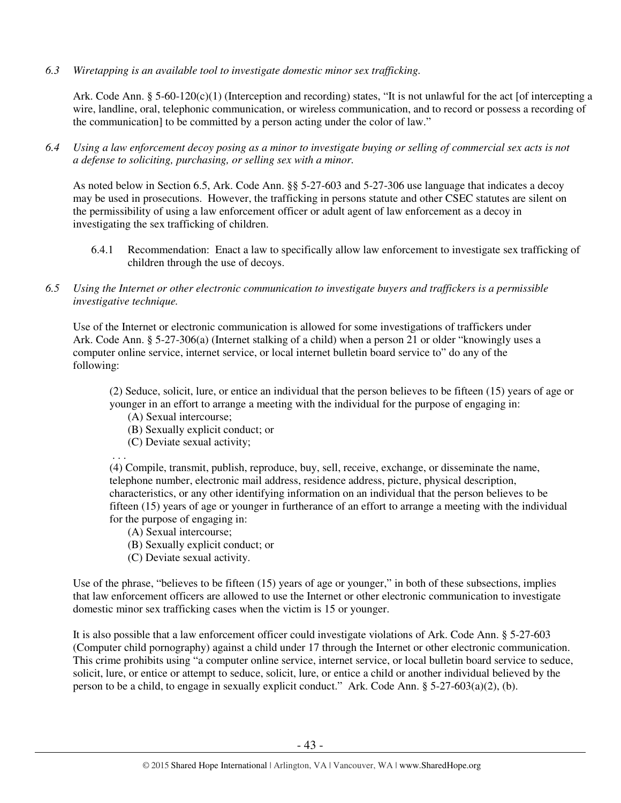*6.3 Wiretapping is an available tool to investigate domestic minor sex trafficking.* 

Ark. Code Ann. § 5-60-120(c)(1) (Interception and recording) states, "It is not unlawful for the act [of intercepting a wire, landline, oral, telephonic communication, or wireless communication, and to record or possess a recording of the communication] to be committed by a person acting under the color of law."

*6.4 Using a law enforcement decoy posing as a minor to investigate buying or selling of commercial sex acts is not a defense to soliciting, purchasing, or selling sex with a minor.* 

As noted below in Section 6.5, Ark. Code Ann. §§ 5-27-603 and 5-27-306 use language that indicates a decoy may be used in prosecutions. However, the trafficking in persons statute and other CSEC statutes are silent on the permissibility of using a law enforcement officer or adult agent of law enforcement as a decoy in investigating the sex trafficking of children.

- 6.4.1 Recommendation: Enact a law to specifically allow law enforcement to investigate sex trafficking of children through the use of decoys.
- *6.5 Using the Internet or other electronic communication to investigate buyers and traffickers is a permissible investigative technique.*

Use of the Internet or electronic communication is allowed for some investigations of traffickers under Ark. Code Ann. § 5-27-306(a) (Internet stalking of a child) when a person 21 or older "knowingly uses a computer online service, internet service, or local internet bulletin board service to" do any of the following:

(2) Seduce, solicit, lure, or entice an individual that the person believes to be fifteen (15) years of age or younger in an effort to arrange a meeting with the individual for the purpose of engaging in:

- (A) Sexual intercourse;
- (B) Sexually explicit conduct; or
- (C) Deviate sexual activity;

. . .

(4) Compile, transmit, publish, reproduce, buy, sell, receive, exchange, or disseminate the name, telephone number, electronic mail address, residence address, picture, physical description, characteristics, or any other identifying information on an individual that the person believes to be fifteen (15) years of age or younger in furtherance of an effort to arrange a meeting with the individual for the purpose of engaging in:

- (A) Sexual intercourse;
- (B) Sexually explicit conduct; or
- (C) Deviate sexual activity.

Use of the phrase, "believes to be fifteen (15) years of age or younger," in both of these subsections, implies that law enforcement officers are allowed to use the Internet or other electronic communication to investigate domestic minor sex trafficking cases when the victim is 15 or younger.

It is also possible that a law enforcement officer could investigate violations of Ark. Code Ann. § 5-27-603 (Computer child pornography) against a child under 17 through the Internet or other electronic communication. This crime prohibits using "a computer online service, internet service, or local bulletin board service to seduce, solicit, lure, or entice or attempt to seduce, solicit, lure, or entice a child or another individual believed by the person to be a child, to engage in sexually explicit conduct." Ark. Code Ann. § 5-27-603(a)(2), (b).